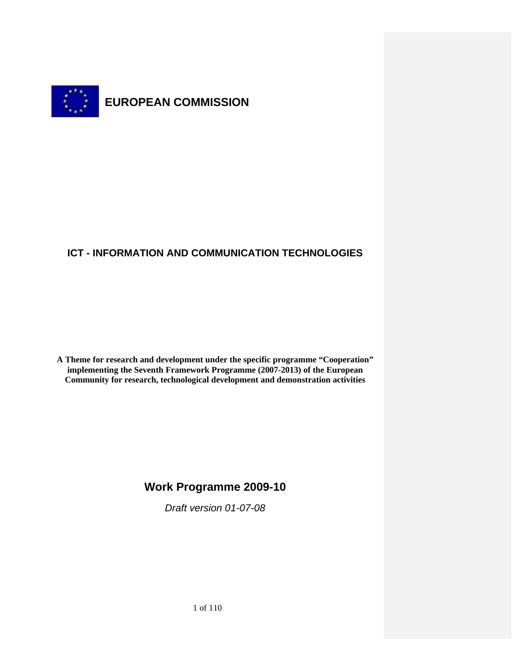

# **ICT - INFORMATION AND COMMUNICATION TECHNOLOGIES**

**A Theme for research and development under the specific programme "Cooperation" implementing the Seventh Framework Programme (2007-2013) of the European Community for research, technological development and demonstration activities**

# **Work Programme 2009-10**

*Draft version 01-07-08*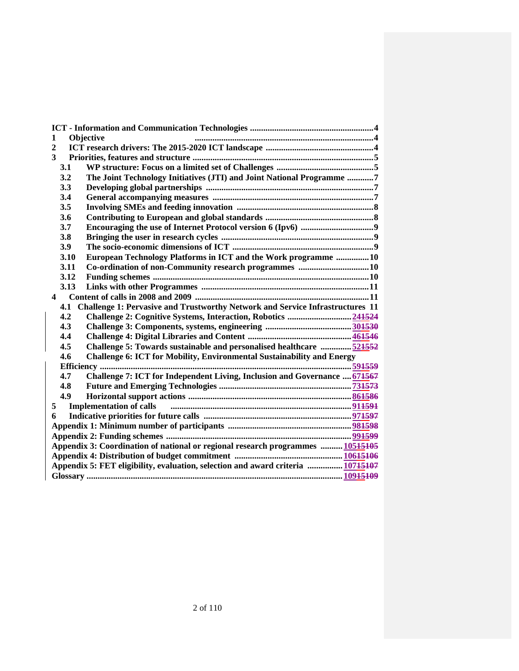| Objective<br>1                                                                       |                                                                               |
|--------------------------------------------------------------------------------------|-------------------------------------------------------------------------------|
| $\mathbf{2}$                                                                         |                                                                               |
| 3                                                                                    |                                                                               |
| 3.1                                                                                  |                                                                               |
| 3.2                                                                                  | The Joint Technology Initiatives (JTI) and Joint National Programme 7         |
| 3.3                                                                                  |                                                                               |
| 3.4                                                                                  |                                                                               |
| 3.5                                                                                  |                                                                               |
| 3.6                                                                                  |                                                                               |
| 3.7                                                                                  |                                                                               |
| 3.8                                                                                  |                                                                               |
| 3.9                                                                                  |                                                                               |
| 3.10                                                                                 | European Technology Platforms in ICT and the Work programme 10                |
| 3.11                                                                                 |                                                                               |
| 3.12                                                                                 |                                                                               |
| 3.13                                                                                 |                                                                               |
| 4                                                                                    |                                                                               |
| Challenge 1: Pervasive and Trustworthy Network and Service Infrastructures 11<br>4.1 |                                                                               |
| 4.2                                                                                  |                                                                               |
| 4.3                                                                                  |                                                                               |
| 4.4                                                                                  |                                                                               |
| 4.5                                                                                  | Challenge 5: Towards sustainable and personalised healthcare  521552          |
| 4.6                                                                                  | <b>Challenge 6: ICT for Mobility, Environmental Sustainability and Energy</b> |
| Efficiency                                                                           |                                                                               |
| 4.7                                                                                  | Challenge 7: ICT for Independent Living, Inclusion and Governance  671567     |
| 4.8                                                                                  |                                                                               |
| 4.9                                                                                  |                                                                               |
| 5                                                                                    | <b>Implementation of calls</b>                                                |
| 6                                                                                    |                                                                               |
|                                                                                      |                                                                               |
|                                                                                      |                                                                               |
| Appendix 3: Coordination of national or regional research programmes  10515105       |                                                                               |
|                                                                                      |                                                                               |
| Appendix 5: FET eligibility, evaluation, selection and award criteria  10745407      |                                                                               |
|                                                                                      |                                                                               |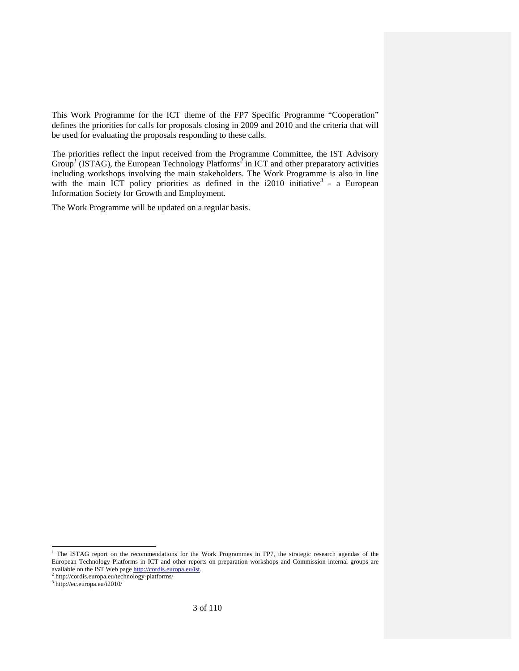This Work Programme for the ICT theme of the FP7 Specific Programme "Cooperation" defines the priorities for calls for proposals closing in 2009 and 2010 and the criteria that will be used for evaluating the proposals responding to these calls.

The priorities reflect the input received from the Programme Committee, the IST Advisory Group<sup>1</sup> (ISTAG), the European Technology Platforms<sup>2</sup> in ICT and other preparatory activities including workshops involving the main stakeholders. The Work Programme is also in line with the main ICT policy priorities as defined in the  $i2010$  initiative<sup>3</sup> - a European Information Society for Growth and Employment.

The Work Programme will be updated on a regular basis.

The ISTAG report on the recommendations for the Work Programmes in FP7, the strategic research agendas of the European Technology Platforms in ICT and other reports on preparation workshops and Commission internal groups are available on the IST Web page http://cordis.europa.eu/ist.<sup>2</sup> http://cordis.europa.eu/technology-platforms/

<sup>3</sup> http://ec.europa.eu/i2010/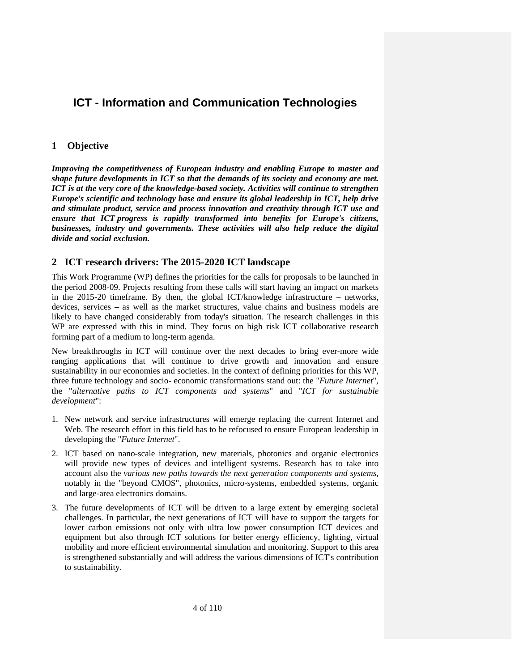# **ICT - Information and Communication Technologies**

# **1 Objective**

*Improving the competitiveness of European industry and enabling Europe to master and shape future developments in ICT so that the demands of its society and economy are met. ICT is at the very core of the knowledge-based society. Activities will continue to strengthen Europe's scientific and technology base and ensure its global leadership in ICT, help drive and stimulate product, service and process innovation and creativity through ICT use and ensure that ICT progress is rapidly transformed into benefits for Europe's citizens, businesses, industry and governments. These activities will also help reduce the digital divide and social exclusion.* 

# **2 ICT research drivers: The 2015-2020 ICT landscape**

This Work Programme (WP) defines the priorities for the calls for proposals to be launched in the period 2008-09. Projects resulting from these calls will start having an impact on markets in the 2015-20 timeframe. By then, the global ICT/knowledge infrastructure – networks, devices, services – as well as the market structures, value chains and business models are likely to have changed considerably from today's situation. The research challenges in this WP are expressed with this in mind. They focus on high risk ICT collaborative research forming part of a medium to long-term agenda.

New breakthroughs in ICT will continue over the next decades to bring ever-more wide ranging applications that will continue to drive growth and innovation and ensure sustainability in our economies and societies. In the context of defining priorities for this WP, three future technology and socio- economic transformations stand out: the "*Future Internet*", the "*alternative paths to ICT components and systems*" and "*ICT for sustainable development*":

- 1. New network and service infrastructures will emerge replacing the current Internet and Web. The research effort in this field has to be refocused to ensure European leadership in developing the "*Future Internet*".
- 2. ICT based on nano-scale integration, new materials, photonics and organic electronics will provide new types of devices and intelligent systems. Research has to take into account also the *various new paths towards the next generation components and systems*, notably in the "beyond CMOS", photonics, micro-systems, embedded systems, organic and large-area electronics domains.
- 3. The future developments of ICT will be driven to a large extent by emerging societal challenges. In particular, the next generations of ICT will have to support the targets for lower carbon emissions not only with ultra low power consumption ICT devices and equipment but also through ICT solutions for better energy efficiency, lighting, virtual mobility and more efficient environmental simulation and monitoring. Support to this area is strengthened substantially and will address the various dimensions of ICT's contribution to sustainability.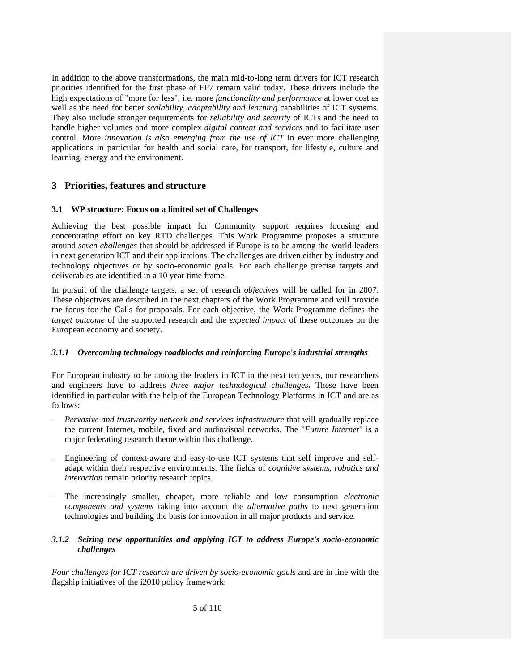In addition to the above transformations, the main mid-to-long term drivers for ICT research priorities identified for the first phase of FP7 remain valid today. These drivers include the high expectations of "more for less", i.e. more *functionality and performance* at lower cost as well as the need for better *scalability, adaptability and learning* capabilities of ICT systems. They also include stronger requirements for *reliability and security* of ICTs and the need to handle higher volumes and more complex *digital content and services* and to facilitate user control. More *innovation is also emerging from the use of ICT* in ever more challenging applications in particular for health and social care, for transport, for lifestyle, culture and learning, energy and the environment.

# **3 Priorities, features and structure**

# **3.1 WP structure: Focus on a limited set of Challenges**

Achieving the best possible impact for Community support requires focusing and concentrating effort on key RTD challenges. This Work Programme proposes a structure around *seven challenges* that should be addressed if Europe is to be among the world leaders in next generation ICT and their applications. The challenges are driven either by industry and technology objectives or by socio-economic goals. For each challenge precise targets and deliverables are identified in a 10 year time frame.

In pursuit of the challenge targets, a set of research *objectives* will be called for in 2007. These objectives are described in the next chapters of the Work Programme and will provide the focus for the Calls for proposals. For each objective, the Work Programme defines the *target outcome* of the supported research and the *expected impact* of these outcomes on the European economy and society.

# *3.1.1 Overcoming technology roadblocks and reinforcing Europe's industrial strengths*

For European industry to be among the leaders in ICT in the next ten years, our researchers and engineers have to address *three major technological challenges***.** These have been identified in particular with the help of the European Technology Platforms in ICT and are as follows:

- *Pervasive and trustworthy network and services infrastructure* that will gradually replace the current Internet, mobile, fixed and audiovisual networks. The "*Future Internet*" is a major federating research theme within this challenge.
- Engineering of context-aware and easy-to-use ICT systems that self improve and selfadapt within their respective environments. The fields of *cognitive systems, robotics and interaction* remain priority research topics*.*
- The increasingly smaller, cheaper, more reliable and low consumption *electronic components and systems* taking into account the *alternative paths* to next generation technologies and building the basis for innovation in all major products and service.

# *3.1.2 Seizing new opportunities and applying ICT to address Europe's socio-economic challenges*

*Four challenges for ICT research are driven by socio-economic goals* and are in line with the flagship initiatives of the i2010 policy framework: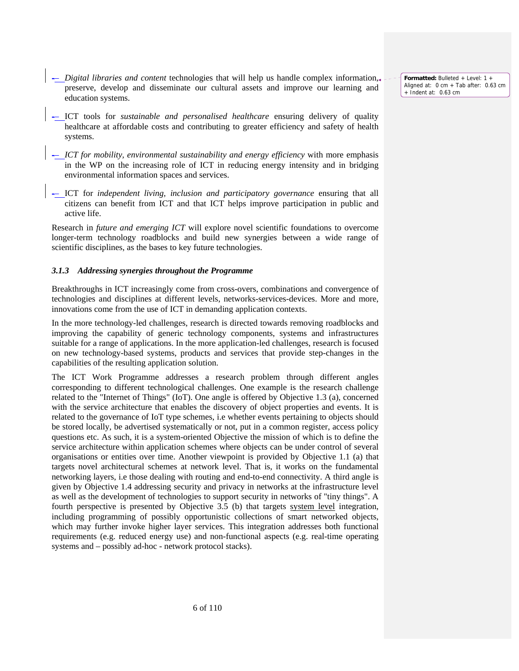**Formatted:** Bulleted + Level: 1 + Aligned at: 0 cm + Tab after: 0.63 cm + Indent at: 0.63 cm

- -– *Digital libraries and content* technologies that will help us handle complex information, preserve, develop and disseminate our cultural assets and improve our learning and education systems.
- -– ICT tools for *sustainable and personalised healthcare* ensuring delivery of quality healthcare at affordable costs and contributing to greater efficiency and safety of health systems.
- -– *ICT for mobility, environmental sustainability and energy efficiency* with more emphasis in the WP on the increasing role of ICT in reducing energy intensity and in bridging environmental information spaces and services.
- -– ICT for *independent living, inclusion and participatory governance* ensuring that all citizens can benefit from ICT and that ICT helps improve participation in public and active life.

Research in *future and emerging ICT* will explore novel scientific foundations to overcome longer-term technology roadblocks and build new synergies between a wide range of scientific disciplines, as the bases to key future technologies.

# *3.1.3 Addressing synergies throughout the Programme*

Breakthroughs in ICT increasingly come from cross-overs, combinations and convergence of technologies and disciplines at different levels, networks-services-devices. More and more, innovations come from the use of ICT in demanding application contexts.

In the more technology-led challenges, research is directed towards removing roadblocks and improving the capability of generic technology components, systems and infrastructures suitable for a range of applications. In the more application-led challenges, research is focused on new technology-based systems, products and services that provide step-changes in the capabilities of the resulting application solution.

The ICT Work Programme addresses a research problem through different angles corresponding to different technological challenges. One example is the research challenge related to the "Internet of Things" (IoT). One angle is offered by Objective 1.3 (a), concerned with the service architecture that enables the discovery of object properties and events. It is related to the governance of IoT type schemes, i.e whether events pertaining to objects should be stored locally, be advertised systematically or not, put in a common register, access policy questions etc. As such, it is a system-oriented Objective the mission of which is to define the service architecture within application schemes where objects can be under control of several organisations or entities over time. Another viewpoint is provided by Objective 1.1 (a) that targets novel architectural schemes at network level. That is, it works on the fundamental networking layers, i.e those dealing with routing and end-to-end connectivity. A third angle is given by Objective 1.4 addressing security and privacy in networks at the infrastructure level as well as the development of technologies to support security in networks of "tiny things". A fourth perspective is presented by Objective 3.5 (b) that targets system level integration, including programming of possibly opportunistic collections of smart networked objects, which may further invoke higher layer services. This integration addresses both functional requirements (e.g. reduced energy use) and non-functional aspects (e.g. real-time operating systems and – possibly ad-hoc - network protocol stacks).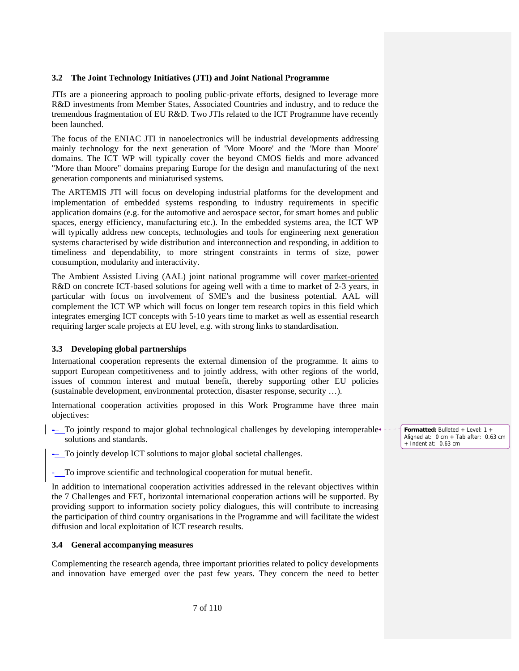### **3.2 The Joint Technology Initiatives (JTI) and Joint National Programme**

JTIs are a pioneering approach to pooling public-private efforts, designed to leverage more R&D investments from Member States, Associated Countries and industry, and to reduce the tremendous fragmentation of EU R&D. Two JTIs related to the ICT Programme have recently been launched.

The focus of the ENIAC JTI in nanoelectronics will be industrial developments addressing mainly technology for the next generation of 'More Moore' and the 'More than Moore' domains. The ICT WP will typically cover the beyond CMOS fields and more advanced "More than Moore" domains preparing Europe for the design and manufacturing of the next generation components and miniaturised systems.

The ARTEMIS JTI will focus on developing industrial platforms for the development and implementation of embedded systems responding to industry requirements in specific application domains (e.g. for the automotive and aerospace sector, for smart homes and public spaces, energy efficiency, manufacturing etc.). In the embedded systems area, the ICT WP will typically address new concepts, technologies and tools for engineering next generation systems characterised by wide distribution and interconnection and responding, in addition to timeliness and dependability, to more stringent constraints in terms of size, power consumption, modularity and interactivity.

The Ambient Assisted Living (AAL) joint national programme will cover market-oriented R&D on concrete ICT-based solutions for ageing well with a time to market of 2-3 years, in particular with focus on involvement of SME's and the business potential. AAL will complement the ICT WP which will focus on longer tem research topics in this field which integrates emerging ICT concepts with 5-10 years time to market as well as essential research requiring larger scale projects at EU level, e.g. with strong links to standardisation.

# **3.3 Developing global partnerships**

International cooperation represents the external dimension of the programme. It aims to support European competitiveness and to jointly address, with other regions of the world, issues of common interest and mutual benefit, thereby supporting other EU policies (sustainable development, environmental protection, disaster response, security …).

International cooperation activities proposed in this Work Programme have three main objectives:

- -– To jointly respond to major global technological challenges by developing interoperable solutions and standards.
- To jointly develop ICT solutions to major global societal challenges.

- To improve scientific and technological cooperation for mutual benefit.

In addition to international cooperation activities addressed in the relevant objectives within the 7 Challenges and FET, horizontal international cooperation actions will be supported. By providing support to information society policy dialogues, this will contribute to increasing the participation of third country organisations in the Programme and will facilitate the widest diffusion and local exploitation of ICT research results.

# **3.4 General accompanying measures**

Complementing the research agenda, three important priorities related to policy developments and innovation have emerged over the past few years. They concern the need to better **Formatted:** Bulleted + Level: 1 + Aligned at: 0 cm + Tab after: 0.63 cm + Indent at: 0.63 cm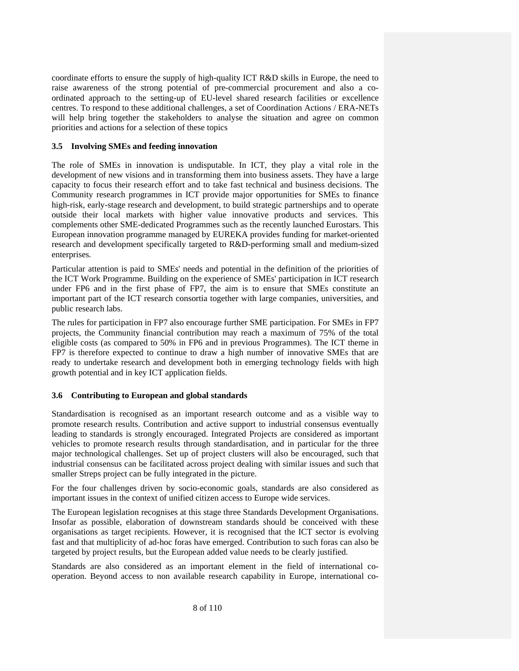coordinate efforts to ensure the supply of high-quality ICT R&D skills in Europe, the need to raise awareness of the strong potential of pre-commercial procurement and also a coordinated approach to the setting-up of EU-level shared research facilities or excellence centres. To respond to these additional challenges, a set of Coordination Actions / ERA-NETs will help bring together the stakeholders to analyse the situation and agree on common priorities and actions for a selection of these topics

# **3.5 Involving SMEs and feeding innovation**

The role of SMEs in innovation is undisputable. In ICT, they play a vital role in the development of new visions and in transforming them into business assets. They have a large capacity to focus their research effort and to take fast technical and business decisions. The Community research programmes in ICT provide major opportunities for SMEs to finance high-risk, early-stage research and development, to build strategic partnerships and to operate outside their local markets with higher value innovative products and services. This complements other SME-dedicated Programmes such as the recently launched Eurostars. This European innovation programme managed by EUREKA provides funding for market-oriented research and development specifically targeted to R&D-performing small and medium-sized enterprises*.*

Particular attention is paid to SMEs' needs and potential in the definition of the priorities of the ICT Work Programme. Building on the experience of SMEs' participation in ICT research under FP6 and in the first phase of FP7, the aim is to ensure that SMEs constitute an important part of the ICT research consortia together with large companies, universities, and public research labs.

The rules for participation in FP7 also encourage further SME participation. For SMEs in FP7 projects, the Community financial contribution may reach a maximum of 75% of the total eligible costs (as compared to 50% in FP6 and in previous Programmes). The ICT theme in FP7 is therefore expected to continue to draw a high number of innovative SMEs that are ready to undertake research and development both in emerging technology fields with high growth potential and in key ICT application fields.

# **3.6 Contributing to European and global standards**

Standardisation is recognised as an important research outcome and as a visible way to promote research results. Contribution and active support to industrial consensus eventually leading to standards is strongly encouraged. Integrated Projects are considered as important vehicles to promote research results through standardisation, and in particular for the three major technological challenges. Set up of project clusters will also be encouraged, such that industrial consensus can be facilitated across project dealing with similar issues and such that smaller Streps project can be fully integrated in the picture.

For the four challenges driven by socio-economic goals, standards are also considered as important issues in the context of unified citizen access to Europe wide services.

The European legislation recognises at this stage three Standards Development Organisations. Insofar as possible, elaboration of downstream standards should be conceived with these organisations as target recipients. However, it is recognised that the ICT sector is evolving fast and that multiplicity of ad-hoc foras have emerged. Contribution to such foras can also be targeted by project results, but the European added value needs to be clearly justified.

Standards are also considered as an important element in the field of international cooperation. Beyond access to non available research capability in Europe, international co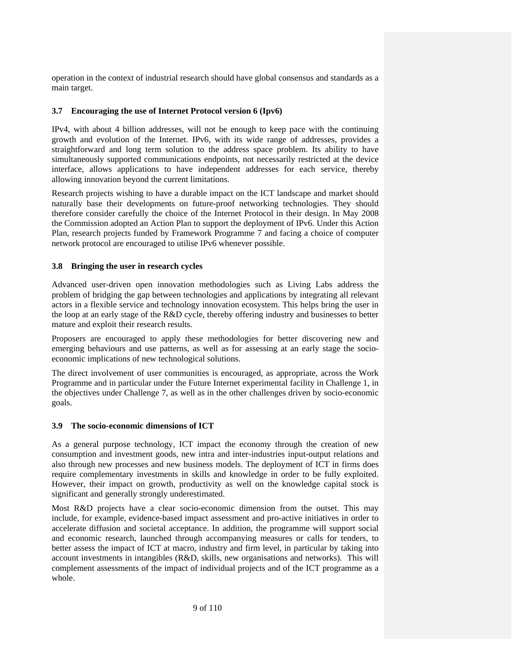operation in the context of industrial research should have global consensus and standards as a main target.

# **3.7 Encouraging the use of Internet Protocol version 6 (Ipv6)**

IPv4, with about 4 billion addresses, will not be enough to keep pace with the continuing growth and evolution of the Internet. IPv6, with its wide range of addresses, provides a straightforward and long term solution to the address space problem. Its ability to have simultaneously supported communications endpoints, not necessarily restricted at the device interface, allows applications to have independent addresses for each service, thereby allowing innovation beyond the current limitations.

Research projects wishing to have a durable impact on the ICT landscape and market should naturally base their developments on future-proof networking technologies. They should therefore consider carefully the choice of the Internet Protocol in their design. In May 2008 the Commission adopted an Action Plan to support the deployment of IPv6. Under this Action Plan, research projects funded by Framework Programme 7 and facing a choice of computer network protocol are encouraged to utilise IPv6 whenever possible.

# **3.8 Bringing the user in research cycles**

Advanced user-driven open innovation methodologies such as Living Labs address the problem of bridging the gap between technologies and applications by integrating all relevant actors in a flexible service and technology innovation ecosystem. This helps bring the user in the loop at an early stage of the R&D cycle, thereby offering industry and businesses to better mature and exploit their research results.

Proposers are encouraged to apply these methodologies for better discovering new and emerging behaviours and use patterns, as well as for assessing at an early stage the socioeconomic implications of new technological solutions.

The direct involvement of user communities is encouraged, as appropriate, across the Work Programme and in particular under the Future Internet experimental facility in Challenge 1, in the objectives under Challenge 7, as well as in the other challenges driven by socio-economic goals.

### **3.9 The socio-economic dimensions of ICT**

As a general purpose technology, ICT impact the economy through the creation of new consumption and investment goods, new intra and inter-industries input-output relations and also through new processes and new business models. The deployment of ICT in firms does require complementary investments in skills and knowledge in order to be fully exploited. However, their impact on growth, productivity as well on the knowledge capital stock is significant and generally strongly underestimated.

Most R&D projects have a clear socio-economic dimension from the outset. This may include, for example, evidence-based impact assessment and pro-active initiatives in order to accelerate diffusion and societal acceptance. In addition, the programme will support social and economic research, launched through accompanying measures or calls for tenders, to better assess the impact of ICT at macro, industry and firm level, in particular by taking into account investments in intangibles (R&D, skills, new organisations and networks). This will complement assessments of the impact of individual projects and of the ICT programme as a whole.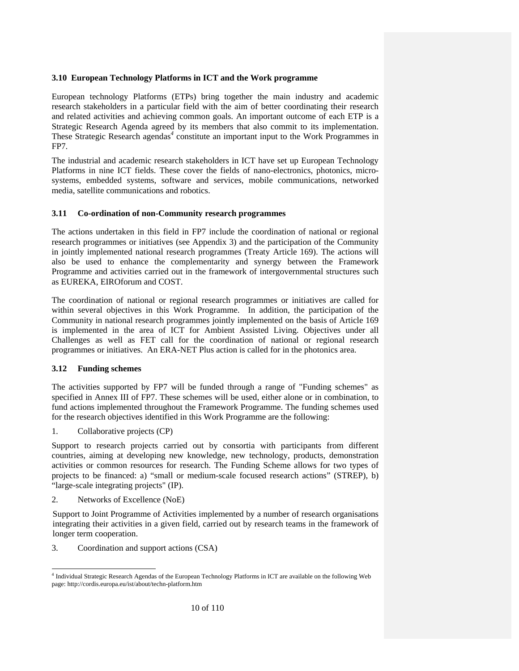# **3.10 European Technology Platforms in ICT and the Work programme**

European technology Platforms (ETPs) bring together the main industry and academic research stakeholders in a particular field with the aim of better coordinating their research and related activities and achieving common goals. An important outcome of each ETP is a Strategic Research Agenda agreed by its members that also commit to its implementation. These Strategic Research agendas<sup>4</sup> constitute an important input to the Work Programmes in FP7.

The industrial and academic research stakeholders in ICT have set up European Technology Platforms in nine ICT fields. These cover the fields of nano-electronics, photonics, microsystems, embedded systems, software and services, mobile communications, networked media, satellite communications and robotics.

# **3.11 Co-ordination of non-Community research programmes**

The actions undertaken in this field in FP7 include the coordination of national or regional research programmes or initiatives (see Appendix 3) and the participation of the Community in jointly implemented national research programmes (Treaty Article 169). The actions will also be used to enhance the complementarity and synergy between the Framework Programme and activities carried out in the framework of intergovernmental structures such as EUREKA, EIROforum and COST.

The coordination of national or regional research programmes or initiatives are called for within several objectives in this Work Programme. In addition, the participation of the Community in national research programmes jointly implemented on the basis of Article 169 is implemented in the area of ICT for Ambient Assisted Living. Objectives under all Challenges as well as FET call for the coordination of national or regional research programmes or initiatives. An ERA-NET Plus action is called for in the photonics area.

# **3.12 Funding schemes**

The activities supported by FP7 will be funded through a range of "Funding schemes" as specified in Annex III of FP7. These schemes will be used, either alone or in combination, to fund actions implemented throughout the Framework Programme. The funding schemes used for the research objectives identified in this Work Programme are the following:

1. Collaborative projects (CP)

Support to research projects carried out by consortia with participants from different countries, aiming at developing new knowledge, new technology, products, demonstration activities or common resources for research. The Funding Scheme allows for two types of projects to be financed: a) "small or medium-scale focused research actions" (STREP), b) "large-scale integrating projects" (IP).

2. Networks of Excellence (NoE)

Support to Joint Programme of Activities implemented by a number of research organisations integrating their activities in a given field, carried out by research teams in the framework of longer term cooperation.

3. Coordination and support actions (CSA)

<sup>-</sup><sup>4</sup> Individual Strategic Research Agendas of the European Technology Platforms in ICT are available on the following Web page: http://cordis.europa.eu/ist/about/techn-platform.htm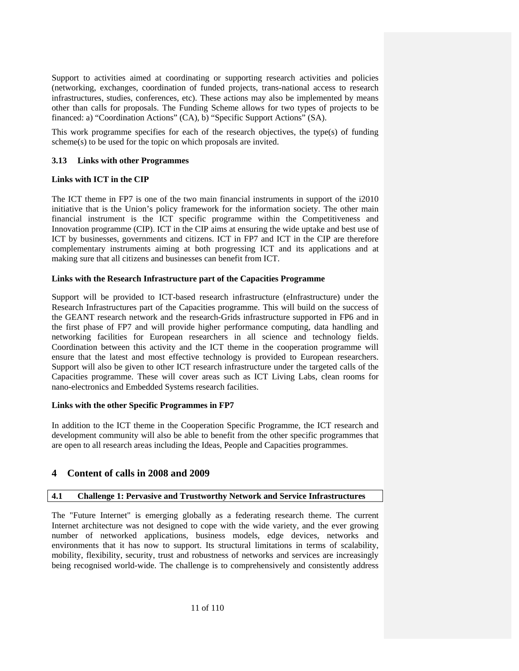Support to activities aimed at coordinating or supporting research activities and policies (networking, exchanges, coordination of funded projects, trans-national access to research infrastructures, studies, conferences, etc). These actions may also be implemented by means other than calls for proposals. The Funding Scheme allows for two types of projects to be financed: a) "Coordination Actions" (CA), b) "Specific Support Actions" (SA).

This work programme specifies for each of the research objectives, the type(s) of funding scheme(s) to be used for the topic on which proposals are invited.

# **3.13 Links with other Programmes**

# **Links with ICT in the CIP**

The ICT theme in FP7 is one of the two main financial instruments in support of the i2010 initiative that is the Union's policy framework for the information society. The other main financial instrument is the ICT specific programme within the Competitiveness and Innovation programme (CIP). ICT in the CIP aims at ensuring the wide uptake and best use of ICT by businesses, governments and citizens. ICT in FP7 and ICT in the CIP are therefore complementary instruments aiming at both progressing ICT and its applications and at making sure that all citizens and businesses can benefit from ICT.

# **Links with the Research Infrastructure part of the Capacities Programme**

Support will be provided to ICT-based research infrastructure (eInfrastructure) under the Research Infrastructures part of the Capacities programme. This will build on the success of the GEANT research network and the research-Grids infrastructure supported in FP6 and in the first phase of FP7 and will provide higher performance computing, data handling and networking facilities for European researchers in all science and technology fields. Coordination between this activity and the ICT theme in the cooperation programme will ensure that the latest and most effective technology is provided to European researchers. Support will also be given to other ICT research infrastructure under the targeted calls of the Capacities programme. These will cover areas such as ICT Living Labs, clean rooms for nano-electronics and Embedded Systems research facilities.

# **Links with the other Specific Programmes in FP7**

In addition to the ICT theme in the Cooperation Specific Programme, the ICT research and development community will also be able to benefit from the other specific programmes that are open to all research areas including the Ideas, People and Capacities programmes.

# **4 Content of calls in 2008 and 2009**

# **4.1 Challenge 1: Pervasive and Trustworthy Network and Service Infrastructures**

The "Future Internet" is emerging globally as a federating research theme. The current Internet architecture was not designed to cope with the wide variety, and the ever growing number of networked applications, business models, edge devices, networks and environments that it has now to support. Its structural limitations in terms of scalability, mobility, flexibility, security, trust and robustness of networks and services are increasingly being recognised world-wide. The challenge is to comprehensively and consistently address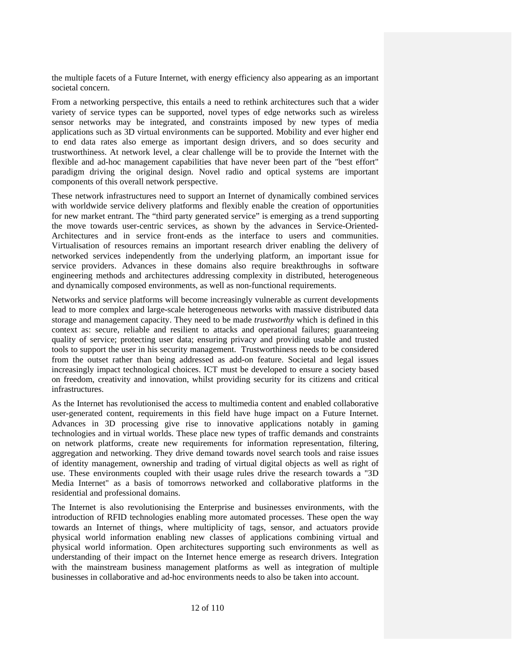the multiple facets of a Future Internet, with energy efficiency also appearing as an important societal concern.

From a networking perspective, this entails a need to rethink architectures such that a wider variety of service types can be supported, novel types of edge networks such as wireless sensor networks may be integrated, and constraints imposed by new types of media applications such as 3D virtual environments can be supported. Mobility and ever higher end to end data rates also emerge as important design drivers, and so does security and trustworthiness. At network level, a clear challenge will be to provide the Internet with the flexible and ad-hoc management capabilities that have never been part of the "best effort" paradigm driving the original design. Novel radio and optical systems are important components of this overall network perspective.

These network infrastructures need to support an Internet of dynamically combined services with worldwide service delivery platforms and flexibly enable the creation of opportunities for new market entrant. The "third party generated service" is emerging as a trend supporting the move towards user-centric services, as shown by the advances in Service-Oriented-Architectures and in service front-ends as the interface to users and communities. Virtualisation of resources remains an important research driver enabling the delivery of networked services independently from the underlying platform, an important issue for service providers. Advances in these domains also require breakthroughs in software engineering methods and architectures addressing complexity in distributed, heterogeneous and dynamically composed environments, as well as non-functional requirements.

Networks and service platforms will become increasingly vulnerable as current developments lead to more complex and large-scale heterogeneous networks with massive distributed data storage and management capacity. They need to be made *trustworthy* which is defined in this context as: secure, reliable and resilient to attacks and operational failures; guaranteeing quality of service; protecting user data; ensuring privacy and providing usable and trusted tools to support the user in his security management. Trustworthiness needs to be considered from the outset rather than being addressed as add-on feature. Societal and legal issues increasingly impact technological choices. ICT must be developed to ensure a society based on freedom, creativity and innovation, whilst providing security for its citizens and critical infrastructures.

As the Internet has revolutionised the access to multimedia content and enabled collaborative user-generated content, requirements in this field have huge impact on a Future Internet. Advances in 3D processing give rise to innovative applications notably in gaming technologies and in virtual worlds. These place new types of traffic demands and constraints on network platforms, create new requirements for information representation, filtering, aggregation and networking. They drive demand towards novel search tools and raise issues of identity management, ownership and trading of virtual digital objects as well as right of use. These environments coupled with their usage rules drive the research towards a "3D Media Internet" as a basis of tomorrows networked and collaborative platforms in the residential and professional domains.

The Internet is also revolutionising the Enterprise and businesses environments, with the introduction of RFID technologies enabling more automated processes. These open the way towards an Internet of things, where multiplicity of tags, sensor, and actuators provide physical world information enabling new classes of applications combining virtual and physical world information. Open architectures supporting such environments as well as understanding of their impact on the Internet hence emerge as research drivers. Integration with the mainstream business management platforms as well as integration of multiple businesses in collaborative and ad-hoc environments needs to also be taken into account.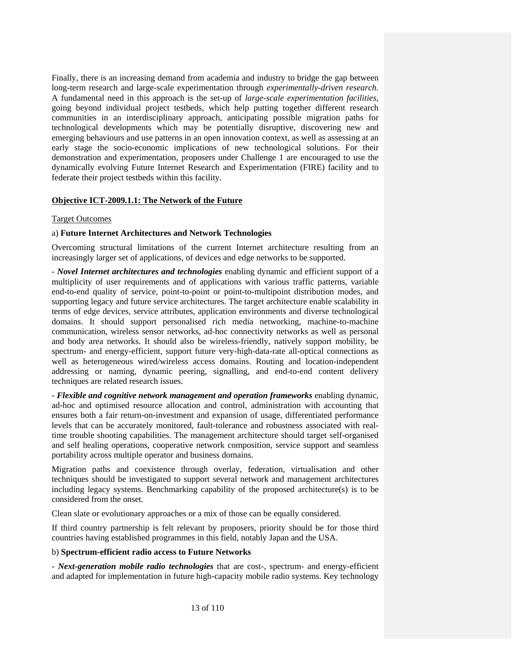Finally, there is an increasing demand from academia and industry to bridge the gap between long-term research and large-scale experimentation through *experimentally-driven research*. A fundamental need in this approach is the set-up of *large-scale experimentation facilities*, going beyond individual project testbeds, which help putting together different research communities in an interdisciplinary approach, anticipating possible migration paths for technological developments which may be potentially disruptive, discovering new and emerging behaviours and use patterns in an open innovation context, as well as assessing at an early stage the socio-economic implications of new technological solutions. For their demonstration and experimentation, proposers under Challenge 1 are encouraged to use the dynamically evolving Future Internet Research and Experimentation (FIRE) facility and to federate their project testbeds within this facility.

# **Objective ICT-2009.1.1: The Network of the Future**

### Target Outcomes

### a) **Future Internet Architectures and Network Technologies**

Overcoming structural limitations of the current Internet architecture resulting from an increasingly larger set of applications, of devices and edge networks to be supported.

*- Novel Internet architectures and technologies* enabling dynamic and efficient support of a multiplicity of user requirements and of applications with various traffic patterns, variable end-to-end quality of service, point-to-point or point-to-multipoint distribution modes, and supporting legacy and future service architectures. The target architecture enable scalability in terms of edge devices, service attributes, application environments and diverse technological domains. It should support personalised rich media networking, machine-to-machine communication, wireless sensor networks, ad-hoc connectivity networks as well as personal and body area networks. It should also be wireless-friendly, natively support mobility, be spectrum- and energy-efficient, support future very-high-data-rate all-optical connections as well as heterogeneous wired/wireless access domains. Routing and location-independent addressing or naming, dynamic peering, signalling, and end-to-end content delivery techniques are related research issues.

*- Flexible and cognitive network management and operation frameworks* enabling dynamic, ad-hoc and optimised resource allocation and control, administration with accounting that ensures both a fair return-on-investment and expansion of usage, differentiated performance levels that can be accurately monitored, fault-tolerance and robustness associated with realtime trouble shooting capabilities. The management architecture should target self-organised and self healing operations, cooperative network composition, service support and seamless portability across multiple operator and business domains.

Migration paths and coexistence through overlay, federation, virtualisation and other techniques should be investigated to support several network and management architectures including legacy systems. Benchmarking capability of the proposed architecture(s) is to be considered from the onset.

Clean slate or evolutionary approaches or a mix of those can be equally considered.

If third country partnership is felt relevant by proposers, priority should be for those third countries having established programmes in this field, notably Japan and the USA.

### b) **Spectrum-efficient radio access to Future Networks**

- *Next-generation mobile radio technologies* that are cost-, spectrum- and energy-efficient and adapted for implementation in future high-capacity mobile radio systems. Key technology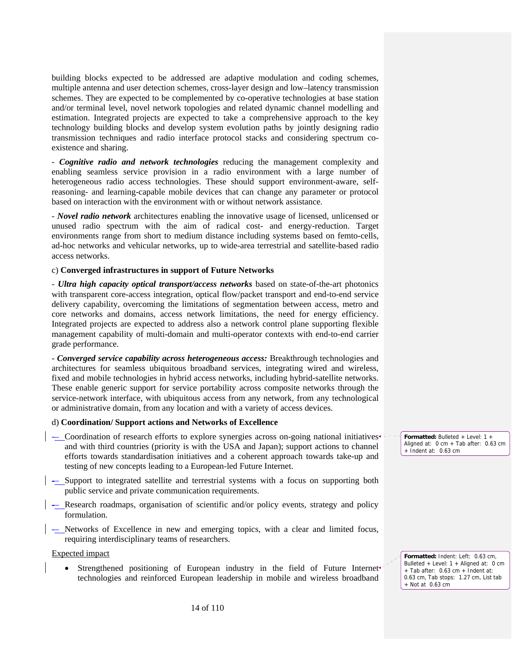building blocks expected to be addressed are adaptive modulation and coding schemes, multiple antenna and user detection schemes, cross-layer design and low–latency transmission schemes. They are expected to be complemented by co-operative technologies at base station and/or terminal level, novel network topologies and related dynamic channel modelling and estimation. Integrated projects are expected to take a comprehensive approach to the key technology building blocks and develop system evolution paths by jointly designing radio transmission techniques and radio interface protocol stacks and considering spectrum coexistence and sharing.

*- Cognitive radio and network technologies* reducing the management complexity and enabling seamless service provision in a radio environment with a large number of heterogeneous radio access technologies. These should support environment-aware, selfreasoning- and learning-capable mobile devices that can change any parameter or protocol based on interaction with the environment with or without network assistance.

*- Novel radio network* architectures enabling the innovative usage of licensed, unlicensed or unused radio spectrum with the aim of radical cost- and energy-reduction. Target environments range from short to medium distance including systems based on femto-cells, ad-hoc networks and vehicular networks, up to wide-area terrestrial and satellite-based radio access networks.

#### c) **Converged infrastructures in support of Future Networks**

*- Ultra high capacity optical transport/access networks* based on state-of-the-art photonics with transparent core-access integration, optical flow/packet transport and end-to-end service delivery capability, overcoming the limitations of segmentation between access, metro and core networks and domains, access network limitations, the need for energy efficiency. Integrated projects are expected to address also a network control plane supporting flexible management capability of multi-domain and multi-operator contexts with end-to-end carrier grade performance.

*- Converged service capability across heterogeneous access:* Breakthrough technologies and architectures for seamless ubiquitous broadband services, integrating wired and wireless, fixed and mobile technologies in hybrid access networks, including hybrid-satellite networks. These enable generic support for service portability across composite networks through the service-network interface, with ubiquitous access from any network, from any technological or administrative domain, from any location and with a variety of access devices.

#### d) **Coordination/ Support actions and Networks of Excellence**

- -– Coordination of research efforts to explore synergies across on-going national initiatives and with third countries (priority is with the USA and Japan); support actions to channel efforts towards standardisation initiatives and a coherent approach towards take-up and testing of new concepts leading to a European-led Future Internet.
- -– Support to integrated satellite and terrestrial systems with a focus on supporting both public service and private communication requirements.
- -– Research roadmaps, organisation of scientific and/or policy events, strategy and policy formulation.
- -– Networks of Excellence in new and emerging topics, with a clear and limited focus, requiring interdisciplinary teams of researchers.

#### Expected impact

• Strengthened positioning of European industry in the field of Future Internet technologies and reinforced European leadership in mobile and wireless broadband

**Formatted:** Bulleted + Level: 1 + Aligned at: 0 cm + Tab after: 0.63 cm + Indent at: 0.63 cm

**Formatted:** Indent: Left: 0.63 cm, Bulleted + Level: 1 + Aligned at: 0 cm + Tab after: 0.63 cm + Indent at: 0.63 cm, Tab stops: 1.27 cm, List tab + Not at 0.63 cm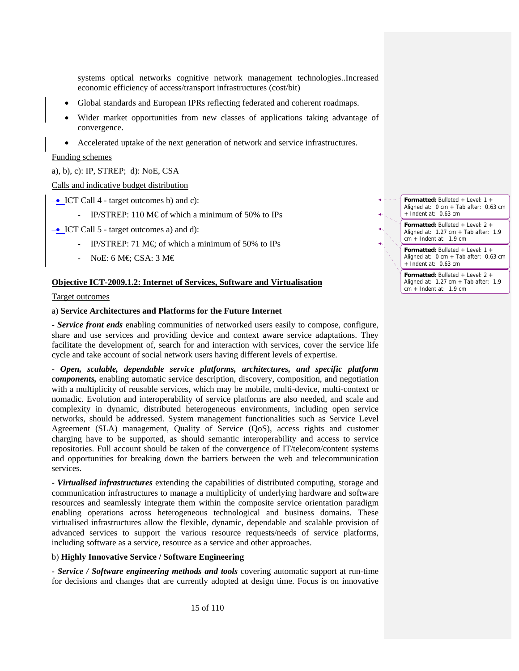systems optical networks cognitive network management technologies..Increased economic efficiency of access/transport infrastructures (cost/bit)

- Global standards and European IPRs reflecting federated and coherent roadmaps.
- Wider market opportunities from new classes of applications taking advantage of convergence.
- Accelerated uptake of the next generation of network and service infrastructures.

Funding schemes

#### a), b), c): IP, STREP; d): NoE, CSA

Calls and indicative budget distribution

–• ICT Call 4 - target outcomes b) and c):

IP/STREP: 110 M $\epsilon$  of which a minimum of 50% to IPs

–• ICT Call 5 - target outcomes a) and d):

- IP/STREP: 71 M $\in$  of which a minimum of 50% to IPs
- NoE: 6 M $\in$  CSA: 3 M $\in$

#### **Objective ICT-2009.1.2: Internet of Services, Software and Virtualisation**

#### Target outcomes

#### a) **Service Architectures and Platforms for the Future Internet**

*- Service front ends* enabling communities of networked users easily to compose, configure, share and use services and providing device and context aware service adaptations. They facilitate the development of, search for and interaction with services, cover the service life cycle and take account of social network users having different levels of expertise.

*- Open, scalable, dependable service platforms, architectures, and specific platform components,* enabling automatic service description, discovery, composition, and negotiation with a multiplicity of reusable services, which may be mobile, multi-device, multi-context or nomadic. Evolution and interoperability of service platforms are also needed, and scale and complexity in dynamic, distributed heterogeneous environments, including open service networks, should be addressed. System management functionalities such as Service Level Agreement (SLA) management, Quality of Service (QoS), access rights and customer charging have to be supported, as should semantic interoperability and access to service repositories. Full account should be taken of the convergence of IT/telecom/content systems and opportunities for breaking down the barriers between the web and telecommunication services.

*- Virtualised infrastructures* extending the capabilities of distributed computing, storage and communication infrastructures to manage a multiplicity of underlying hardware and software resources and seamlessly integrate them within the composite service orientation paradigm enabling operations across heterogeneous technological and business domains. These virtualised infrastructures allow the flexible, dynamic, dependable and scalable provision of advanced services to support the various resource requests/needs of service platforms, including software as a service, resource as a service and other approaches.

#### b) **Highly Innovative Service / Software Engineering**

**-** *Service / Software engineering methods and tools* covering automatic support at run-time for decisions and changes that are currently adopted at design time. Focus is on innovative

**Formatted:** Bulleted + Level: 1 + Aligned at: 0 cm + Tab after: 0.63 cm + Indent at: 0.63 cm

> **Formatted:** Bulleted + Level: 2 + Aligned at: 1.27 cm + Tab after: 1.9 cm + Indent at: 1.9 cm

**Formatted:** Bulleted + Level: 1 + Aligned at: 0 cm + Tab after: 0.63 cm + Indent at: 0.63 cm

**Formatted:** Bulleted + Level: 2 + Aligned at: 1.27 cm + Tab after: 1.9 cm + Indent at: 1.9 cm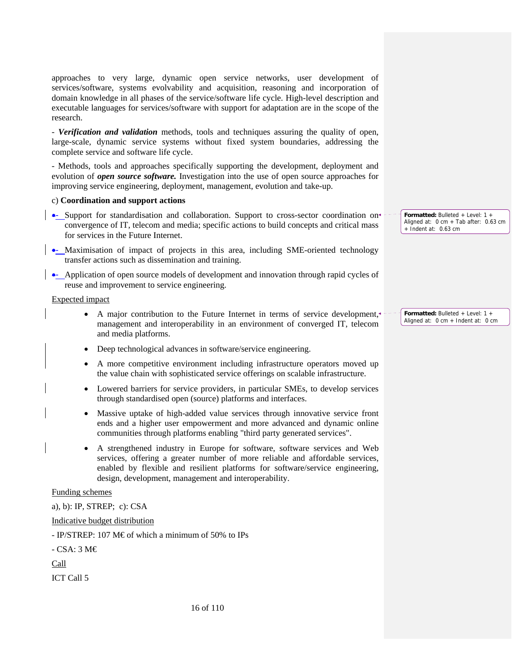approaches to very large, dynamic open service networks, user development of services/software, systems evolvability and acquisition, reasoning and incorporation of domain knowledge in all phases of the service/software life cycle. High-level description and executable languages for services/software with support for adaptation are in the scope of the research.

*- Verification and validation* methods, tools and techniques assuring the quality of open, large-scale, dynamic service systems without fixed system boundaries, addressing the complete service and software life cycle.

- Methods, tools and approaches specifically supporting the development, deployment and evolution of *open source software.* Investigation into the use of open source approaches for improving service engineering, deployment, management, evolution and take-up.

#### c) **Coordination and support actions**

- •- Support for standardisation and collaboration. Support to cross-sector coordination on convergence of IT, telecom and media; specific actions to build concepts and critical mass for services in the Future Internet.
- •- Maximisation of impact of projects in this area, including SME-oriented technology transfer actions such as dissemination and training.
- •- Application of open source models of development and innovation through rapid cycles of reuse and improvement to service engineering.

Expected impact

- A major contribution to the Future Internet in terms of service development, management and interoperability in an environment of converged IT, telecom and media platforms.
- Deep technological advances in software/service engineering.
- A more competitive environment including infrastructure operators moved up the value chain with sophisticated service offerings on scalable infrastructure.
- Lowered barriers for service providers, in particular SMEs, to develop services through standardised open (source) platforms and interfaces.
- Massive uptake of high-added value services through innovative service front ends and a higher user empowerment and more advanced and dynamic online communities through platforms enabling "third party generated services".
- A strengthened industry in Europe for software, software services and Web services, offering a greater number of more reliable and affordable services, enabled by flexible and resilient platforms for software/service engineering, design, development, management and interoperability.

#### Funding schemes

a), b): IP, STREP; c): CSA

Indicative budget distribution

- IP/STREP: 107 M€ of which a minimum of 50% to IPs

- CSA: 3 M€

Call

ICT Call 5

**Formatted:** Bulleted + Level: 1 + Aligned at: 0 cm + Tab after: 0.63 cm + Indent at: 0.63 cm

**Formatted:** Bulleted + Level: 1 + Aligned at: 0 cm + Indent at: 0 cm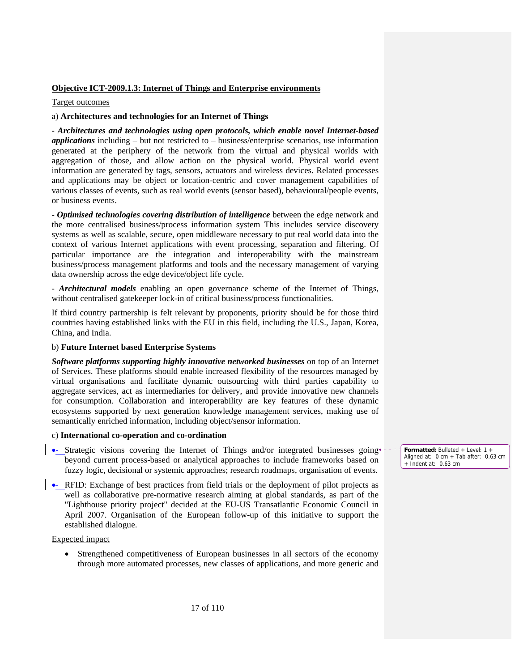# **Objective ICT-2009.1.3: Internet of Things and Enterprise environments**

# Target outcomes

# a) **Architectures and technologies for an Internet of Things**

- *Architectures and technologies using open protocols, which enable novel Internet-based applications* including – but not restricted to – business/enterprise scenarios, use information generated at the periphery of the network from the virtual and physical worlds with aggregation of those, and allow action on the physical world. Physical world event information are generated by tags, sensors, actuators and wireless devices. Related processes and applications may be object or location-centric and cover management capabilities of various classes of events, such as real world events (sensor based), behavioural/people events, or business events.

- *Optimised technologies covering distribution of intelligence* between the edge network and the more centralised business/process information system This includes service discovery systems as well as scalable, secure, open middleware necessary to put real world data into the context of various Internet applications with event processing, separation and filtering. Of particular importance are the integration and interoperability with the mainstream business/process management platforms and tools and the necessary management of varying data ownership across the edge device/object life cycle.

- *Architectural models* enabling an open governance scheme of the Internet of Things, without centralised gatekeeper lock-in of critical business/process functionalities.

If third country partnership is felt relevant by proponents, priority should be for those third countries having established links with the EU in this field, including the U.S., Japan, Korea, China, and India.

# b) **Future Internet based Enterprise Systems**

*Software platforms supporting highly innovative networked businesses* on top of an Internet of Services. These platforms should enable increased flexibility of the resources managed by virtual organisations and facilitate dynamic outsourcing with third parties capability to aggregate services, act as intermediaries for delivery, and provide innovative new channels for consumption. Collaboration and interoperability are key features of these dynamic ecosystems supported by next generation knowledge management services, making use of semantically enriched information, including object/sensor information.

# c) **International co-operation and co-ordination**

- Strategic visions covering the Internet of Things and/or integrated businesses going beyond current process-based or analytical approaches to include frameworks based on fuzzy logic, decisional or systemic approaches; research roadmaps, organisation of events.
- RFID: Exchange of best practices from field trials or the deployment of pilot projects as well as collaborative pre-normative research aiming at global standards, as part of the "Lighthouse priority project" decided at the EU-US Transatlantic Economic Council in April 2007. Organisation of the European follow-up of this initiative to support the established dialogue.

Expected impact

• Strengthened competitiveness of European businesses in all sectors of the economy through more automated processes, new classes of applications, and more generic and **Formatted:** Bulleted + Level: 1 + Aligned at: 0 cm + Tab after: 0.63 cm + Indent at: 0.63 cm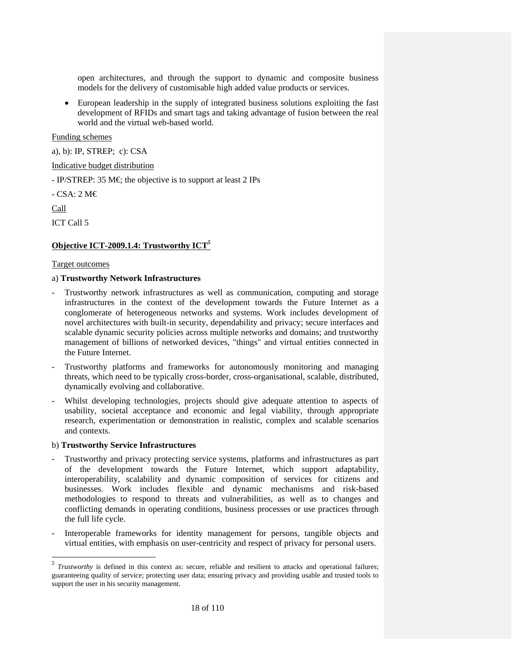open architectures, and through the support to dynamic and composite business models for the delivery of customisable high added value products or services.

• European leadership in the supply of integrated business solutions exploiting the fast development of RFIDs and smart tags and taking advantage of fusion between the real world and the virtual web-based world.

### Funding schemes

a), b): IP, STREP; c): CSA

# Indicative budget distribution

- IP/STREP: 35 M $\in$ ; the objective is to support at least 2 IPs

- CSA: 2 M€

Call

-

ICT Call 5

# **Objective ICT-2009.1.4: Trustworthy ICT***<sup>5</sup>*

#### Target outcomes

### a) **Trustworthy Network Infrastructures**

- Trustworthy network infrastructures as well as communication, computing and storage infrastructures in the context of the development towards the Future Internet as a conglomerate of heterogeneous networks and systems. Work includes development of novel architectures with built-in security, dependability and privacy; secure interfaces and scalable dynamic security policies across multiple networks and domains; and trustworthy management of billions of networked devices, "things" and virtual entities connected in the Future Internet.
- Trustworthy platforms and frameworks for autonomously monitoring and managing threats, which need to be typically cross-border, cross-organisational, scalable, distributed, dynamically evolving and collaborative.
- Whilst developing technologies, projects should give adequate attention to aspects of usability, societal acceptance and economic and legal viability, through appropriate research, experimentation or demonstration in realistic, complex and scalable scenarios and contexts.

#### b) **Trustworthy Service Infrastructures**

- Trustworthy and privacy protecting service systems, platforms and infrastructures as part of the development towards the Future Internet, which support adaptability, interoperability, scalability and dynamic composition of services for citizens and businesses. Work includes flexible and dynamic mechanisms and risk-based methodologies to respond to threats and vulnerabilities, as well as to changes and conflicting demands in operating conditions, business processes or use practices through the full life cycle.
- Interoperable frameworks for identity management for persons, tangible objects and virtual entities, with emphasis on user-centricity and respect of privacy for personal users.

<sup>&</sup>lt;sup>5</sup> *Trustworthy* is defined in this context as: secure, reliable and resilient to attacks and operational failures; guaranteeing quality of service; protecting user data; ensuring privacy and providing usable and trusted tools to support the user in his security management.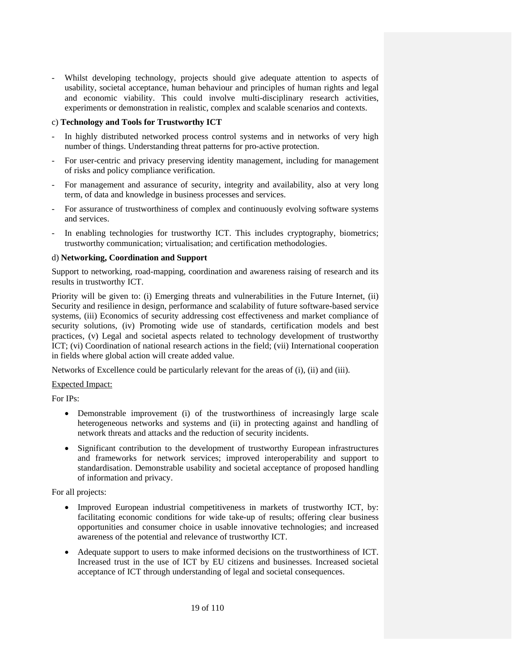- Whilst developing technology, projects should give adequate attention to aspects of usability, societal acceptance, human behaviour and principles of human rights and legal and economic viability. This could involve multi-disciplinary research activities, experiments or demonstration in realistic, complex and scalable scenarios and contexts.

# c) **Technology and Tools for Trustworthy ICT**

- In highly distributed networked process control systems and in networks of very high number of things. Understanding threat patterns for pro-active protection.
- For user-centric and privacy preserving identity management, including for management of risks and policy compliance verification.
- For management and assurance of security, integrity and availability, also at very long term, of data and knowledge in business processes and services.
- For assurance of trustworthiness of complex and continuously evolving software systems and services.
- In enabling technologies for trustworthy ICT. This includes cryptography, biometrics; trustworthy communication; virtualisation; and certification methodologies.

# d) **Networking, Coordination and Support**

Support to networking, road-mapping, coordination and awareness raising of research and its results in trustworthy ICT.

Priority will be given to: (i) Emerging threats and vulnerabilities in the Future Internet, (ii) Security and resilience in design, performance and scalability of future software-based service systems, (iii) Economics of security addressing cost effectiveness and market compliance of security solutions, (iv) Promoting wide use of standards, certification models and best practices, (v) Legal and societal aspects related to technology development of trustworthy ICT; (vi) Coordination of national research actions in the field; (vii) International cooperation in fields where global action will create added value.

Networks of Excellence could be particularly relevant for the areas of (i), (ii) and (iii).

Expected Impact:

For IPs:

- Demonstrable improvement (i) of the trustworthiness of increasingly large scale heterogeneous networks and systems and (ii) in protecting against and handling of network threats and attacks and the reduction of security incidents.
- Significant contribution to the development of trustworthy European infrastructures and frameworks for network services; improved interoperability and support to standardisation. Demonstrable usability and societal acceptance of proposed handling of information and privacy.

For all projects:

- Improved European industrial competitiveness in markets of trustworthy ICT, by: facilitating economic conditions for wide take-up of results; offering clear business opportunities and consumer choice in usable innovative technologies; and increased awareness of the potential and relevance of trustworthy ICT.
- Adequate support to users to make informed decisions on the trustworthiness of ICT. Increased trust in the use of ICT by EU citizens and businesses. Increased societal acceptance of ICT through understanding of legal and societal consequences.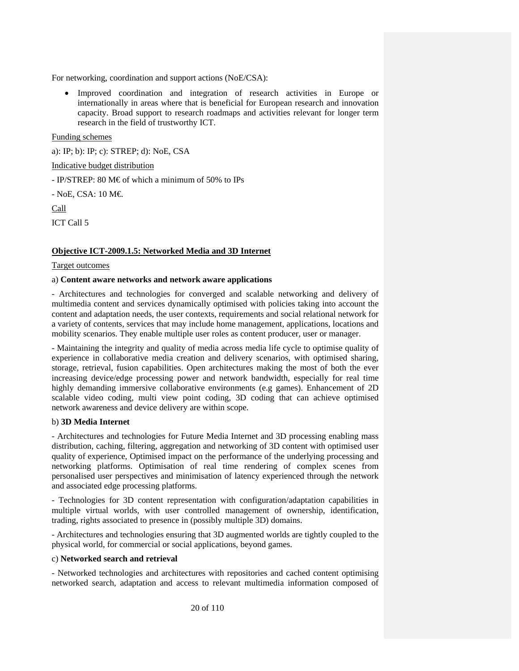For networking, coordination and support actions (NoE/CSA):

• Improved coordination and integration of research activities in Europe or internationally in areas where that is beneficial for European research and innovation capacity. Broad support to research roadmaps and activities relevant for longer term research in the field of trustworthy ICT.

Funding schemes

a): IP; b): IP; c): STREP; d): NoE, CSA

Indicative budget distribution

- IP/STREP: 80 M€ of which a minimum of 50% to IPs

- NoE, CSA: 10 M€.

Call

ICT Call 5

# **Objective ICT-2009.1.5: Networked Media and 3D Internet**

# Target outcomes

# a) **Content aware networks and network aware applications**

- Architectures and technologies for converged and scalable networking and delivery of multimedia content and services dynamically optimised with policies taking into account the content and adaptation needs, the user contexts, requirements and social relational network for a variety of contents, services that may include home management, applications, locations and mobility scenarios. They enable multiple user roles as content producer, user or manager.

- Maintaining the integrity and quality of media across media life cycle to optimise quality of experience in collaborative media creation and delivery scenarios, with optimised sharing, storage, retrieval, fusion capabilities. Open architectures making the most of both the ever increasing device/edge processing power and network bandwidth, especially for real time highly demanding immersive collaborative environments (e.g games). Enhancement of 2D scalable video coding, multi view point coding, 3D coding that can achieve optimised network awareness and device delivery are within scope.

# b) **3D Media Internet**

- Architectures and technologies for Future Media Internet and 3D processing enabling mass distribution, caching, filtering, aggregation and networking of 3D content with optimised user quality of experience, Optimised impact on the performance of the underlying processing and networking platforms. Optimisation of real time rendering of complex scenes from personalised user perspectives and minimisation of latency experienced through the network and associated edge processing platforms.

- Technologies for 3D content representation with configuration/adaptation capabilities in multiple virtual worlds, with user controlled management of ownership, identification, trading, rights associated to presence in (possibly multiple 3D) domains.

- Architectures and technologies ensuring that 3D augmented worlds are tightly coupled to the physical world, for commercial or social applications, beyond games.

# c) **Networked search and retrieval**

- Networked technologies and architectures with repositories and cached content optimising networked search, adaptation and access to relevant multimedia information composed of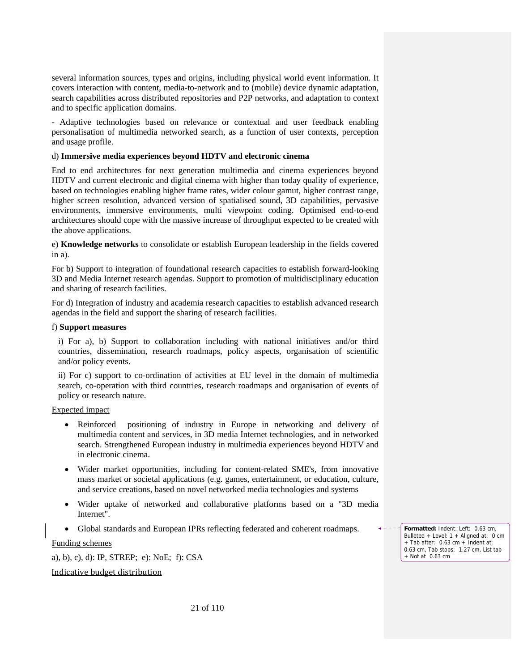several information sources, types and origins, including physical world event information. It covers interaction with content, media-to-network and to (mobile) device dynamic adaptation, search capabilities across distributed repositories and P2P networks, and adaptation to context and to specific application domains.

- Adaptive technologies based on relevance or contextual and user feedback enabling personalisation of multimedia networked search, as a function of user contexts, perception and usage profile.

### d) **Immersive media experiences beyond HDTV and electronic cinema**

End to end architectures for next generation multimedia and cinema experiences beyond HDTV and current electronic and digital cinema with higher than today quality of experience, based on technologies enabling higher frame rates, wider colour gamut, higher contrast range, higher screen resolution, advanced version of spatialised sound, 3D capabilities, pervasive environments, immersive environments, multi viewpoint coding. Optimised end-to-end architectures should cope with the massive increase of throughput expected to be created with the above applications.

e) **Knowledge networks** to consolidate or establish European leadership in the fields covered in a).

For b) Support to integration of foundational research capacities to establish forward-looking 3D and Media Internet research agendas. Support to promotion of multidisciplinary education and sharing of research facilities.

For d) Integration of industry and academia research capacities to establish advanced research agendas in the field and support the sharing of research facilities.

### f) **Support measures**

i) For a), b) Support to collaboration including with national initiatives and/or third countries, dissemination, research roadmaps, policy aspects, organisation of scientific and/or policy events.

ii) For c) support to co-ordination of activities at EU level in the domain of multimedia search, co-operation with third countries, research roadmaps and organisation of events of policy or research nature.

### Expected impact

- Reinforced positioning of industry in Europe in networking and delivery of multimedia content and services, in 3D media Internet technologies, and in networked search. Strengthened European industry in multimedia experiences beyond HDTV and in electronic cinema.
- Wider market opportunities, including for content-related SME's, from innovative mass market or societal applications (e.g. games, entertainment, or education, culture, and service creations, based on novel networked media technologies and systems
- Wider uptake of networked and collaborative platforms based on a "3D media Internet".
- Global standards and European IPRs reflecting federated and coherent roadmaps.

Funding schemes

a), b), c), d): IP, STREP; e): NoE; f): CSA

### Indicative budget distribution

**Formatted:** Indent: Left: 0.63 cm, Bulleted + Level: 1 + Aligned at: 0 cm + Tab after: 0.63 cm + Indent at: 0.63 cm, Tab stops: 1.27 cm, List tab + Not at 0.63 cm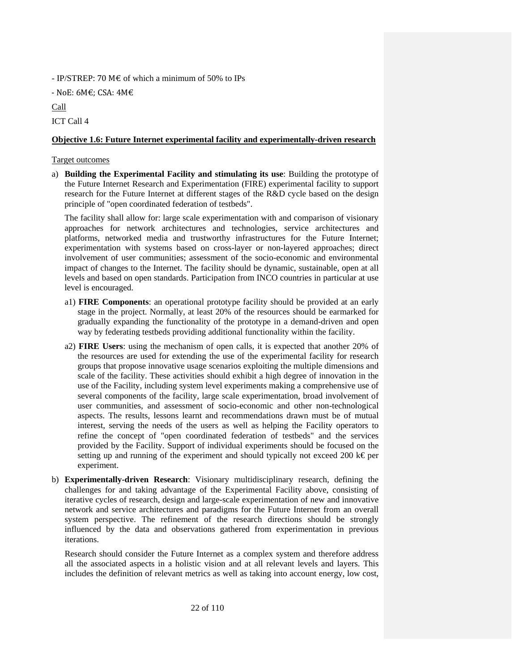- IP/STREP: 70 M $\epsilon$  of which a minimum of 50% to IPs

‐ NoE: 6M€; CSA: 4M€

Call

ICT Call 4

# **Objective 1.6: Future Internet experimental facility and experimentally-driven research**

# Target outcomes

a) **Building the Experimental Facility and stimulating its use**: Building the prototype of the Future Internet Research and Experimentation (FIRE) experimental facility to support research for the Future Internet at different stages of the R&D cycle based on the design principle of "open coordinated federation of testbeds".

The facility shall allow for: large scale experimentation with and comparison of visionary approaches for network architectures and technologies, service architectures and platforms, networked media and trustworthy infrastructures for the Future Internet; experimentation with systems based on cross-layer or non-layered approaches; direct involvement of user communities; assessment of the socio-economic and environmental impact of changes to the Internet. The facility should be dynamic, sustainable, open at all levels and based on open standards. Participation from INCO countries in particular at use level is encouraged.

- a1) **FIRE Components**: an operational prototype facility should be provided at an early stage in the project. Normally, at least 20% of the resources should be earmarked for gradually expanding the functionality of the prototype in a demand-driven and open way by federating testbeds providing additional functionality within the facility.
- a2) **FIRE Users**: using the mechanism of open calls, it is expected that another 20% of the resources are used for extending the use of the experimental facility for research groups that propose innovative usage scenarios exploiting the multiple dimensions and scale of the facility. These activities should exhibit a high degree of innovation in the use of the Facility, including system level experiments making a comprehensive use of several components of the facility, large scale experimentation, broad involvement of user communities, and assessment of socio-economic and other non-technological aspects. The results, lessons learnt and recommendations drawn must be of mutual interest, serving the needs of the users as well as helping the Facility operators to refine the concept of "open coordinated federation of testbeds" and the services provided by the Facility. Support of individual experiments should be focused on the setting up and running of the experiment and should typically not exceed 200 k€ per experiment.
- b) **Experimentally-driven Research**: Visionary multidisciplinary research, defining the challenges for and taking advantage of the Experimental Facility above, consisting of iterative cycles of research, design and large-scale experimentation of new and innovative network and service architectures and paradigms for the Future Internet from an overall system perspective. The refinement of the research directions should be strongly influenced by the data and observations gathered from experimentation in previous iterations.

Research should consider the Future Internet as a complex system and therefore address all the associated aspects in a holistic vision and at all relevant levels and layers. This includes the definition of relevant metrics as well as taking into account energy, low cost,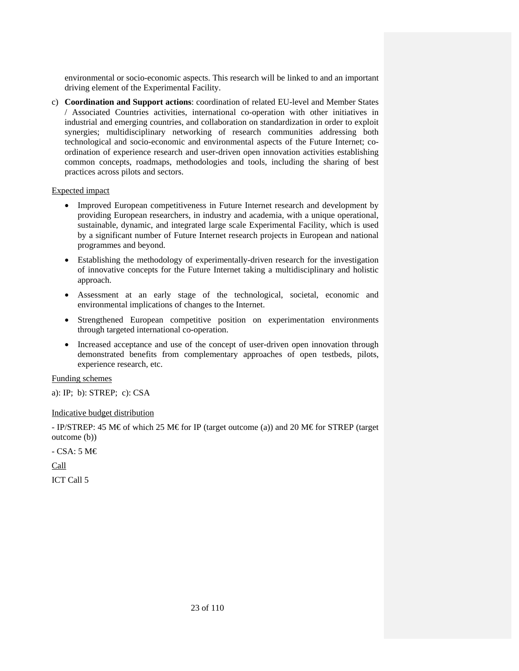environmental or socio-economic aspects. This research will be linked to and an important driving element of the Experimental Facility.

c) **Coordination and Support actions**: coordination of related EU-level and Member States / Associated Countries activities, international co-operation with other initiatives in industrial and emerging countries, and collaboration on standardization in order to exploit synergies; multidisciplinary networking of research communities addressing both technological and socio-economic and environmental aspects of the Future Internet; coordination of experience research and user-driven open innovation activities establishing common concepts, roadmaps, methodologies and tools, including the sharing of best practices across pilots and sectors.

### Expected impact

- Improved European competitiveness in Future Internet research and development by providing European researchers, in industry and academia, with a unique operational, sustainable, dynamic, and integrated large scale Experimental Facility, which is used by a significant number of Future Internet research projects in European and national programmes and beyond.
- Establishing the methodology of experimentally-driven research for the investigation of innovative concepts for the Future Internet taking a multidisciplinary and holistic approach.
- Assessment at an early stage of the technological, societal, economic and environmental implications of changes to the Internet.
- Strengthened European competitive position on experimentation environments through targeted international co-operation.
- Increased acceptance and use of the concept of user-driven open innovation through demonstrated benefits from complementary approaches of open testbeds, pilots, experience research, etc.

Funding schemes

a): IP; b): STREP; c): CSA

# Indicative budget distribution

- IP/STREP: 45 M€ of which 25 M€ for IP (target outcome (a)) and 20 M€ for STREP (target outcome (b))

- CSA: 5 M€

Call

ICT Call 5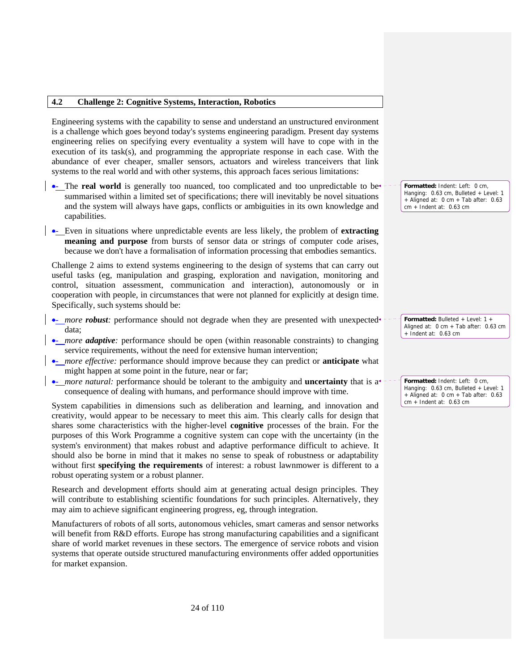### **4.2 Challenge 2: Cognitive Systems, Interaction, Robotics**

Engineering systems with the capability to sense and understand an unstructured environment is a challenge which goes beyond today's systems engineering paradigm. Present day systems engineering relies on specifying every eventuality a system will have to cope with in the execution of its task(s), and programming the appropriate response in each case. With the abundance of ever cheaper, smaller sensors, actuators and wireless tranceivers that link systems to the real world and with other systems, this approach faces serious limitations:

- The **real world** is generally too nuanced, too complicated and too unpredictable to be summarised within a limited set of specifications; there will inevitably be novel situations and the system will always have gaps, conflicts or ambiguities in its own knowledge and capabilities.
- •- Even in situations where unpredictable events are less likely, the problem of **extracting meaning and purpose** from bursts of sensor data or strings of computer code arises, because we don't have a formalisation of information processing that embodies semantics.

Challenge 2 aims to extend systems engineering to the design of systems that can carry out useful tasks (eg, manipulation and grasping, exploration and navigation, monitoring and control, situation assessment, communication and interaction), autonomously or in cooperation with people, in circumstances that were not planned for explicitly at design time. Specifically, such systems should be:

- *more robust:* performance should not degrade when they are presented with unexpected<sup>\*</sup> data;
- *more adaptive*: performance should be open (within reasonable constraints) to changing service requirements, without the need for extensive human intervention;
- •- *more effective:* performance should improve because they can predict or **anticipate** what might happen at some point in the future, near or far;
- *more natural:* performance should be tolerant to the ambiguity and **uncertainty** that is a consequence of dealing with humans, and performance should improve with time.

System capabilities in dimensions such as deliberation and learning, and innovation and creativity, would appear to be necessary to meet this aim. This clearly calls for design that shares some characteristics with the higher-level **cognitive** processes of the brain. For the purposes of this Work Programme a cognitive system can cope with the uncertainty (in the system's environment) that makes robust and adaptive performance difficult to achieve. It should also be borne in mind that it makes no sense to speak of robustness or adaptability without first **specifying the requirements** of interest: a robust lawnmower is different to a robust operating system or a robust planner.

Research and development efforts should aim at generating actual design principles. They will contribute to establishing scientific foundations for such principles. Alternatively, they may aim to achieve significant engineering progress, eg, through integration.

Manufacturers of robots of all sorts, autonomous vehicles, smart cameras and sensor networks will benefit from R&D efforts. Europe has strong manufacturing capabilities and a significant share of world market revenues in these sectors. The emergence of service robots and vision systems that operate outside structured manufacturing environments offer added opportunities for market expansion.

**Formatted:** Indent: Left: 0 cm, Hanging: 0.63 cm, Bulleted + Level: 1 + Aligned at: 0 cm + Tab after: 0.63 cm + Indent at: 0.63 cm

**Formatted:** Bulleted + Level: 1 + Aligned at: 0 cm + Tab after: 0.63 cm + Indent at: 0.63 cm

**Formatted:** Indent: Left: 0 cm, Hanging: 0.63 cm, Bulleted + Level: 1 + Aligned at: 0 cm + Tab after: 0.63 cm + Indent at: 0.63 cm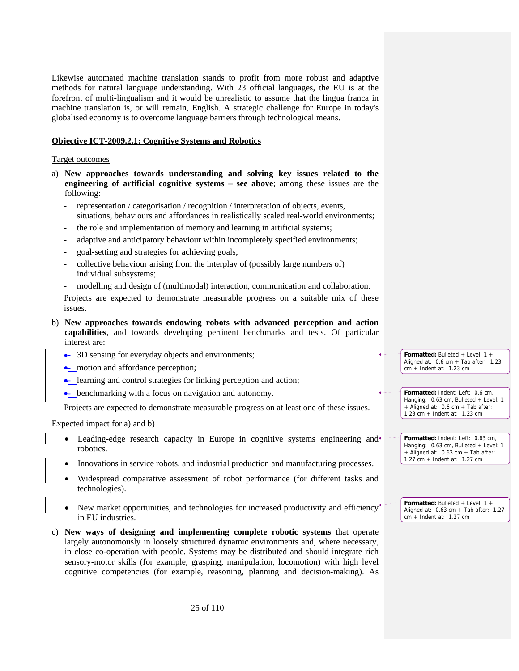Likewise automated machine translation stands to profit from more robust and adaptive methods for natural language understanding. With 23 official languages, the EU is at the forefront of multi-lingualism and it would be unrealistic to assume that the lingua franca in machine translation is, or will remain, English. A strategic challenge for Europe in today's globalised economy is to overcome language barriers through technological means.

### **Objective ICT-2009.2.1: Cognitive Systems and Robotics**

#### Target outcomes

- a) **New approaches towards understanding and solving key issues related to the engineering of artificial cognitive systems – see above**; among these issues are the following:
	- representation / categorisation / recognition / interpretation of objects, events, situations, behaviours and affordances in realistically scaled real-world environments;
	- the role and implementation of memory and learning in artificial systems;
	- adaptive and anticipatory behaviour within incompletely specified environments;
	- goal-setting and strategies for achieving goals;
	- collective behaviour arising from the interplay of (possibly large numbers of) individual subsystems;
	- modelling and design of (multimodal) interaction, communication and collaboration.

Projects are expected to demonstrate measurable progress on a suitable mix of these issues.

- b) **New approaches towards endowing robots with advanced perception and action capabilities**, and towards developing pertinent benchmarks and tests. Of particular interest are:
	- 3D sensing for everyday objects and environments;
	- motion and affordance perception;
	- learning and control strategies for linking perception and action;
	- benchmarking with a focus on navigation and autonomy.

Projects are expected to demonstrate measurable progress on at least one of these issues.

### Expected impact for a) and b)

- Leading-edge research capacity in Europe in cognitive systems engineering and robotics.
- Innovations in service robots, and industrial production and manufacturing processes.
- Widespread comparative assessment of robot performance (for different tasks and technologies).
- New market opportunities, and technologies for increased productivity and efficiency in EU industries.
- c) **New ways of designing and implementing complete robotic systems** that operate largely autonomously in loosely structured dynamic environments and, where necessary, in close co-operation with people. Systems may be distributed and should integrate rich sensory-motor skills (for example, grasping, manipulation, locomotion) with high level cognitive competencies (for example, reasoning, planning and decision-making). As

**Formatted:** Bulleted + Level: 1 + Aligned at: 0.6 cm + Tab after: 1.23 cm + Indent at: 1.23 cm

**Formatted:** Indent: Left: 0.6 cm, Hanging: 0.63 cm, Bulleted + Level: 1 + Aligned at: 0.6 cm + Tab after: 1.23 cm + Indent at: 1.23 cm

**Formatted:** Indent: Left: 0.63 cm, Hanging: 0.63 cm, Bulleted + Level: 1 + Aligned at: 0.63 cm + Tab after: 1.27 cm + Indent at: 1.27 cm

**Formatted:** Bulleted + Level: 1 + Aligned at:  $0.63$  cm + Tab after:  $1.27$ cm + Indent at: 1.27 cm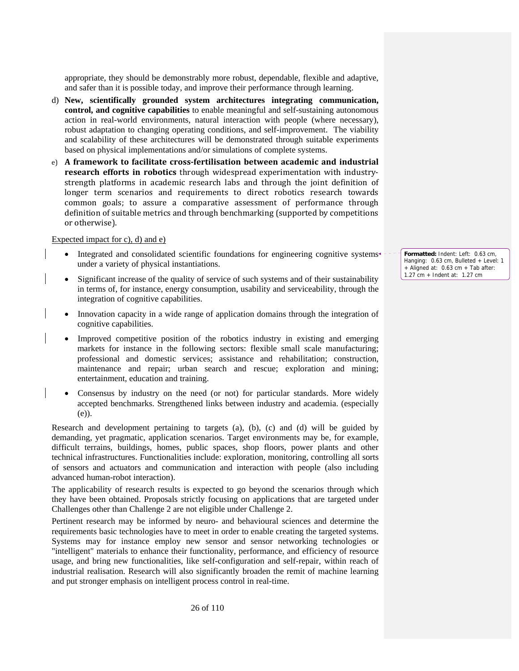appropriate, they should be demonstrably more robust, dependable, flexible and adaptive, and safer than it is possible today, and improve their performance through learning.

- d) **New, scientifically grounded system architectures integrating communication, control, and cognitive capabilities** to enable meaningful and self-sustaining autonomous action in real-world environments, natural interaction with people (where necessary), robust adaptation to changing operating conditions, and self-improvement. The viability and scalability of these architectures will be demonstrated through suitable experiments based on physical implementations and/or simulations of complete systems.
- e) **A framework to facilitate crossfertilisation between academic and industrial research efforts in robotics** through widespread experimentation with industry‐ strength platforms in academic research labs and through the joint definition of longer term scenarios and requirements to direct robotics research towards common goals; to assure a comparative assessment of performance through definition of suitable metrics and through benchmarking (supported by competitions or otherwise).

Expected impact for c), d) and e)

- Integrated and consolidated scientific foundations for engineering cognitive systems under a variety of physical instantiations.
- Significant increase of the quality of service of such systems and of their sustainability in terms of, for instance, energy consumption, usability and serviceability, through the integration of cognitive capabilities.
- Innovation capacity in a wide range of application domains through the integration of cognitive capabilities.
- Improved competitive position of the robotics industry in existing and emerging markets for instance in the following sectors: flexible small scale manufacturing; professional and domestic services; assistance and rehabilitation; construction, maintenance and repair; urban search and rescue; exploration and mining; entertainment, education and training.
- Consensus by industry on the need (or not) for particular standards. More widely accepted benchmarks. Strengthened links between industry and academia. (especially (e)).

Research and development pertaining to targets (a), (b), (c) and (d) will be guided by demanding, yet pragmatic, application scenarios. Target environments may be, for example, difficult terrains, buildings, homes, public spaces, shop floors, power plants and other technical infrastructures. Functionalities include: exploration, monitoring, controlling all sorts of sensors and actuators and communication and interaction with people (also including advanced human-robot interaction).

The applicability of research results is expected to go beyond the scenarios through which they have been obtained. Proposals strictly focusing on applications that are targeted under Challenges other than Challenge 2 are not eligible under Challenge 2.

Pertinent research may be informed by neuro- and behavioural sciences and determine the requirements basic technologies have to meet in order to enable creating the targeted systems. Systems may for instance employ new sensor and sensor networking technologies or "intelligent" materials to enhance their functionality, performance, and efficiency of resource usage, and bring new functionalities, like self-configuration and self-repair, within reach of industrial realisation. Research will also significantly broaden the remit of machine learning and put stronger emphasis on intelligent process control in real-time.

**Formatted:** Indent: Left: 0.63 cm, Hanging: 0.63 cm, Bulleted + Level: 1 + Aligned at: 0.63 cm + Tab after: 1.27 cm + Indent at: 1.27 cm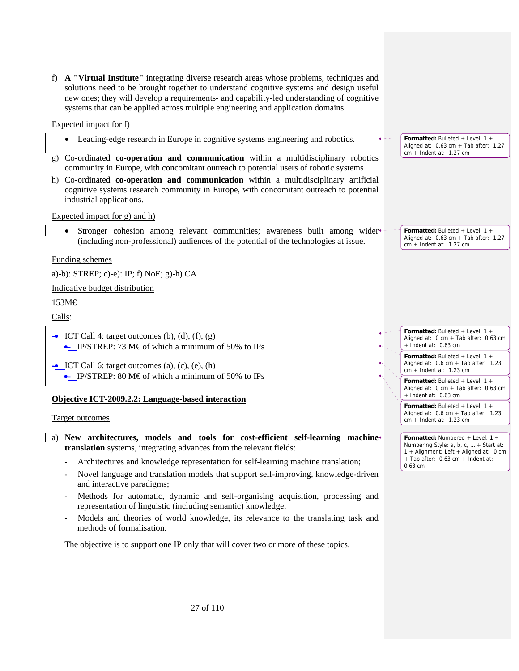f) **A "Virtual Institute"** integrating diverse research areas whose problems, techniques and solutions need to be brought together to understand cognitive systems and design useful new ones; they will develop a requirements- and capability-led understanding of cognitive systems that can be applied across multiple engineering and application domains.

# Expected impact for f)

- Leading-edge research in Europe in cognitive systems engineering and robotics.
- g) Co-ordinated **co-operation and communication** within a multidisciplinary robotics community in Europe, with concomitant outreach to potential users of robotic systems
- h) Co-ordinated **co-operation and communication** within a multidisciplinary artificial cognitive systems research community in Europe, with concomitant outreach to potential industrial applications.

### Expected impact for g) and h)

• Stronger cohesion among relevant communities; awareness built among wider (including non-professional) audiences of the potential of the technologies at issue.

### Funding schemes

a)-b): STREP; c)-e): IP; f) NoE; g)-h) CA

### Indicative budget distribution

# 153M€

Calls:

 $\lnot$  ICT Call 4: target outcomes (b), (d), (f), (g) • IP/STREP: 73 M  $\epsilon$  of which a minimum of 50% to IPs

 $\overline{\text{C}}$  ICT Call 6: target outcomes (a), (c), (e), (h) • IP/STREP: 80 M€ of which a minimum of 50% to IPs

### **Objective ICT-2009.2.2: Language-based interaction**

### Target outcomes

- a) **New architectures, models and tools for cost-efficient self-learning machine translation** systems, integrating advances from the relevant fields:
	- Architectures and knowledge representation for self-learning machine translation;
	- Novel language and translation models that support self-improving, knowledge-driven and interactive paradigms;
	- Methods for automatic, dynamic and self-organising acquisition, processing and representation of linguistic (including semantic) knowledge;
	- Models and theories of world knowledge, its relevance to the translating task and methods of formalisation.

The objective is to support one IP only that will cover two or more of these topics.

**Formatted:** Bulleted + Level: 1 + Aligned at: 0.63 cm + Tab after: 1.27 cm + Indent at: 1.27 cm

Aligned at:  $0.63$  cm + Tab after:  $1.27$ cm + Indent at: 1.27 cm

**Formatted:** Bulleted + Level: 1 +

**Formatted:** Bulleted + Level: 1 + Aligned at: 0 cm + Tab after: 0.63 cm + Indent at: 0.63 cm

**Formatted:** Bulleted + Level: 1 + Aligned at: 0.6 cm + Tab after: 1.23 cm + Indent at: 1.23 cm

**Formatted:** Bulleted + Level: 1 + Aligned at: 0 cm + Tab after: 0.63 cm  $+$  Indent at: 0.63 cm

**Formatted:** Bulleted + Level: 1 + Aligned at: 0.6 cm + Tab after: 1.23 cm + Indent at: 1.23 cm

**Formatted:** Numbered + Level: 1 + Numbering Style: a, b, c, … + Start at: 1 + Alignment: Left + Aligned at: 0 cm + Tab after: 0.63 cm + Indent at: 0.63 cm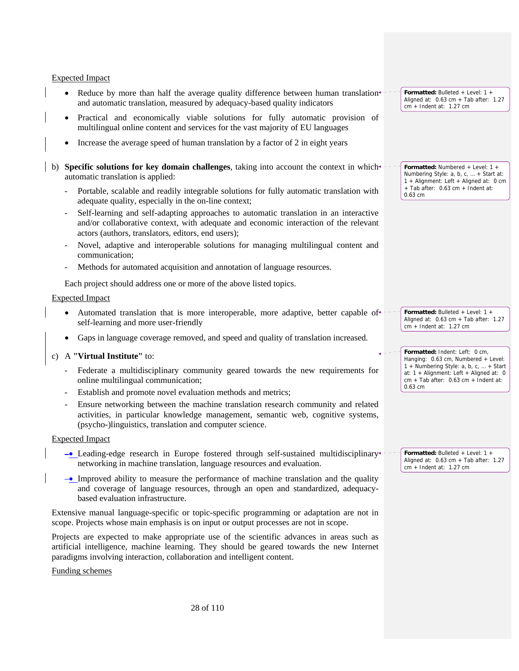### Expected Impact

- Reduce by more than half the average quality difference between human translation and automatic translation, measured by adequacy-based quality indicators
- Practical and economically viable solutions for fully automatic provision of multilingual online content and services for the vast majority of EU languages
- Increase the average speed of human translation by a factor of 2 in eight years
- b) **Specific solutions for key domain challenges**, taking into account the context in whichautomatic translation is applied:
	- Portable, scalable and readily integrable solutions for fully automatic translation with adequate quality, especially in the on-line context;
	- Self-learning and self-adapting approaches to automatic translation in an interactive and/or collaborative context, with adequate and economic interaction of the relevant actors (authors, translators, editors, end users);
	- Novel, adaptive and interoperable solutions for managing multilingual content and communication;
	- Methods for automated acquisition and annotation of language resources.

Each project should address one or more of the above listed topics.

#### Expected Impact

- Automated translation that is more interoperable, more adaptive, better capable of  $\epsilon$  self-learning and more user-friendly
- Gaps in language coverage removed, and speed and quality of translation increased.

### c) A **"Virtual Institute"** to:

- Federate a multidisciplinary community geared towards the new requirements for online multilingual communication;
- Establish and promote novel evaluation methods and metrics;
- Ensure networking between the machine translation research community and related activities, in particular knowledge management, semantic web, cognitive systems, (psycho-)linguistics, translation and computer science.

#### Expected Impact

- $\rightarrow$  Leading-edge research in Europe fostered through self-sustained multidisciplinary networking in machine translation, language resources and evaluation.
- –• Improved ability to measure the performance of machine translation and the quality and coverage of language resources, through an open and standardized, adequacybased evaluation infrastructure.

Extensive manual language-specific or topic-specific programming or adaptation are not in scope. Projects whose main emphasis is on input or output processes are not in scope.

Projects are expected to make appropriate use of the scientific advances in areas such as artificial intelligence, machine learning. They should be geared towards the new Internet paradigms involving interaction, collaboration and intelligent content.

Funding schemes

**Formatted:** Bulleted + Level: 1 + Aligned at: 0.63 cm + Tab after: 1.27 cm + Indent at: 1.27 cm

**Formatted:** Numbered + Level: 1 + Numbering Style: a, b, c, … + Start at: 1 + Alignment: Left + Aligned at: 0 cm + Tab after: 0.63 cm + Indent at: 0.63 cm

**Formatted:** Bulleted + Level: 1 + Aligned at: 0.63 cm + Tab after: 1.27 cm + Indent at: 1.27 cm

**Formatted:** Indent: Left: 0 cm, Hanging: 0.63 cm, Numbered + Level: 1 + Numbering Style: a, b, c, … + Start at: 1 + Alignment: Left + Aligned at: 0  $cm + Tab$  after:  $0.63$  cm + Indent at: 0.63 cm

**Formatted:** Bulleted + Level: 1 + Aligned at: 0.63 cm + Tab after: 1.27 cm + Indent at: 1.27 cm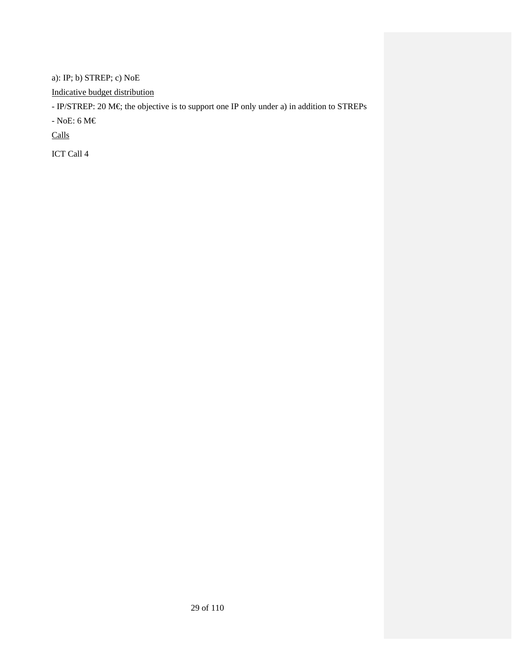a): IP; b) STREP; c) NoE

Indicative budget distribution

- IP/STREP: 20 M€; the objective is to support one IP only under a) in addition to STREPs

- NoE: 6 M $\in$ 

Calls

ICT Call 4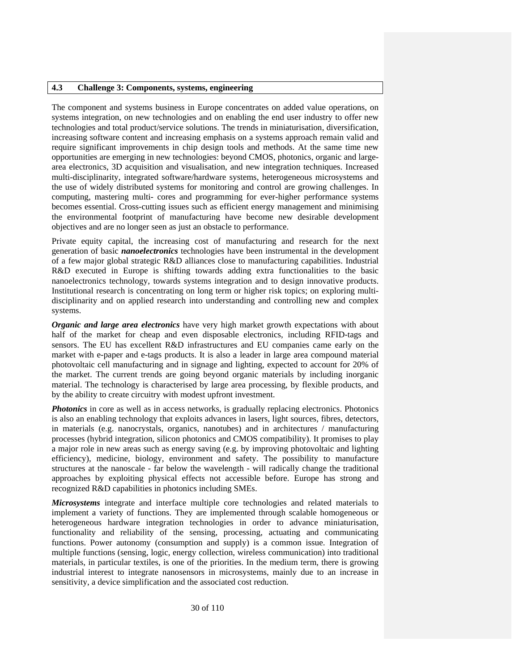### **4.3 Challenge 3: Components, systems, engineering**

The component and systems business in Europe concentrates on added value operations, on systems integration, on new technologies and on enabling the end user industry to offer new technologies and total product/service solutions. The trends in miniaturisation, diversification, increasing software content and increasing emphasis on a systems approach remain valid and require significant improvements in chip design tools and methods. At the same time new opportunities are emerging in new technologies: beyond CMOS, photonics, organic and largearea electronics, 3D acquisition and visualisation, and new integration techniques. Increased multi-disciplinarity, integrated software/hardware systems, heterogeneous microsystems and the use of widely distributed systems for monitoring and control are growing challenges. In computing, mastering multi- cores and programming for ever-higher performance systems becomes essential. Cross-cutting issues such as efficient energy management and minimising the environmental footprint of manufacturing have become new desirable development objectives and are no longer seen as just an obstacle to performance.

Private equity capital, the increasing cost of manufacturing and research for the next generation of basic *nanoelectronics* technologies have been instrumental in the development of a few major global strategic R&D alliances close to manufacturing capabilities. Industrial R&D executed in Europe is shifting towards adding extra functionalities to the basic nanoelectronics technology, towards systems integration and to design innovative products. Institutional research is concentrating on long term or higher risk topics; on exploring multidisciplinarity and on applied research into understanding and controlling new and complex systems.

*Organic and large area electronics* have very high market growth expectations with about half of the market for cheap and even disposable electronics, including RFID-tags and sensors. The EU has excellent R&D infrastructures and EU companies came early on the market with e-paper and e-tags products. It is also a leader in large area compound material photovoltaic cell manufacturing and in signage and lighting, expected to account for 20% of the market. The current trends are going beyond organic materials by including inorganic material. The technology is characterised by large area processing, by flexible products, and by the ability to create circuitry with modest upfront investment.

*Photonics* in core as well as in access networks, is gradually replacing electronics. Photonics is also an enabling technology that exploits advances in lasers, light sources, fibres, detectors, in materials (e.g. nanocrystals, organics, nanotubes) and in architectures / manufacturing processes (hybrid integration, silicon photonics and CMOS compatibility). It promises to play a major role in new areas such as energy saving (e.g. by improving photovoltaic and lighting efficiency), medicine, biology, environment and safety. The possibility to manufacture structures at the nanoscale - far below the wavelength - will radically change the traditional approaches by exploiting physical effects not accessible before. Europe has strong and recognized R&D capabilities in photonics including SMEs.

*Microsystems* integrate and interface multiple core technologies and related materials to implement a variety of functions. They are implemented through scalable homogeneous or heterogeneous hardware integration technologies in order to advance miniaturisation, functionality and reliability of the sensing, processing, actuating and communicating functions. Power autonomy (consumption and supply) is a common issue. Integration of multiple functions (sensing, logic, energy collection, wireless communication) into traditional materials, in particular textiles, is one of the priorities. In the medium term, there is growing industrial interest to integrate nanosensors in microsystems, mainly due to an increase in sensitivity, a device simplification and the associated cost reduction.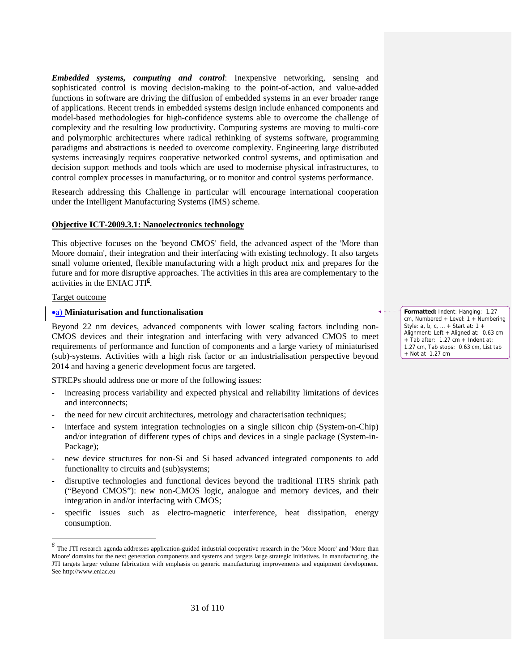*Embedded systems, computing and control*: Inexpensive networking, sensing and sophisticated control is moving decision-making to the point-of-action, and value-added functions in software are driving the diffusion of embedded systems in an ever broader range of applications. Recent trends in embedded systems design include enhanced components and model-based methodologies for high-confidence systems able to overcome the challenge of complexity and the resulting low productivity. Computing systems are moving to multi-core and polymorphic architectures where radical rethinking of systems software, programming paradigms and abstractions is needed to overcome complexity. Engineering large distributed systems increasingly requires cooperative networked control systems, and optimisation and decision support methods and tools which are used to modernise physical infrastructures, to control complex processes in manufacturing, or to monitor and control systems performance.

Research addressing this Challenge in particular will encourage international cooperation under the Intelligent Manufacturing Systems (IMS) scheme.

#### **Objective ICT-2009.3.1: Nanoelectronics technology**

This objective focuses on the 'beyond CMOS' field, the advanced aspect of the 'More than Moore domain', their integration and their interfacing with existing technology. It also targets small volume oriented, flexible manufacturing with a high product mix and prepares for the future and for more disruptive approaches. The activities in this area are complementary to the activities in the ENIAC JTI*<sup>6</sup>* .

#### Target outcome

-

#### •a) **Miniaturisation and functionalisation**

Beyond 22 nm devices, advanced components with lower scaling factors including non-CMOS devices and their integration and interfacing with very advanced CMOS to meet requirements of performance and function of components and a large variety of miniaturised (sub)-systems. Activities with a high risk factor or an industrialisation perspective beyond 2014 and having a generic development focus are targeted.

STREPs should address one or more of the following issues:

- increasing process variability and expected physical and reliability limitations of devices and interconnects;
- the need for new circuit architectures, metrology and characterisation techniques;
- interface and system integration technologies on a single silicon chip (System-on-Chip) and/or integration of different types of chips and devices in a single package (System-in-Package);
- new device structures for non-Si and Si based advanced integrated components to add functionality to circuits and (sub)systems;
- disruptive technologies and functional devices beyond the traditional ITRS shrink path ("Beyond CMOS"): new non-CMOS logic, analogue and memory devices, and their integration in and/or interfacing with CMOS;
- specific issues such as electro-magnetic interference, heat dissipation, energy consumption.

**Formatted:** Indent: Hanging: 1.27 cm, Numbered + Level: 1 + Numbering Style: a, b, c, … + Start at: 1 + Alignment: Left + Aligned at: 0.63 cm  $+$  Tab after: 1.27 cm  $+$  Indent at: 1.27 cm, Tab stops: 0.63 cm, List tab + Not at 1.27 cm

<sup>&</sup>lt;sup>6</sup> The JTI research agenda addresses application-guided industrial cooperative research in the 'More Moore' and 'More than Moore' domains for the next generation components and systems and targets large strategic initiatives. In manufacturing, the JTI targets larger volume fabrication with emphasis on generic manufacturing improvements and equipment development. See http://www.eniac.eu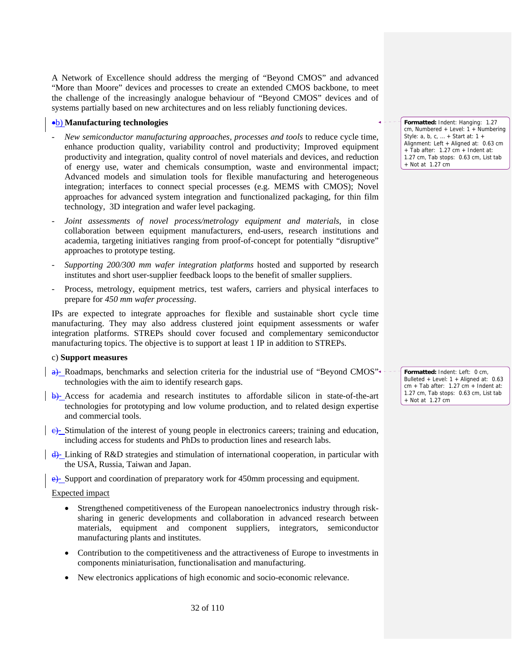A Network of Excellence should address the merging of "Beyond CMOS" and advanced "More than Moore" devices and processes to create an extended CMOS backbone, to meet the challenge of the increasingly analogue behaviour of "Beyond CMOS" devices and of systems partially based on new architectures and on less reliably functioning devices.

#### •b) **Manufacturing technologies**

- *New semiconductor manufacturing approaches, processes and tools* to reduce cycle time, enhance production quality, variability control and productivity; Improved equipment productivity and integration, quality control of novel materials and devices, and reduction of energy use, water and chemicals consumption, waste and environmental impact; Advanced models and simulation tools for flexible manufacturing and heterogeneous integration; interfaces to connect special processes (e.g. MEMS with CMOS); Novel approaches for advanced system integration and functionalized packaging, for thin film technology, 3D integration and wafer level packaging.
- *Joint assessments of novel process/metrology equipment and materials*, in close collaboration between equipment manufacturers, end-users, research institutions and academia, targeting initiatives ranging from proof-of-concept for potentially "disruptive" approaches to prototype testing.
- *Supporting 200/300 mm wafer integration platforms* hosted and supported by research institutes and short user-supplier feedback loops to the benefit of smaller suppliers.
- Process, metrology, equipment metrics, test wafers, carriers and physical interfaces to prepare for *450 mm wafer processing*.

IPs are expected to integrate approaches for flexible and sustainable short cycle time manufacturing. They may also address clustered joint equipment assessments or wafer integration platforms. STREPs should cover focused and complementary semiconductor manufacturing topics. The objective is to support at least 1 IP in addition to STREPs.

#### c) **Support measures**

- a)- Roadmaps, benchmarks and selection criteria for the industrial use of "Beyond CMOS" technologies with the aim to identify research gaps.
- b)- Access for academia and research institutes to affordable silicon in state-of-the-art technologies for prototyping and low volume production, and to related design expertise and commercial tools.
- e)- Stimulation of the interest of young people in electronics careers; training and education, including access for students and PhDs to production lines and research labs.
- d)- Linking of R&D strategies and stimulation of international cooperation, in particular with the USA, Russia, Taiwan and Japan.

e)- Support and coordination of preparatory work for 450mm processing and equipment.

#### Expected impact

- Strengthened competitiveness of the European nanoelectronics industry through risksharing in generic developments and collaboration in advanced research between materials, equipment and component suppliers, integrators, semiconductor manufacturing plants and institutes.
- Contribution to the competitiveness and the attractiveness of Europe to investments in components miniaturisation, functionalisation and manufacturing.
- New electronics applications of high economic and socio-economic relevance.

**Formatted:** Indent: Hanging: 1.27 cm, Numbered + Level: 1 + Numbering Style: a, b, c, … + Start at: 1 + Alignment: Left + Aligned at: 0.63 cm  $+$  Tab after: 1.27 cm  $+$  Indent at: 1.27 cm, Tab stops: 0.63 cm, List tab + Not at 1.27 cm

**Formatted:** Indent: Left: 0 cm, Bulleted + Level: 1 + Aligned at: 0.63  $cm + Tab$  after: 1.27  $cm + Indent$  at: 1.27 cm, Tab stops: 0.63 cm, List tab + Not at 1.27 cm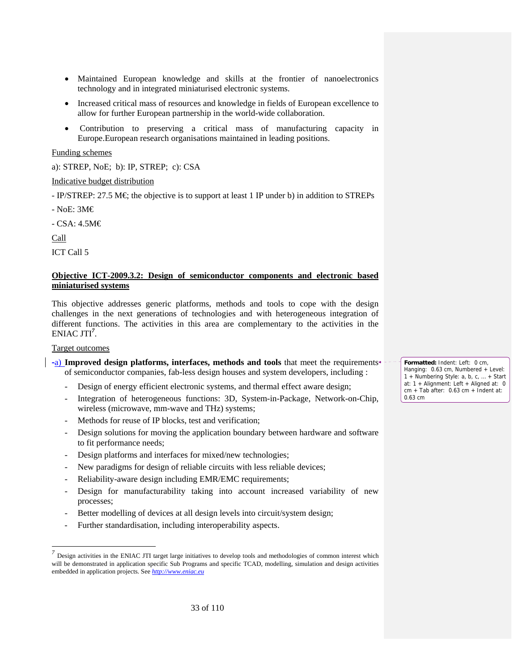- Maintained European knowledge and skills at the frontier of nanoelectronics technology and in integrated miniaturised electronic systems.
- Increased critical mass of resources and knowledge in fields of European excellence to allow for further European partnership in the world-wide collaboration.
- Contribution to preserving a critical mass of manufacturing capacity in Europe.European research organisations maintained in leading positions.

# Funding schemes

a): STREP, NoE; b): IP, STREP; c): CSA

# Indicative budget distribution

- IP/STREP: 27.5 M€; the objective is to support at least 1 IP under b) in addition to STREPs

- NoE: 3M€

- CSA: 4.5M€

Call

ICT Call 5

# **Objective ICT-2009.3.2: Design of semiconductor components and electronic based miniaturised systems**

This objective addresses generic platforms, methods and tools to cope with the design challenges in the next generations of technologies and with heterogeneous integration of different functions. The activities in this area are complementary to the activities in the ENIAC JTI*<sup>7</sup>* .

### Target outcomes

-

- -a) **Improved design platforms, interfaces, methods and tools** that meet the requirements of semiconductor companies, fab-less design houses and system developers, including :
	- Design of energy efficient electronic systems, and thermal effect aware design;
	- Integration of heterogeneous functions: 3D, System-in-Package, Network-on-Chip, wireless (microwave, mm-wave and THz) systems;
	- Methods for reuse of IP blocks, test and verification;
	- Design solutions for moving the application boundary between hardware and software to fit performance needs;
	- Design platforms and interfaces for mixed/new technologies;
	- New paradigms for design of reliable circuits with less reliable devices;
	- Reliability-aware design including EMR/EMC requirements;
	- Design for manufacturability taking into account increased variability of new processes;
	- Better modelling of devices at all design levels into circuit/system design;
	- Further standardisation, including interoperability aspects.

**Formatted:** Indent: Left: 0 cm, Hanging: 0.63 cm, Numbered + Level: 1 + Numbering Style: a, b, c, … + Start at: 1 + Alignment: Left + Aligned at: 0 cm + Tab after: 0.63 cm + Indent at: 0.63 cm

<sup>&</sup>lt;sup>7</sup> Design activities in the ENIAC JTI target large initiatives to develop tools and methodologies of common interest which will be demonstrated in application specific Sub Programs and specific TCAD, modelling, simulation and design activities embedded in application projects. See *http://www.eniac.eu*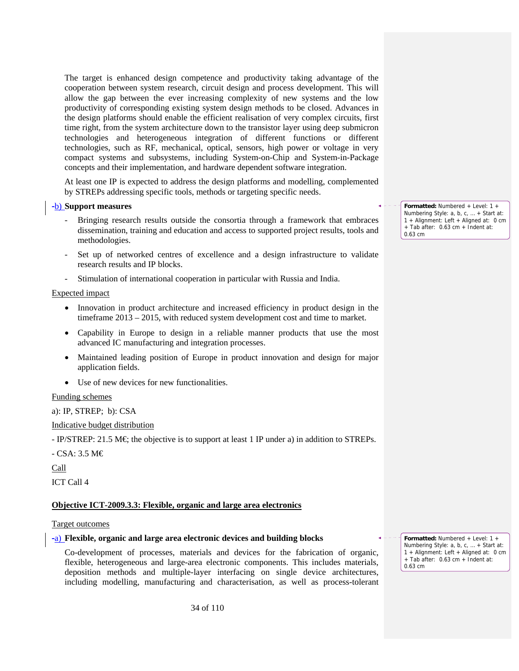The target is enhanced design competence and productivity taking advantage of the cooperation between system research, circuit design and process development. This will allow the gap between the ever increasing complexity of new systems and the low productivity of corresponding existing system design methods to be closed. Advances in the design platforms should enable the efficient realisation of very complex circuits, first time right, from the system architecture down to the transistor layer using deep submicron technologies and heterogeneous integration of different functions or different technologies, such as RF, mechanical, optical, sensors, high power or voltage in very compact systems and subsystems, including System-on-Chip and System-in-Package concepts and their implementation, and hardware dependent software integration.

At least one IP is expected to address the design platforms and modelling, complemented by STREPs addressing specific tools, methods or targeting specific needs.

### -b) **Support measures**

- Bringing research results outside the consortia through a framework that embraces dissemination, training and education and access to supported project results, tools and methodologies.
- Set up of networked centres of excellence and a design infrastructure to validate research results and IP blocks.
- Stimulation of international cooperation in particular with Russia and India.

### Expected impact

- Innovation in product architecture and increased efficiency in product design in the timeframe 2013 – 2015, with reduced system development cost and time to market.
- Capability in Europe to design in a reliable manner products that use the most advanced IC manufacturing and integration processes.
- Maintained leading position of Europe in product innovation and design for major application fields.
- Use of new devices for new functionalities.

### Funding schemes

a): IP, STREP; b): CSA

Indicative budget distribution

 $-$  IP/STREP: 21.5 M $\in$  the objective is to support at least 1 IP under a) in addition to STREPs.

- CSA: 3.5 M€

Call

ICT Call 4

### **Objective ICT-2009.3.3: Flexible, organic and large area electronics**

### Target outcomes

### -a) **Flexible, organic and large area electronic devices and building blocks**

Co-development of processes, materials and devices for the fabrication of organic, flexible, heterogeneous and large-area electronic components. This includes materials, deposition methods and multiple-layer interfacing on single device architectures, including modelling, manufacturing and characterisation, as well as process-tolerant **Formatted:** Numbered + Level: 1 + Numbering Style: a, b, c, … + Start at: 1 + Alignment: Left + Aligned at: 0 cm + Tab after: 0.63 cm + Indent at: 0.63 cm

**Formatted:** Numbered + Level: 1 + Numbering Style: a, b, c, … + Start at: 1 + Alignment: Left + Aligned at: 0 cm + Tab after: 0.63 cm + Indent at: 0.63 cm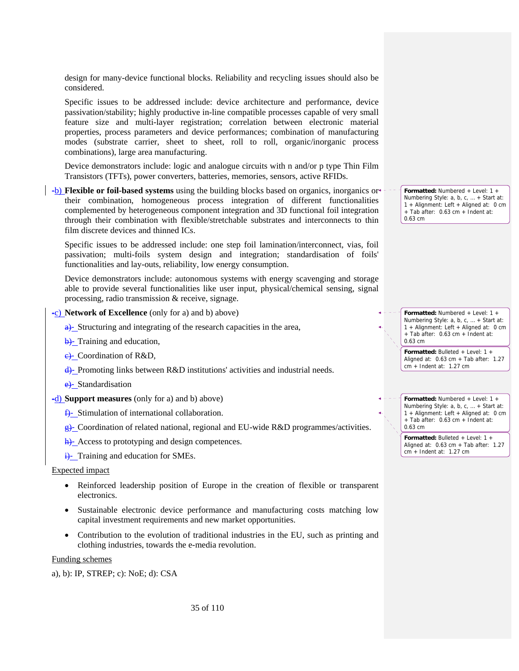design for many-device functional blocks. Reliability and recycling issues should also be considered.

Specific issues to be addressed include: device architecture and performance, device passivation/stability; highly productive in-line compatible processes capable of very small feature size and multi-layer registration; correlation between electronic material properties, process parameters and device performances; combination of manufacturing modes (substrate carrier, sheet to sheet, roll to roll, organic/inorganic process combinations), large area manufacturing.

Device demonstrators include: logic and analogue circuits with n and/or p type Thin Film Transistors (TFTs), power converters, batteries, memories, sensors, active RFIDs.

-b) **Flexible or foil-based systems** using the building blocks based on organics, inorganics or their combination, homogeneous process integration of different functionalities complemented by heterogeneous component integration and 3D functional foil integration through their combination with flexible/stretchable substrates and interconnects to thin film discrete devices and thinned ICs.

Specific issues to be addressed include: one step foil lamination/interconnect, vias, foil passivation; multi-foils system design and integration; standardisation of foils' functionalities and lay-outs, reliability, low energy consumption.

Device demonstrators include: autonomous systems with energy scavenging and storage able to provide several functionalities like user input, physical/chemical sensing, signal processing, radio transmission & receive, signage.

-c) **Network of Excellence** (only for a) and b) above)

a)- Structuring and integrating of the research capacities in the area,

b)- Training and education,

 $\leftrightarrow$  Coordination of R&D,

d)- Promoting links between R&D institutions' activities and industrial needs.

e. Standardisation

-d) **Support measures** (only for a) and b) above)

 $\frac{f}{f}$ - Stimulation of international collaboration.

g)- Coordination of related national, regional and EU-wide R&D programmes/activities.

h)- Access to prototyping and design competences.

 $\frac{1}{1}$ - Training and education for SMEs.

Expected impact

- Reinforced leadership position of Europe in the creation of flexible or transparent electronics.
- Sustainable electronic device performance and manufacturing costs matching low capital investment requirements and new market opportunities.
- Contribution to the evolution of traditional industries in the EU, such as printing and clothing industries, towards the e-media revolution.

Funding schemes

a), b): IP, STREP; c): NoE; d): CSA

**Formatted:** Numbered + Level: 1 + Numbering Style: a, b, c, … + Start at: 1 + Alignment: Left + Aligned at: 0 cm + Tab after: 0.63 cm + Indent at: 0.63 cm

**Formatted:** Numbered + Level: 1 + Numbering Style: a, b, c, … + Start at: 1 + Alignment: Left + Aligned at: 0 cm + Tab after: 0.63 cm + Indent at: 0.63 cm

**Formatted:** Bulleted + Level: 1 + Aligned at: 0.63 cm + Tab after: 1.27 cm + Indent at: 1.27 cm

**Formatted:** Numbered + Level: 1 + Numbering Style: a, b, c, … + Start at: 1 + Alignment: Left + Aligned at: 0 cm + Tab after: 0.63 cm + Indent at: 0.63 cm

> **Formatted:** Bulleted + Level: 1 + Aligned at: 0.63 cm + Tab after: 1.27 cm + Indent at: 1.27 cm

35 of 110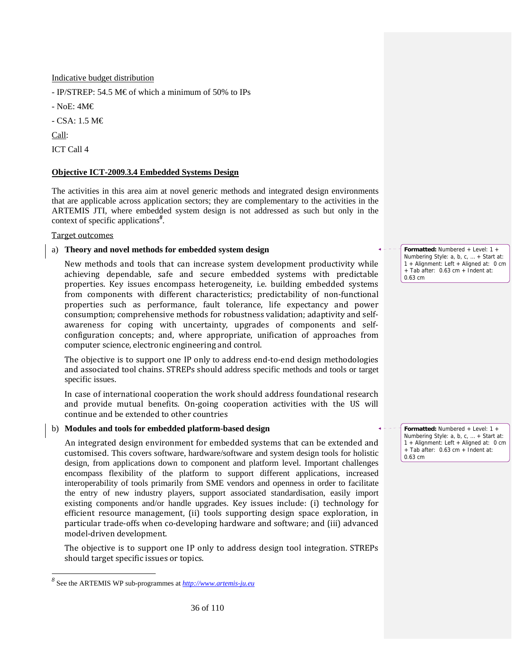Indicative budget distribution

- IP/STREP: 54.5 M€ of which a minimum of 50% to IPs

- NoE: 4M€

- CSA: 1.5 M€

Call:

-

ICT Call 4

# **Objective ICT-2009.3.4 Embedded Systems Design**

The activities in this area aim at novel generic methods and integrated design environments that are applicable across application sectors; they are complementary to the activities in the ARTEMIS JTI, where embedded system design is not addressed as such but only in the context of specific applications*<sup>8</sup>* .

# Target outcomes

# a) **Theory and novel methods for embedded system design**

New methods and tools that can increase system development productivity while achieving dependable, safe and secure embedded systems with predictable properties. Key issues encompass heterogeneity, i.e. building embedded systems from components with different characteristics; predictability of non-functional properties such as performance, fault tolerance, life expectancy and power consumption; comprehensive methods for robustness validation; adaptivity and self‐ awareness for coping with uncertainty, upgrades of components and self‐ configuration concepts; and, where appropriate, unification of approaches from computer science, electronic engineering and control.

The objective is to support one IP only to address end-to-end design methodologies and associated tool chains. STREPs should address specific methods and tools or target specific issues.

In case of international cooperation the work should address foundational research and provide mutual benefits. On‐going cooperation activities with the US will continue and be extended to other countries

# b) **Modules and tools for embedded platform-based design**

 An integrated design environment for embedded systems that can be extended and customised. This covers software, hardware/software and system design tools for holistic design, from applications down to component and platform level. Important challenges encompass flexibility of the platform to support different applications, increased interoperability of tools primarily from SME vendors and openness in order to facilitate the entry of new industry players, support associated standardisation, easily import existing components and/or handle upgrades. Key issues include: (i) technology for efficient resource management, (ii) tools supporting design space exploration, in particular trade‐offs when co‐developing hardware and software; and (iii) advanced model‐driven development.

The objective is to support one IP only to address design tool integration. STREPs should target specific issues or topics.

0.63 cm

**Formatted:** Numbered + Level: 1 + Numbering Style: a, b, c, … + Start at: 1 + Alignment: Left + Aligned at: 0 cm + Tab after: 0.63 cm + Indent at: 0.63 cm

**Formatted:** Numbered + Level: 1 + Numbering Style: a, b, c, … + Start at: 1 + Alignment: Left + Aligned at: 0 cm + Tab after: 0.63 cm + Indent at:

*<sup>8</sup>* See the ARTEMIS WP sub-programmes at *http://www.artemis-ju.eu*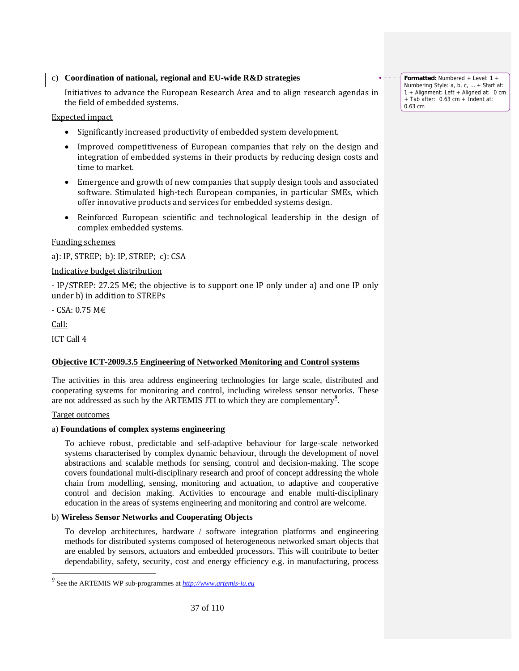# c) **Coordination of national, regional and EU-wide R&D strategies**

 Initiatives to advance the European Research Area and to align research agendas in the field of embedded systems.

Expected impact

- Significantly increased productivity of embedded system development.
- Improved competitiveness of European companies that rely on the design and integration of embedded systems in their products by reducing design costs and time to market.
- Emergence and growth of new companies that supply design tools and associated software. Stimulated high-tech European companies, in particular SMEs, which offer innovative products and services for embedded systems design.
- Reinforced European scientific and technological leadership in the design of complex embedded systems.

# Funding schemes

a): IP, STREP; b): IP, STREP; c): CSA

# Indicative budget distribution

- IP/STREP: 27.25 M $\epsilon$ ; the objective is to support one IP only under a) and one IP only under b) in addition to STREPs

‐ CSA: 0.75 M€

Call:

-

ICT Call 4

# **Objective ICT-2009.3.5 Engineering of Networked Monitoring and Control systems**

The activities in this area address engineering technologies for large scale, distributed and cooperating systems for monitoring and control, including wireless sensor networks. These are not addressed as such by the ARTEMIS JTI to which they are complementary*<sup>9</sup>* .

# Target outcomes

# a) **Foundations of complex systems engineering**

To achieve robust, predictable and self-adaptive behaviour for large-scale networked systems characterised by complex dynamic behaviour, through the development of novel abstractions and scalable methods for sensing, control and decision-making. The scope covers foundational multi-disciplinary research and proof of concept addressing the whole chain from modelling, sensing, monitoring and actuation, to adaptive and cooperative control and decision making. Activities to encourage and enable multi-disciplinary education in the areas of systems engineering and monitoring and control are welcome.

# b) **Wireless Sensor Networks and Cooperating Objects**

 To develop architectures, hardware / software integration platforms and engineering methods for distributed systems composed of heterogeneous networked smart objects that are enabled by sensors, actuators and embedded processors. This will contribute to better dependability, safety, security, cost and energy efficiency e.g. in manufacturing, process

**Formatted:** Numbered + Level: 1 + Numbering Style: a, b, c, … + Start at: 1 + Alignment: Left + Aligned at: 0 cm + Tab after: 0.63 cm + Indent at: 0.63 cm

*<sup>9</sup>* See the ARTEMIS WP sub-programmes at *http://www.artemis-ju.eu*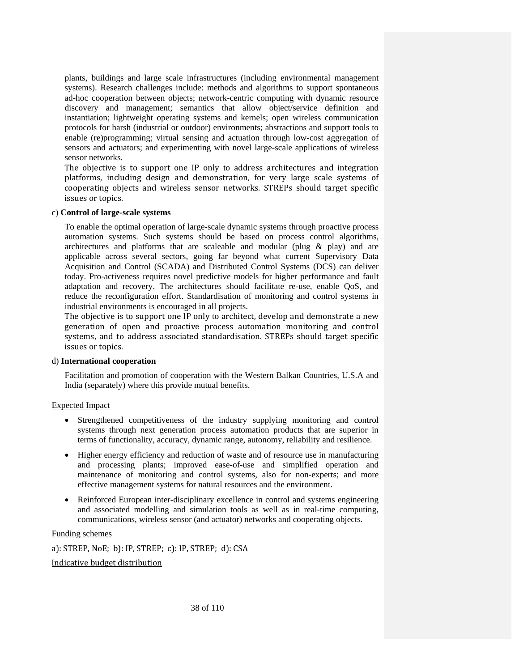plants, buildings and large scale infrastructures (including environmental management systems). Research challenges include: methods and algorithms to support spontaneous ad-hoc cooperation between objects; network-centric computing with dynamic resource discovery and management; semantics that allow object/service definition and instantiation; lightweight operating systems and kernels; open wireless communication protocols for harsh (industrial or outdoor) environments; abstractions and support tools to enable (re)programming; virtual sensing and actuation through low-cost aggregation of sensors and actuators; and experimenting with novel large-scale applications of wireless sensor networks.

The objective is to support one IP only to address architectures and integration platforms, including design and demonstration, for very large scale systems of cooperating objects and wireless sensor networks. STREPs should target specific issues or topics.

#### c) **Control of large-scale systems**

 To enable the optimal operation of large-scale dynamic systems through proactive process automation systems. Such systems should be based on process control algorithms, architectures and platforms that are scaleable and modular (plug & play) and are applicable across several sectors, going far beyond what current Supervisory Data Acquisition and Control (SCADA) and Distributed Control Systems (DCS) can deliver today. Pro-activeness requires novel predictive models for higher performance and fault adaptation and recovery. The architectures should facilitate re-use, enable QoS, and reduce the reconfiguration effort. Standardisation of monitoring and control systems in industrial environments is encouraged in all projects.

The objective is to support one IP only to architect, develop and demonstrate a new generation of open and proactive process automation monitoring and control systems, and to address associated standardisation. STREPs should target specific issues or topics.

#### d) **International cooperation**

 Facilitation and promotion of cooperation with the Western Balkan Countries, U.S.A and India (separately) where this provide mutual benefits.

# Expected Impact

- Strengthened competitiveness of the industry supplying monitoring and control systems through next generation process automation products that are superior in terms of functionality, accuracy, dynamic range, autonomy, reliability and resilience.
- Higher energy efficiency and reduction of waste and of resource use in manufacturing and processing plants; improved ease-of-use and simplified operation and maintenance of monitoring and control systems, also for non-experts; and more effective management systems for natural resources and the environment.
- Reinforced European inter-disciplinary excellence in control and systems engineering and associated modelling and simulation tools as well as in real-time computing, communications, wireless sensor (and actuator) networks and cooperating objects.

#### Funding schemes

a): STREP, NoE; b): IP, STREP; c): IP, STREP; d): CSA

#### Indicative budget distribution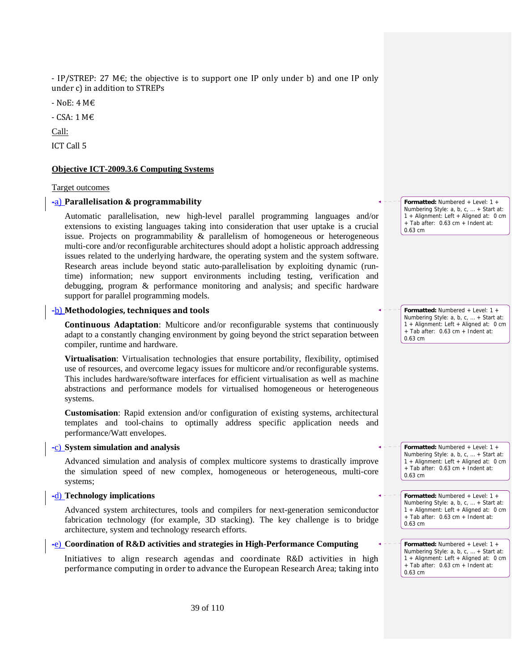- IP/STREP: 27  $M\epsilon$ ; the objective is to support one IP only under b) and one IP only under c) in addition to STREPs

‐ NoE: 4 M€

‐ CSA: 1 M€

Call:

ICT Call 5

#### **Objective ICT-2009.3.6 Computing Systems**

#### Target outcomes

## -a) **Parallelisation & programmability**

 Automatic parallelisation, new high-level parallel programming languages and/or extensions to existing languages taking into consideration that user uptake is a crucial issue. Projects on programmability & parallelism of homogeneous or heterogeneous multi-core and/or reconfigurable architectures should adopt a holistic approach addressing issues related to the underlying hardware, the operating system and the system software. Research areas include beyond static auto-parallelisation by exploiting dynamic (runtime) information; new support environments including testing, verification and debugging, program & performance monitoring and analysis; and specific hardware support for parallel programming models.

# -b) **Methodologies, techniques and tools**

**Continuous Adaptation**: Multicore and/or reconfigurable systems that continuously adapt to a constantly changing environment by going beyond the strict separation between compiler, runtime and hardware.

**Virtualisation**: Virtualisation technologies that ensure portability, flexibility, optimised use of resources, and overcome legacy issues for multicore and/or reconfigurable systems. This includes hardware/software interfaces for efficient virtualisation as well as machine abstractions and performance models for virtualised homogeneous or heterogeneous systems.

**Customisation**: Rapid extension and/or configuration of existing systems, architectural templates and tool-chains to optimally address specific application needs and performance/Watt envelopes.

#### -c) **System simulation and analysis**

 Advanced simulation and analysis of complex multicore systems to drastically improve the simulation speed of new complex, homogeneous or heterogeneous, multi-core systems;

#### -d) **Technology implications**

 Advanced system architectures, tools and compilers for next-generation semiconductor fabrication technology (for example, 3D stacking). The key challenge is to bridge architecture, system and technology research efforts.

# -e) **Coordination of R&D activities and strategies in High-Performance Computing**

 Initiatives to align research agendas and coordinate R&D activities in high performance computing in order to advance the European Research Area; taking into

**Formatted:** Numbered + Level: 1 + Numbering Style: a, b, c, … + Start at: 1 + Alignment: Left + Aligned at: 0 cm + Tab after: 0.63 cm + Indent at: 0.63 cm

**Formatted:** Numbered + Level: 1 + Numbering Style: a, b, c, … + Start at: 1 + Alignment: Left + Aligned at: 0 cm + Tab after: 0.63 cm + Indent at: 0.63 cm

Numbering Style: a, b, c, … + Start at: 1 + Alignment: Left + Aligned at: 0 cm  $+$  Tab after: 0.63 cm  $+$  Indent at: 0.63 cm

**Formatted:** Numbered + Level: 1 +

**Formatted:** Numbered + Level: 1 + Numbering Style: a, b, c, … + Start at: 1 + Alignment: Left + Aligned at: 0 cm + Tab after: 0.63 cm + Indent at: 0.63 cm

**Formatted:** Numbered + Level: 1 + Numbering Style: a, b, c, … + Start at: 1 + Alignment: Left + Aligned at: 0 cm + Tab after: 0.63 cm + Indent at: 0.63 cm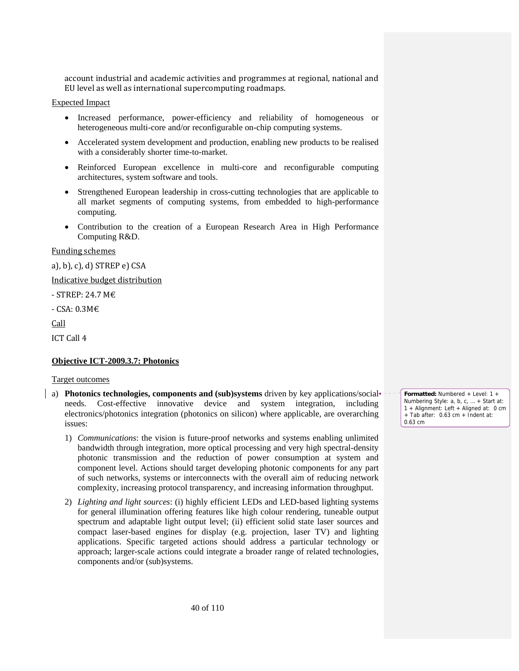account industrial and academic activities and programmes at regional, national and EU level as well as international supercomputing roadmaps.

# Expected Impact

- Increased performance, power-efficiency and reliability of homogeneous or heterogeneous multi-core and/or reconfigurable on-chip computing systems.
- Accelerated system development and production, enabling new products to be realised with a considerably shorter time-to-market.
- Reinforced European excellence in multi-core and reconfigurable computing architectures, system software and tools.
- Strengthened European leadership in cross-cutting technologies that are applicable to all market segments of computing systems, from embedded to high-performance computing.
- Contribution to the creation of a European Research Area in High Performance Computing R&D.

#### Funding schemes

a), b), c), d) STREP e) CSA

Indicative budget distribution

‐ STREP: 24.7 M€

‐ CSA: 0.3M€

Call

ICT Call 4

# **Objective ICT-2009.3.7: Photonics**

#### Target outcomes

- a) **Photonics technologies, components and (sub)systems** driven by key applications/social needs. Cost-effective innovative device and system integration, including electronics/photonics integration (photonics on silicon) where applicable, are overarching issues:
	- 1) *Communications*: the vision is future-proof networks and systems enabling unlimited bandwidth through integration, more optical processing and very high spectral-density photonic transmission and the reduction of power consumption at system and component level. Actions should target developing photonic components for any part of such networks, systems or interconnects with the overall aim of reducing network complexity, increasing protocol transparency, and increasing information throughput.
	- 2) *Lighting and light sources*: (i) highly efficient LEDs and LED-based lighting systems for general illumination offering features like high colour rendering, tuneable output spectrum and adaptable light output level; (ii) efficient solid state laser sources and compact laser-based engines for display (e.g. projection, laser TV) and lighting applications. Specific targeted actions should address a particular technology or approach; larger-scale actions could integrate a broader range of related technologies, components and/or (sub)systems.

**Formatted:** Numbered + Level: 1 + Numbering Style: a, b, c, … + Start at: 1 + Alignment: Left + Aligned at: 0 cm + Tab after: 0.63 cm + Indent at: 0.63 cm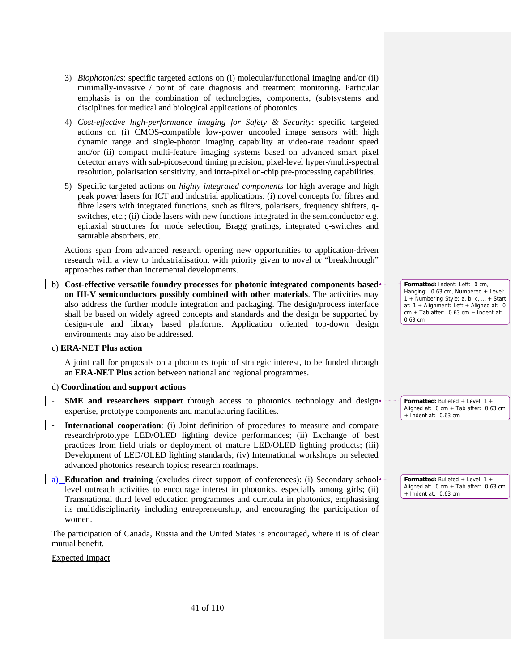- 3) *Biophotonics*: specific targeted actions on (i) molecular/functional imaging and/or (ii) minimally-invasive / point of care diagnosis and treatment monitoring. Particular emphasis is on the combination of technologies, components, (sub)systems and disciplines for medical and biological applications of photonics.
- 4) *Cost-effective high-performance imaging for Safety & Security*: specific targeted actions on (i) CMOS-compatible low-power uncooled image sensors with high dynamic range and single-photon imaging capability at video-rate readout speed and/or (ii) compact multi-feature imaging systems based on advanced smart pixel detector arrays with sub-picosecond timing precision, pixel-level hyper-/multi-spectral resolution, polarisation sensitivity, and intra-pixel on-chip pre-processing capabilities.
- 5) Specific targeted actions on *highly integrated components* for high average and high peak power lasers for ICT and industrial applications: (i) novel concepts for fibres and fibre lasers with integrated functions, such as filters, polarisers, frequency shifters, qswitches, etc.; (ii) diode lasers with new functions integrated in the semiconductor e.g. epitaxial structures for mode selection, Bragg gratings, integrated q-switches and saturable absorbers, etc.

Actions span from advanced research opening new opportunities to application-driven research with a view to industrialisation, with priority given to novel or "breakthrough" approaches rather than incremental developments.

b) **Cost-effective versatile foundry processes for photonic integrated components based on III-V semiconductors possibly combined with other materials**. The activities may also address the further module integration and packaging. The design/process interface shall be based on widely agreed concepts and standards and the design be supported by design-rule and library based platforms. Application oriented top-down design environments may also be addressed.

c) **ERA-NET Plus action** 

A joint call for proposals on a photonics topic of strategic interest, to be funded through an **ERA-NET Plus** action between national and regional programmes.

#### d) **Coordination and support actions**

- **SME** and researchers support through access to photonics technology and design expertise, prototype components and manufacturing facilities.
- **International cooperation**: (i) Joint definition of procedures to measure and compare research/prototype LED/OLED lighting device performances; (ii) Exchange of best practices from field trials or deployment of mature LED/OLED lighting products; (iii) Development of LED/OLED lighting standards; (iv) International workshops on selected advanced photonics research topics; research roadmaps.
- a)-**Education and training** (excludes direct support of conferences): (i) Secondary school level outreach activities to encourage interest in photonics, especially among girls; (ii) Transnational third level education programmes and curricula in photonics, emphasising its multidisciplinarity including entrepreneurship, and encouraging the participation of women.

The participation of Canada, Russia and the United States is encouraged, where it is of clear mutual benefit.

Expected Impact

**Formatted:** Indent: Left: 0 cm, Hanging: 0.63 cm, Numbered + Level: 1 + Numbering Style: a, b, c, … + Start at: 1 + Alignment: Left + Aligned at: 0 cm + Tab after: 0.63 cm + Indent at: 0.63 cm

**Formatted:** Bulleted + Level: 1 + Aligned at: 0 cm + Tab after: 0.63 cm + Indent at: 0.63 cm

**Formatted:** Bulleted + Level: 1 + Aligned at: 0 cm + Tab after: 0.63 cm + Indent at: 0.63 cm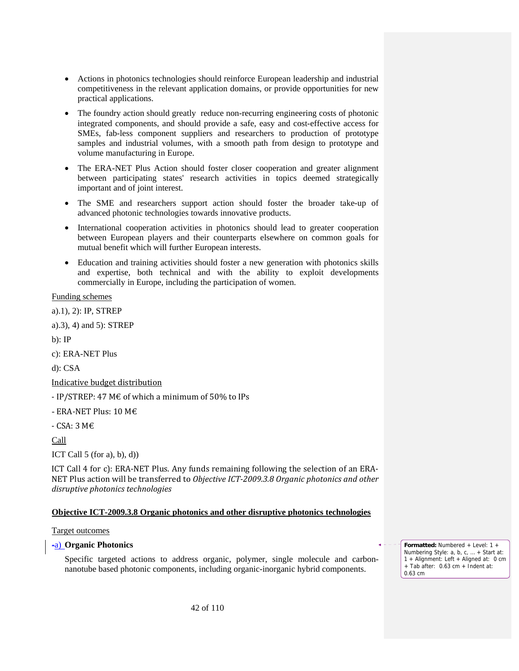- Actions in photonics technologies should reinforce European leadership and industrial competitiveness in the relevant application domains, or provide opportunities for new practical applications.
- The foundry action should greatly reduce non-recurring engineering costs of photonic integrated components, and should provide a safe, easy and cost-effective access for SMEs, fab-less component suppliers and researchers to production of prototype samples and industrial volumes, with a smooth path from design to prototype and volume manufacturing in Europe.
- The ERA-NET Plus Action should foster closer cooperation and greater alignment between participating states' research activities in topics deemed strategically important and of joint interest.
- The SME and researchers support action should foster the broader take-up of advanced photonic technologies towards innovative products.
- International cooperation activities in photonics should lead to greater cooperation between European players and their counterparts elsewhere on common goals for mutual benefit which will further European interests.
- Education and training activities should foster a new generation with photonics skills and expertise, both technical and with the ability to exploit developments commercially in Europe, including the participation of women.

Funding schemes

a).1), 2): IP, STREP

a).3), 4) and 5): STREP

b): IP

c): ERA-NET Plus

d): CSA

Indicative budget distribution

- IP/STREP: 47 M $\epsilon$  of which a minimum of 50% to IPs

- ERA-NET Plus: 10 M $\epsilon$ 

‐ CSA: 3 M€

Call

ICT Call  $5$  (for a), b), d))

ICT Call 4 for c): ERA‐NET Plus. Any funds remaining following the selection of an ERA‐ NET Plus action will be transferred to *Objective ICT2009.3.8 Organic photonics and other disruptive photonics technologies*

# **Objective ICT-2009.3.8 Organic photonics and other disruptive photonics technologies**

#### Target outcomes

#### -a) **Organic Photonics**

Specific targeted actions to address organic, polymer, single molecule and carbonnanotube based photonic components, including organic-inorganic hybrid components.

**Formatted:** Numbered + Level: 1 + Numbering Style: a, b, c, … + Start at: 1 + Alignment: Left + Aligned at: 0 cm + Tab after: 0.63 cm + Indent at: 0.63 cm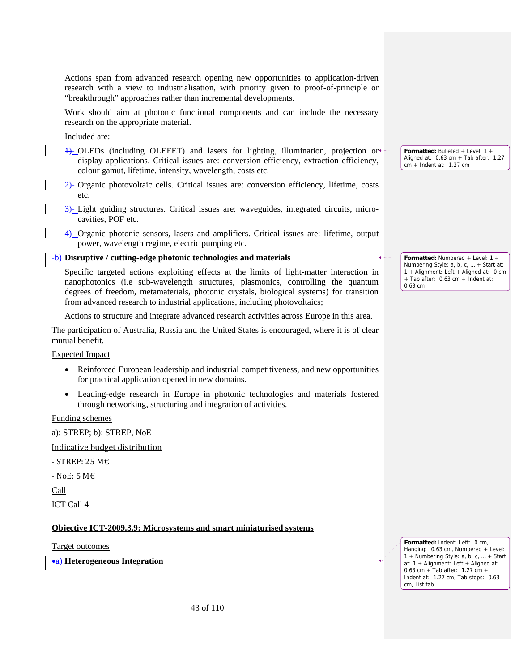Actions span from advanced research opening new opportunities to application-driven research with a view to industrialisation, with priority given to proof-of-principle or "breakthrough" approaches rather than incremental developments.

Work should aim at photonic functional components and can include the necessary research on the appropriate material.

Included are:

- 1)- OLEDs (including OLEFET) and lasers for lighting, illumination, projection or display applications. Critical issues are: conversion efficiency, extraction efficiency, colour gamut, lifetime, intensity, wavelength, costs etc.
- 2)- Organic photovoltaic cells. Critical issues are: conversion efficiency, lifetime, costs etc.
- 3)- Light guiding structures. Critical issues are: waveguides, integrated circuits, microcavities, POF etc.
- 4)- Organic photonic sensors, lasers and amplifiers. Critical issues are: lifetime, output power, wavelength regime, electric pumping etc.

# -b) **Disruptive / cutting-edge photonic technologies and materials**

Specific targeted actions exploiting effects at the limits of light-matter interaction in nanophotonics (i.e sub-wavelength structures, plasmonics, controlling the quantum degrees of freedom, metamaterials, photonic crystals, biological systems) for transition from advanced research to industrial applications, including photovoltaics;

Actions to structure and integrate advanced research activities across Europe in this area.

The participation of Australia, Russia and the United States is encouraged, where it is of clear mutual benefit.

#### Expected Impact

- Reinforced European leadership and industrial competitiveness, and new opportunities for practical application opened in new domains.
- Leading-edge research in Europe in photonic technologies and materials fostered through networking, structuring and integration of activities.

Funding schemes

a): STREP; b): STREP, NoE

Indicative budget distribution

 $-$  STREP: 25 M $\epsilon$ 

‐ NoE: 5 M€

Call

ICT Call 4

#### **Objective ICT-2009.3.9: Microsystems and smart miniaturised systems**

Target outcomes

•a) **Heterogeneous Integration** 

**Formatted:** Bulleted + Level: 1 + Aligned at: 0.63 cm + Tab after: 1.27 cm + Indent at: 1.27 cm

**Formatted:** Numbered + Level: 1 + Numbering Style: a, b, c, … + Start at: 1 + Alignment: Left + Aligned at: 0 cm + Tab after: 0.63 cm + Indent at: 0.63 cm

**Formatted:** Indent: Left: 0 cm, Hanging: 0.63 cm, Numbered + Level: 1 + Numbering Style: a, b, c, … + Start at: 1 + Alignment: Left + Aligned at: 0.63 cm + Tab after: 1.27 cm + Indent at: 1.27 cm, Tab stops: 0.63 cm, List tab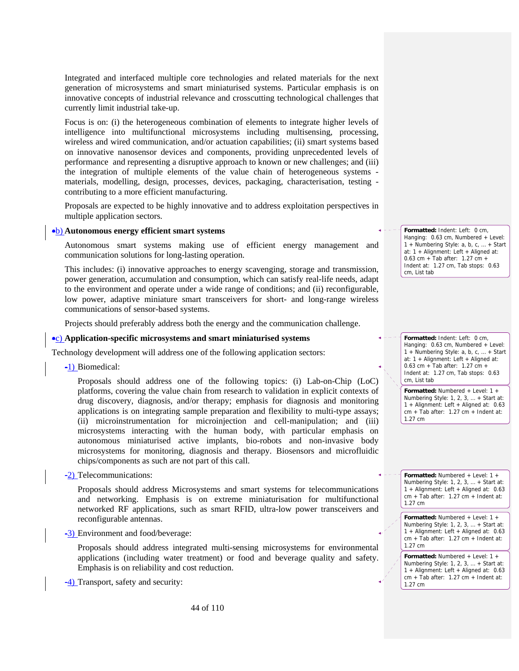Integrated and interfaced multiple core technologies and related materials for the next generation of microsystems and smart miniaturised systems. Particular emphasis is on innovative concepts of industrial relevance and crosscutting technological challenges that currently limit industrial take-up.

Focus is on: (i) the heterogeneous combination of elements to integrate higher levels of intelligence into multifunctional microsystems including multisensing, processing, wireless and wired communication, and/or actuation capabilities; (ii) smart systems based on innovative nanosensor devices and components, providing unprecedented levels of performance and representing a disruptive approach to known or new challenges; and (iii) the integration of multiple elements of the value chain of heterogeneous systems materials, modelling, design, processes, devices, packaging, characterisation, testing contributing to a more efficient manufacturing.

Proposals are expected to be highly innovative and to address exploitation perspectives in multiple application sectors.

#### •b) **Autonomous energy efficient smart systems**

Autonomous smart systems making use of efficient energy management and communication solutions for long-lasting operation.

This includes: (i) innovative approaches to energy scavenging, storage and transmission, power generation, accumulation and consumption, which can satisfy real-life needs, adapt to the environment and operate under a wide range of conditions; and (ii) reconfigurable, low power, adaptive miniature smart transceivers for short- and long-range wireless communications of sensor-based systems.

Projects should preferably address both the energy and the communication challenge.

#### •c) **Application-specific microsystems and smart miniaturised systems**

Technology development will address one of the following application sectors:

-1) Biomedical:

Proposals should address one of the following topics: (i) Lab-on-Chip (LoC) platforms, covering the value chain from research to validation in explicit contexts of drug discovery, diagnosis, and/or therapy; emphasis for diagnosis and monitoring applications is on integrating sample preparation and flexibility to multi-type assays; (ii) microinstrumentation for microinjection and cell-manipulation; and (iii) microsystems interacting with the human body, with particular emphasis on autonomous miniaturised active implants, bio-robots and non-invasive body microsystems for monitoring, diagnosis and therapy. Biosensors and microfluidic chips/components as such are not part of this call.

-2) Telecommunications:

Proposals should address Microsystems and smart systems for telecommunications and networking. Emphasis is on extreme miniaturisation for multifunctional networked RF applications, such as smart RFID, ultra-low power transceivers and reconfigurable antennas.

-3) Environment and food/beverage:

Proposals should address integrated multi-sensing microsystems for environmental applications (including water treatment) or food and beverage quality and safety. Emphasis is on reliability and cost reduction.

-4) Transport, safety and security:

**Formatted:** Indent: Left: 0 cm, Hanging: 0.63 cm, Numbered + Level: 1 + Numbering Style: a, b, c, … + Start at: 1 + Alignment: Left + Aligned at: 0.63 cm + Tab after: 1.27 cm + Indent at: 1.27 cm, Tab stops: 0.63 cm, List tab

**Formatted:** Indent: Left: 0 cm, Hanging: 0.63 cm, Numbered + Level: 1 + Numbering Style: a, b, c, … + Start at: 1 + Alignment: Left + Aligned at: 0.63 cm + Tab after: 1.27 cm + Indent at: 1.27 cm, Tab stops: 0.63 cm, List tab

**Formatted:** Numbered + Level: 1 + Numbering Style: 1, 2, 3, … + Start at: 1 + Alignment: Left + Aligned at: 0.63 cm + Tab after: 1.27 cm + Indent at: 1.27 cm

**Formatted:** Numbered + Level: 1 + Numbering Style: 1, 2, 3, … + Start at: 1 + Alignment: Left + Aligned at: 0.63  $cm + Tab$  after: 1.27  $cm + Ind$ ent at: 1.27 cm

**Formatted:** Numbered + Level: 1 + Numbering Style: 1, 2, 3, … + Start at: 1 + Alignment: Left + Aligned at: 0.63  $cm + Tab$  after: 1.27 cm + Indent at: 1.27 cm

**Formatted:** Numbered + Level: 1 + Numbering Style: 1, 2, 3, … + Start at: 1 + Alignment: Left + Aligned at: 0.63  $cm + \bar{a}b$  after: 1.27 cm + Indent at: 1.27 cm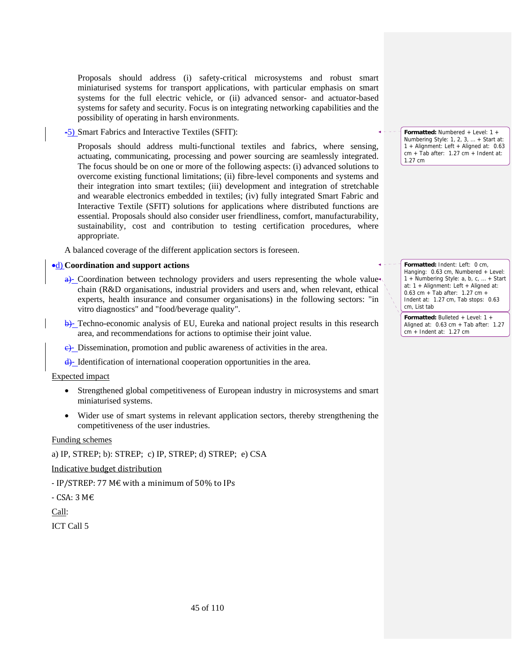Proposals should address (i) safety-critical microsystems and robust smart miniaturised systems for transport applications, with particular emphasis on smart systems for the full electric vehicle, or (ii) advanced sensor- and actuator-based systems for safety and security. Focus is on integrating networking capabilities and the possibility of operating in harsh environments.

-5) Smart Fabrics and Interactive Textiles (SFIT):

Proposals should address multi-functional textiles and fabrics, where sensing, actuating, communicating, processing and power sourcing are seamlessly integrated. The focus should be on one or more of the following aspects: (i) advanced solutions to overcome existing functional limitations; (ii) fibre-level components and systems and their integration into smart textiles; (iii) development and integration of stretchable and wearable electronics embedded in textiles; (iv) fully integrated Smart Fabric and Interactive Textile (SFIT) solutions for applications where distributed functions are essential. Proposals should also consider user friendliness, comfort, manufacturability, sustainability, cost and contribution to testing certification procedures, where appropriate.

A balanced coverage of the different application sectors is foreseen.

#### •d) **Coordination and support actions**

- $\frac{a}{c}$  Coordination between technology providers and users representing the whole value chain (R&D organisations, industrial providers and users and, when relevant, ethical experts, health insurance and consumer organisations) in the following sectors: "in vitro diagnostics" and "food/beverage quality".
- b)- Techno-economic analysis of EU, Eureka and national project results in this research area, and recommendations for actions to optimise their joint value.
- $\epsilon$ . Dissemination, promotion and public awareness of activities in the area.
- d)- Identification of international cooperation opportunities in the area.

#### Expected impact

- Strengthened global competitiveness of European industry in microsystems and smart miniaturised systems.
- Wider use of smart systems in relevant application sectors, thereby strengthening the competitiveness of the user industries.

#### Funding schemes

a) IP, STREP; b): STREP; c) IP, STREP; d) STREP; e) CSA

#### Indicative budget distribution

‐ IP/STREP: 77 M€ with a minimum of 50% to IPs

‐ CSA: 3 M€

Call:

ICT Call 5

**Formatted:** Numbered + Level: 1 + Numbering Style: 1, 2, 3, … + Start at: 1 + Alignment: Left + Aligned at: 0.63 cm + Tab after: 1.27 cm + Indent at: 1.27 cm

**Formatted:** Indent: Left: 0 cm, Hanging: 0.63 cm, Numbered + Level: 1 + Numbering Style: a, b, c, … + Start at: 1 + Alignment: Left + Aligned at: 0.63 cm + Tab after: 1.27 cm + Indent at: 1.27 cm, Tab stops: 0.63 cm, List tab

**Formatted:** Bulleted + Level: 1 + Aligned at: 0.63 cm + Tab after: 1.27 cm + Indent at: 1.27 cm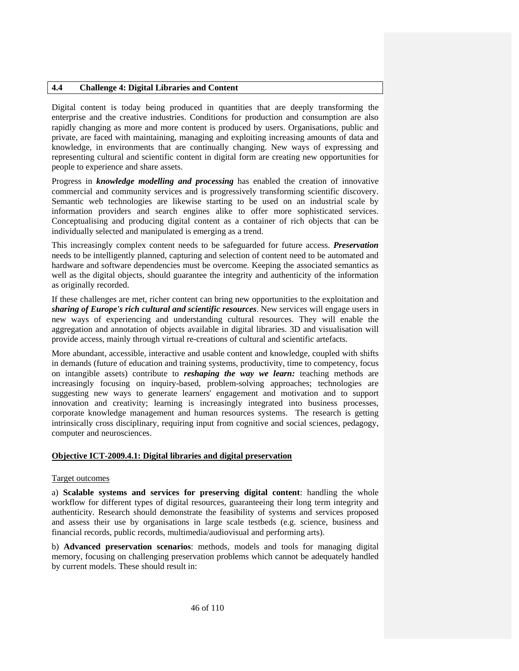# **4.4 Challenge 4: Digital Libraries and Content**

Digital content is today being produced in quantities that are deeply transforming the enterprise and the creative industries. Conditions for production and consumption are also rapidly changing as more and more content is produced by users. Organisations, public and private, are faced with maintaining, managing and exploiting increasing amounts of data and knowledge, in environments that are continually changing. New ways of expressing and representing cultural and scientific content in digital form are creating new opportunities for people to experience and share assets.

Progress in *knowledge modelling and processing* has enabled the creation of innovative commercial and community services and is progressively transforming scientific discovery. Semantic web technologies are likewise starting to be used on an industrial scale by information providers and search engines alike to offer more sophisticated services. Conceptualising and producing digital content as a container of rich objects that can be individually selected and manipulated is emerging as a trend.

This increasingly complex content needs to be safeguarded for future access. *Preservation* needs to be intelligently planned, capturing and selection of content need to be automated and hardware and software dependencies must be overcome. Keeping the associated semantics as well as the digital objects, should guarantee the integrity and authenticity of the information as originally recorded.

If these challenges are met, richer content can bring new opportunities to the exploitation and *sharing of Europe's rich cultural and scientific resources*. New services will engage users in new ways of experiencing and understanding cultural resources. They will enable the aggregation and annotation of objects available in digital libraries. 3D and visualisation will provide access, mainly through virtual re-creations of cultural and scientific artefacts.

More abundant, accessible, interactive and usable content and knowledge, coupled with shifts in demands (future of education and training systems, productivity, time to competency, focus on intangible assets) contribute to *reshaping the way we learn:* teaching methods are increasingly focusing on inquiry-based, problem-solving approaches; technologies are suggesting new ways to generate learners' engagement and motivation and to support innovation and creativity; learning is increasingly integrated into business processes, corporate knowledge management and human resources systems. The research is getting intrinsically cross disciplinary, requiring input from cognitive and social sciences, pedagogy, computer and neurosciences.

#### **Objective ICT-2009.4.1: Digital libraries and digital preservation**

#### Target outcomes

a) **Scalable systems and services for preserving digital content**: handling the whole workflow for different types of digital resources, guaranteeing their long term integrity and authenticity. Research should demonstrate the feasibility of systems and services proposed and assess their use by organisations in large scale testbeds (e.g. science, business and financial records, public records, multimedia/audiovisual and performing arts).

b) **Advanced preservation scenarios**: methods, models and tools for managing digital memory, focusing on challenging preservation problems which cannot be adequately handled by current models. These should result in: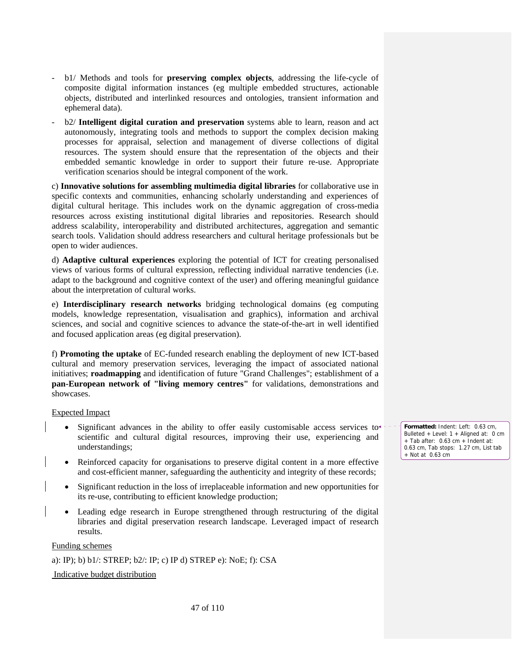- b1/ Methods and tools for **preserving complex objects**, addressing the life-cycle of composite digital information instances (eg multiple embedded structures, actionable objects, distributed and interlinked resources and ontologies, transient information and ephemeral data).
- b2/ **Intelligent digital curation and preservation** systems able to learn, reason and act autonomously, integrating tools and methods to support the complex decision making processes for appraisal, selection and management of diverse collections of digital resources. The system should ensure that the representation of the objects and their embedded semantic knowledge in order to support their future re-use. Appropriate verification scenarios should be integral component of the work.

c) **Innovative solutions for assembling multimedia digital libraries** for collaborative use in specific contexts and communities, enhancing scholarly understanding and experiences of digital cultural heritage. This includes work on the dynamic aggregation of cross-media resources across existing institutional digital libraries and repositories. Research should address scalability, interoperability and distributed architectures, aggregation and semantic search tools. Validation should address researchers and cultural heritage professionals but be open to wider audiences.

d) **Adaptive cultural experiences** exploring the potential of ICT for creating personalised views of various forms of cultural expression, reflecting individual narrative tendencies (i.e. adapt to the background and cognitive context of the user) and offering meaningful guidance about the interpretation of cultural works.

e) **Interdisciplinary research networks** bridging technological domains (eg computing models, knowledge representation, visualisation and graphics), information and archival sciences, and social and cognitive sciences to advance the state-of-the-art in well identified and focused application areas (eg digital preservation).

f) **Promoting the uptake** of EC-funded research enabling the deployment of new ICT-based cultural and memory preservation services, leveraging the impact of associated national initiatives; **roadmapping** and identification of future "Grand Challenges"; establishment of a **pan-European network of "living memory centres"** for validations, demonstrations and showcases.

#### Expected Impact

- Significant advances in the ability to offer easily customisable access services to scientific and cultural digital resources, improving their use, experiencing and understandings;
- Reinforced capacity for organisations to preserve digital content in a more effective and cost-efficient manner, safeguarding the authenticity and integrity of these records;
- Significant reduction in the loss of irreplaceable information and new opportunities for its re-use, contributing to efficient knowledge production;
- Leading edge research in Europe strengthened through restructuring of the digital libraries and digital preservation research landscape. Leveraged impact of research results.

Funding schemes

a): IP); b) b1/: STREP; b2/: IP; c) IP d) STREP e): NoE; f): CSA

Indicative budget distribution

**Formatted:** Indent: Left: 0.63 cm, Bulleted + Level: 1 + Aligned at: 0 cm + Tab after: 0.63 cm + Indent at: 0.63 cm, Tab stops: 1.27 cm, List tab  $+$  Not at 0.63 cm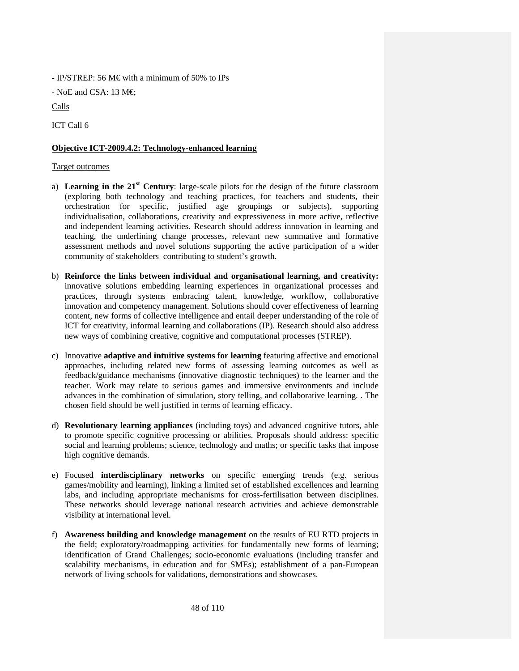- IP/STREP: 56 M $\epsilon$  with a minimum of 50% to IPs

- NoE and CSA: 13 M $\in$ 

Calls

ICT Call 6

# **Objective ICT-2009.4.2: Technology-enhanced learning**

# Target outcomes

- a) **Learning in the 21st Century**: large-scale pilots for the design of the future classroom (exploring both technology and teaching practices, for teachers and students, their orchestration for specific, justified age groupings or subjects), supporting individualisation, collaborations, creativity and expressiveness in more active, reflective and independent learning activities. Research should address innovation in learning and teaching, the underlining change processes, relevant new summative and formative assessment methods and novel solutions supporting the active participation of a wider community of stakeholders contributing to student's growth.
- b) **Reinforce the links between individual and organisational learning, and creativity:** innovative solutions embedding learning experiences in organizational processes and practices, through systems embracing talent, knowledge, workflow, collaborative innovation and competency management. Solutions should cover effectiveness of learning content, new forms of collective intelligence and entail deeper understanding of the role of ICT for creativity, informal learning and collaborations (IP). Research should also address new ways of combining creative, cognitive and computational processes (STREP).
- c) Innovative **adaptive and intuitive systems for learning** featuring affective and emotional approaches, including related new forms of assessing learning outcomes as well as feedback/guidance mechanisms (innovative diagnostic techniques) to the learner and the teacher. Work may relate to serious games and immersive environments and include advances in the combination of simulation, story telling, and collaborative learning. . The chosen field should be well justified in terms of learning efficacy.
- d) **Revolutionary learning appliances** (including toys) and advanced cognitive tutors, able to promote specific cognitive processing or abilities. Proposals should address: specific social and learning problems; science, technology and maths; or specific tasks that impose high cognitive demands.
- e) Focused **interdisciplinary networks** on specific emerging trends (e.g. serious games/mobility and learning), linking a limited set of established excellences and learning labs, and including appropriate mechanisms for cross-fertilisation between disciplines. These networks should leverage national research activities and achieve demonstrable visibility at international level.
- f) **Awareness building and knowledge management** on the results of EU RTD projects in the field; exploratory/roadmapping activities for fundamentally new forms of learning; identification of Grand Challenges; socio-economic evaluations (including transfer and scalability mechanisms, in education and for SMEs); establishment of a pan-European network of living schools for validations, demonstrations and showcases.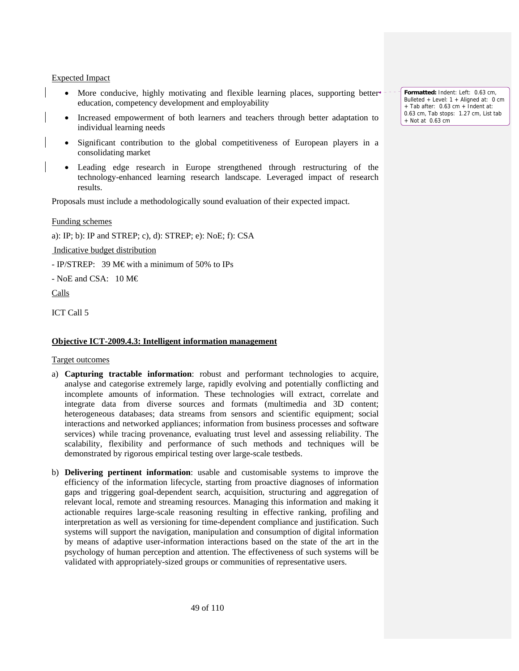#### Expected Impact

- More conducive, highly motivating and flexible learning places, supporting better education, competency development and employability
- Increased empowerment of both learners and teachers through better adaptation to individual learning needs
- Significant contribution to the global competitiveness of European players in a consolidating market
- Leading edge research in Europe strengthened through restructuring of the technology-enhanced learning research landscape. Leveraged impact of research results.

Proposals must include a methodologically sound evaluation of their expected impact.

Funding schemes

a): IP; b): IP and STREP; c), d): STREP; e): NoE; f): CSA

Indicative budget distribution

- IP/STREP: 39 M€ with a minimum of 50% to IPs

- NoE and CSA:  $10 M \in$ 

Calls

ICT Call 5

#### **Objective ICT-2009.4.3: Intelligent information management**

Target outcomes

- a) **Capturing tractable information**: robust and performant technologies to acquire, analyse and categorise extremely large, rapidly evolving and potentially conflicting and incomplete amounts of information. These technologies will extract, correlate and integrate data from diverse sources and formats (multimedia and 3D content; heterogeneous databases; data streams from sensors and scientific equipment; social interactions and networked appliances; information from business processes and software services) while tracing provenance, evaluating trust level and assessing reliability. The scalability, flexibility and performance of such methods and techniques will be demonstrated by rigorous empirical testing over large-scale testbeds.
- b) **Delivering pertinent information**: usable and customisable systems to improve the efficiency of the information lifecycle, starting from proactive diagnoses of information gaps and triggering goal-dependent search, acquisition, structuring and aggregation of relevant local, remote and streaming resources. Managing this information and making it actionable requires large-scale reasoning resulting in effective ranking, profiling and interpretation as well as versioning for time-dependent compliance and justification. Such systems will support the navigation, manipulation and consumption of digital information by means of adaptive user-information interactions based on the state of the art in the psychology of human perception and attention. The effectiveness of such systems will be validated with appropriately-sized groups or communities of representative users.

**Formatted:** Indent: Left: 0.63 cm, Bulleted + Level: 1 + Aligned at: 0 cm + Tab after: 0.63 cm + Indent at: 0.63 cm, Tab stops: 1.27 cm, List tab + Not at 0.63 cm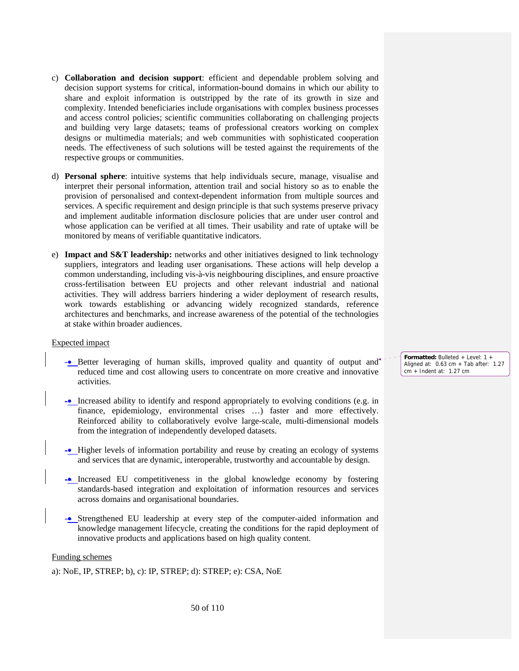- c) **Collaboration and decision support**: efficient and dependable problem solving and decision support systems for critical, information-bound domains in which our ability to share and exploit information is outstripped by the rate of its growth in size and complexity. Intended beneficiaries include organisations with complex business processes and access control policies; scientific communities collaborating on challenging projects and building very large datasets; teams of professional creators working on complex designs or multimedia materials; and web communities with sophisticated cooperation needs. The effectiveness of such solutions will be tested against the requirements of the respective groups or communities.
- d) **Personal sphere**: intuitive systems that help individuals secure, manage, visualise and interpret their personal information, attention trail and social history so as to enable the provision of personalised and context-dependent information from multiple sources and services. A specific requirement and design principle is that such systems preserve privacy and implement auditable information disclosure policies that are under user control and whose application can be verified at all times. Their usability and rate of uptake will be monitored by means of verifiable quantitative indicators.
- e) **Impact and S&T leadership:** networks and other initiatives designed to link technology suppliers, integrators and leading user organisations. These actions will help develop a common understanding, including vis-à-vis neighbouring disciplines, and ensure proactive cross-fertilisation between EU projects and other relevant industrial and national activities. They will address barriers hindering a wider deployment of research results, work towards establishing or advancing widely recognized standards, reference architectures and benchmarks, and increase awareness of the potential of the technologies at stake within broader audiences.

#### Expected impact

- -• Better leveraging of human skills, improved quality and quantity of output and reduced time and cost allowing users to concentrate on more creative and innovative activities.
- -• Increased ability to identify and respond appropriately to evolving conditions (e.g. in finance, epidemiology, environmental crises …) faster and more effectively. Reinforced ability to collaboratively evolve large-scale, multi-dimensional models from the integration of independently developed datasets.
- -• Higher levels of information portability and reuse by creating an ecology of systems and services that are dynamic, interoperable, trustworthy and accountable by design.
- -• Increased EU competitiveness in the global knowledge economy by fostering standards-based integration and exploitation of information resources and services across domains and organisational boundaries.
- -• Strengthened EU leadership at every step of the computer-aided information and knowledge management lifecycle, creating the conditions for the rapid deployment of innovative products and applications based on high quality content.

#### Funding schemes

a): NoE, IP, STREP; b), c): IP, STREP; d): STREP; e): CSA, NoE

**Formatted:** Bulleted + Level: 1 + Aligned at: 0.63 cm + Tab after: 1.27 cm + Indent at: 1.27 cm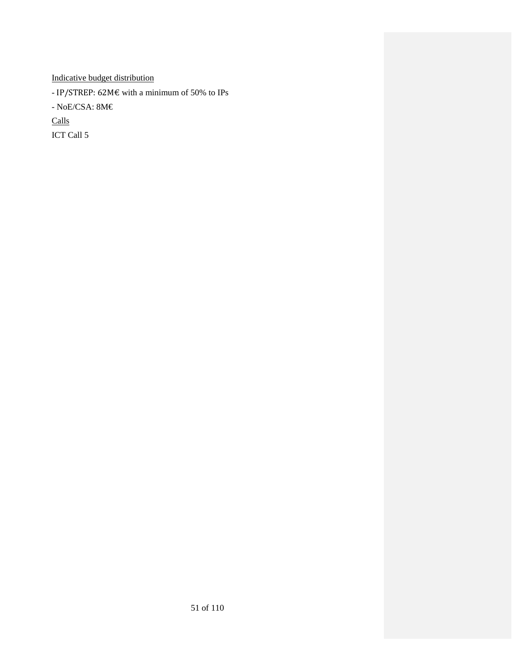Indicative budget distribution

- IP/STREP: 62M€ with a minimum of 50% to IPs

- NoE/CSA:  $8M\epsilon$ 

Calls

ICT Call 5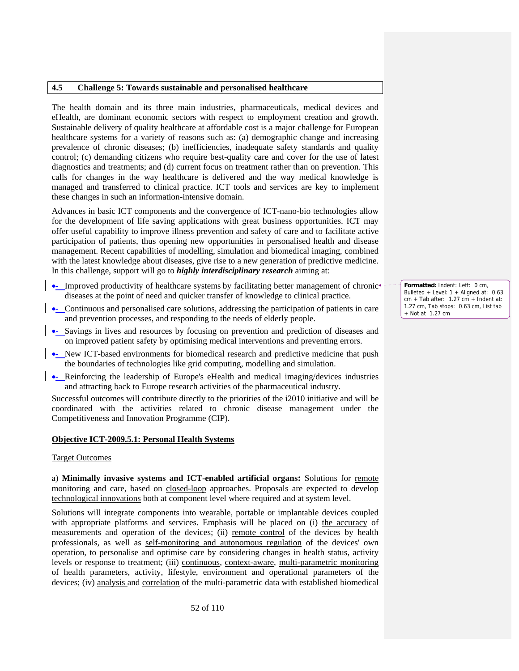### **4.5 Challenge 5: Towards sustainable and personalised healthcare**

The health domain and its three main industries, pharmaceuticals, medical devices and eHealth, are dominant economic sectors with respect to employment creation and growth. Sustainable delivery of quality healthcare at affordable cost is a major challenge for European healthcare systems for a variety of reasons such as: (a) demographic change and increasing prevalence of chronic diseases; (b) inefficiencies, inadequate safety standards and quality control; (c) demanding citizens who require best-quality care and cover for the use of latest diagnostics and treatments; and (d) current focus on treatment rather than on prevention. This calls for changes in the way healthcare is delivered and the way medical knowledge is managed and transferred to clinical practice. ICT tools and services are key to implement these changes in such an information-intensive domain.

Advances in basic ICT components and the convergence of ICT-nano-bio technologies allow for the development of life saving applications with great business opportunities. ICT may offer useful capability to improve illness prevention and safety of care and to facilitate active participation of patients, thus opening new opportunities in personalised health and disease management. Recent capabilities of modelling, simulation and biomedical imaging, combined with the latest knowledge about diseases, give rise to a new generation of predictive medicine. In this challenge, support will go to *highly interdisciplinary research* aiming at:

- Improved productivity of healthcare systems by facilitating better management of chronic diseases at the point of need and quicker transfer of knowledge to clinical practice.
- Continuous and personalised care solutions, addressing the participation of patients in care and prevention processes, and responding to the needs of elderly people.
- •- Savings in lives and resources by focusing on prevention and prediction of diseases and on improved patient safety by optimising medical interventions and preventing errors.
- New ICT-based environments for biomedical research and predictive medicine that push the boundaries of technologies like grid computing, modelling and simulation.
- •- Reinforcing the leadership of Europe's eHealth and medical imaging/devices industries and attracting back to Europe research activities of the pharmaceutical industry.

Successful outcomes will contribute directly to the priorities of the i2010 initiative and will be coordinated with the activities related to chronic disease management under the Competitiveness and Innovation Programme (CIP).

#### **Objective ICT-2009.5.1: Personal Health Systems**

#### Target Outcomes

a) **Minimally invasive systems and ICT-enabled artificial organs:** Solutions for remote monitoring and care, based on closed-loop approaches. Proposals are expected to develop technological innovations both at component level where required and at system level.

Solutions will integrate components into wearable, portable or implantable devices coupled with appropriate platforms and services. Emphasis will be placed on (i) the accuracy of measurements and operation of the devices; (ii) remote control of the devices by health professionals, as well as self-monitoring and autonomous regulation of the devices' own operation, to personalise and optimise care by considering changes in health status, activity levels or response to treatment; (iii) continuous, context-aware, multi-parametric monitoring of health parameters, activity, lifestyle, environment and operational parameters of the devices; (iv) analysis and correlation of the multi-parametric data with established biomedical

**Formatted:** Indent: Left: 0 cm, Bulleted + Level: 1 + Aligned at: 0.63  $cm + Tab$  after: 1.27  $cm + Ind$ ent at: 1.27 cm, Tab stops: 0.63 cm, List tab + Not at 1.27 cm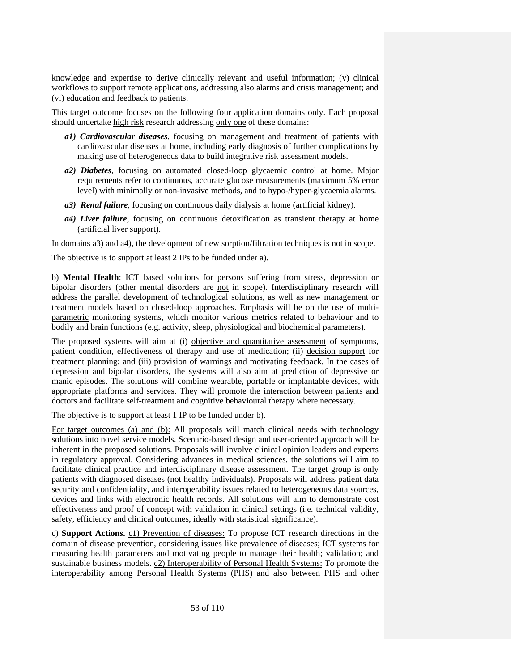knowledge and expertise to derive clinically relevant and useful information; (v) clinical workflows to support remote applications, addressing also alarms and crisis management; and (vi) education and feedback to patients.

This target outcome focuses on the following four application domains only. Each proposal should undertake high risk research addressing only one of these domains:

- *a1) Cardiovascular diseases*, focusing on management and treatment of patients with cardiovascular diseases at home, including early diagnosis of further complications by making use of heterogeneous data to build integrative risk assessment models.
- *a2) Diabetes*, focusing on automated closed-loop glycaemic control at home. Major requirements refer to continuous, accurate glucose measurements (maximum 5% error level) with minimally or non-invasive methods, and to hypo-/hyper-glycaemia alarms.
- *a3) Renal failure*, focusing on continuous daily dialysis at home (artificial kidney).
- *a4) Liver failure*, focusing on continuous detoxification as transient therapy at home (artificial liver support).

In domains a3) and a4), the development of new sorption/filtration techniques is not in scope.

The objective is to support at least 2 IPs to be funded under a).

b) **Mental Health**: ICT based solutions for persons suffering from stress, depression or bipolar disorders (other mental disorders are not in scope). Interdisciplinary research will address the parallel development of technological solutions, as well as new management or treatment models based on closed-loop approaches. Emphasis will be on the use of multiparametric monitoring systems, which monitor various metrics related to behaviour and to bodily and brain functions (e.g. activity, sleep, physiological and biochemical parameters).

The proposed systems will aim at (i) objective and quantitative assessment of symptoms, patient condition, effectiveness of therapy and use of medication; (ii) decision support for treatment planning; and (iii) provision of warnings and motivating feedback. In the cases of depression and bipolar disorders, the systems will also aim at prediction of depressive or manic episodes. The solutions will combine wearable, portable or implantable devices, with appropriate platforms and services. They will promote the interaction between patients and doctors and facilitate self-treatment and cognitive behavioural therapy where necessary.

The objective is to support at least 1 IP to be funded under b).

For target outcomes (a) and (b): All proposals will match clinical needs with technology solutions into novel service models. Scenario-based design and user-oriented approach will be inherent in the proposed solutions. Proposals will involve clinical opinion leaders and experts in regulatory approval. Considering advances in medical sciences, the solutions will aim to facilitate clinical practice and interdisciplinary disease assessment. The target group is only patients with diagnosed diseases (not healthy individuals). Proposals will address patient data security and confidentiality, and interoperability issues related to heterogeneous data sources, devices and links with electronic health records. All solutions will aim to demonstrate cost effectiveness and proof of concept with validation in clinical settings (i.e. technical validity, safety, efficiency and clinical outcomes, ideally with statistical significance).

c) **Support Actions.** c1) Prevention of diseases: To propose ICT research directions in the domain of disease prevention, considering issues like prevalence of diseases; ICT systems for measuring health parameters and motivating people to manage their health; validation; and sustainable business models. c2) Interoperability of Personal Health Systems: To promote the interoperability among Personal Health Systems (PHS) and also between PHS and other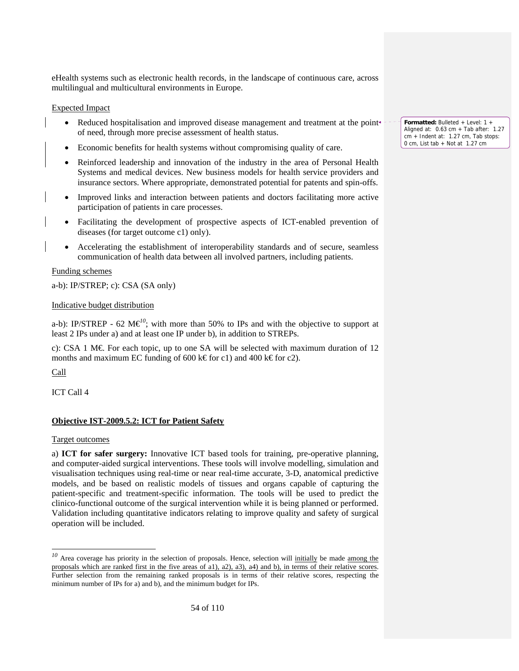eHealth systems such as electronic health records, in the landscape of continuous care, across multilingual and multicultural environments in Europe.

# Expected Impact

- Reduced hospitalisation and improved disease management and treatment at the point of need, through more precise assessment of health status.
- Economic benefits for health systems without compromising quality of care.
- Reinforced leadership and innovation of the industry in the area of Personal Health Systems and medical devices. New business models for health service providers and insurance sectors. Where appropriate, demonstrated potential for patents and spin-offs.
- Improved links and interaction between patients and doctors facilitating more active participation of patients in care processes.
- Facilitating the development of prospective aspects of ICT-enabled prevention of diseases (for target outcome c1) only).
- Accelerating the establishment of interoperability standards and of secure, seamless communication of health data between all involved partners, including patients.

# Funding schemes

a-b): IP/STREP; c): CSA (SA only)

# Indicative budget distribution

a-b): IP/STREP - 62 M $\epsilon^{0}$ ; with more than 50% to IPs and with the objective to support at least 2 IPs under a) and at least one IP under b), in addition to STREPs.

c): CSA 1 M $\epsilon$  For each topic, up to one SA will be selected with maximum duration of 12 months and maximum EC funding of 600 k€ for c1) and 400 k€ for c2).

Call

-

ICT Call 4

# **Objective IST-2009.5.2: ICT for Patient Safety**

# Target outcomes

a) **ICT for safer surgery:** Innovative ICT based tools for training, pre-operative planning, and computer-aided surgical interventions. These tools will involve modelling, simulation and visualisation techniques using real-time or near real-time accurate, 3-D, anatomical predictive models, and be based on realistic models of tissues and organs capable of capturing the patient-specific and treatment-specific information. The tools will be used to predict the clinico-functional outcome of the surgical intervention while it is being planned or performed. Validation including quantitative indicators relating to improve quality and safety of surgical operation will be included.

**Formatted:** Bulleted + Level: 1 + Aligned at: 0.63 cm + Tab after: 1.27 cm + Indent at: 1.27 cm, Tab stops: 0 cm, List tab + Not at 1.27 cm

<sup>&</sup>lt;sup>10</sup> Area coverage has priority in the selection of proposals. Hence, selection will initially be made among the proposals which are ranked first in the five areas of a1), a2), a3), a4) and b), in terms of their relative scores. Further selection from the remaining ranked proposals is in terms of their relative scores, respecting the minimum number of IPs for a) and b), and the minimum budget for IPs.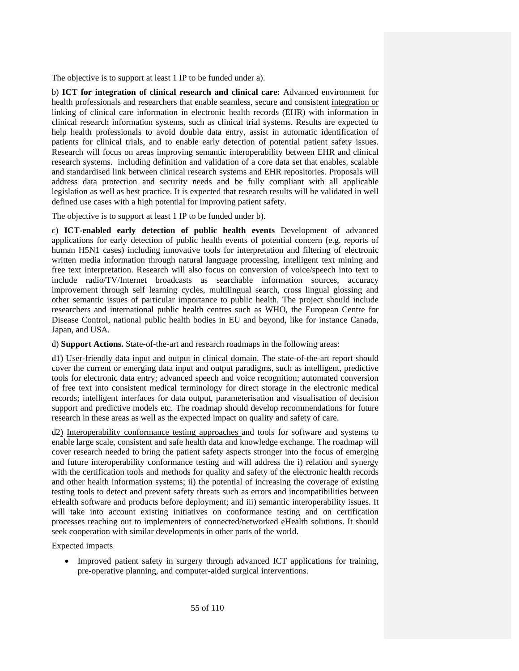The objective is to support at least 1 IP to be funded under a).

b) **ICT for integration of clinical research and clinical care:** Advanced environment for health professionals and researchers that enable seamless, secure and consistent integration or linking of clinical care information in electronic health records (EHR) with information in clinical research information systems, such as clinical trial systems. Results are expected to help health professionals to avoid double data entry, assist in automatic identification of patients for clinical trials, and to enable early detection of potential patient safety issues. Research will focus on areas improving semantic interoperability between EHR and clinical research systems. including definition and validation of a core data set that enables, scalable and standardised link between clinical research systems and EHR repositories. Proposals will address data protection and security needs and be fully compliant with all applicable legislation as well as best practice. It is expected that research results will be validated in well defined use cases with a high potential for improving patient safety.

The objective is to support at least 1 IP to be funded under b).

c) **ICT-enabled early detection of public health events** Development of advanced applications for early detection of public health events of potential concern (e.g. reports of human H5N1 cases) including innovative tools for interpretation and filtering of electronic written media information through natural language processing, intelligent text mining and free text interpretation. Research will also focus on conversion of voice/speech into text to include radio/TV/Internet broadcasts as searchable information sources, accuracy improvement through self learning cycles, multilingual search, cross lingual glossing and other semantic issues of particular importance to public health. The project should include researchers and international public health centres such as WHO, the European Centre for Disease Control, national public health bodies in EU and beyond, like for instance Canada, Japan, and USA.

d) **Support Actions.** State-of-the-art and research roadmaps in the following areas:

d1) User-friendly data input and output in clinical domain. The state-of-the-art report should cover the current or emerging data input and output paradigms, such as intelligent, predictive tools for electronic data entry; advanced speech and voice recognition; automated conversion of free text into consistent medical terminology for direct storage in the electronic medical records; intelligent interfaces for data output, parameterisation and visualisation of decision support and predictive models etc. The roadmap should develop recommendations for future research in these areas as well as the expected impact on quality and safety of care.

d2) Interoperability conformance testing approaches and tools for software and systems to enable large scale, consistent and safe health data and knowledge exchange. The roadmap will cover research needed to bring the patient safety aspects stronger into the focus of emerging and future interoperability conformance testing and will address the i) relation and synergy with the certification tools and methods for quality and safety of the electronic health records and other health information systems; ii) the potential of increasing the coverage of existing testing tools to detect and prevent safety threats such as errors and incompatibilities between eHealth software and products before deployment; and iii) semantic interoperability issues. It will take into account existing initiatives on conformance testing and on certification processes reaching out to implementers of connected/networked eHealth solutions. It should seek cooperation with similar developments in other parts of the world.

# Expected impacts

• Improved patient safety in surgery through advanced ICT applications for training, pre-operative planning, and computer-aided surgical interventions.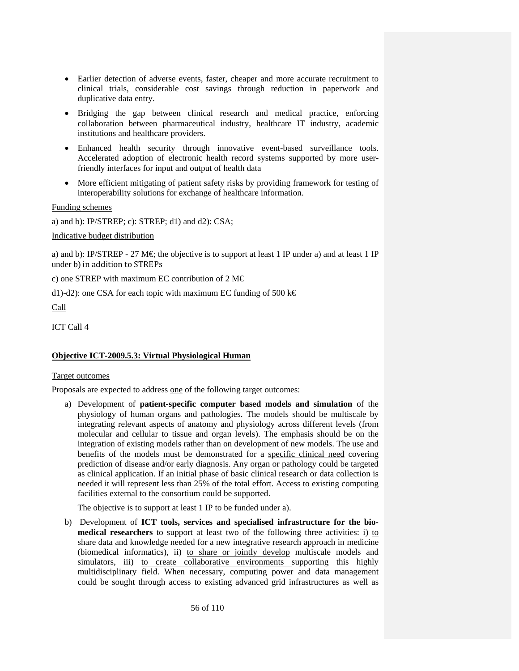- Earlier detection of adverse events, faster, cheaper and more accurate recruitment to clinical trials, considerable cost savings through reduction in paperwork and duplicative data entry.
- Bridging the gap between clinical research and medical practice, enforcing collaboration between pharmaceutical industry, healthcare IT industry, academic institutions and healthcare providers.
- Enhanced health security through innovative event-based surveillance tools. Accelerated adoption of electronic health record systems supported by more userfriendly interfaces for input and output of health data
- More efficient mitigating of patient safety risks by providing framework for testing of interoperability solutions for exchange of healthcare information.

Funding schemes

a) and b): IP/STREP; c): STREP;  $d1$ ) and  $d2$ ): CSA;

Indicative budget distribution

a) and b): IP/STREP - 27 M $\in$ ; the objective is to support at least 1 IP under a) and at least 1 IP under b) in addition to STREPs

c) one STREP with maximum EC contribution of  $2 M \in$ 

d1)-d2): one CSA for each topic with maximum EC funding of 500 k $\epsilon$ Call

ICT Call 4

# **Objective ICT-2009.5.3: Virtual Physiological Human**

#### Target outcomes

Proposals are expected to address one of the following target outcomes:

a) Development of **patient-specific computer based models and simulation** of the physiology of human organs and pathologies. The models should be multiscale by integrating relevant aspects of anatomy and physiology across different levels (from molecular and cellular to tissue and organ levels). The emphasis should be on the integration of existing models rather than on development of new models. The use and benefits of the models must be demonstrated for a specific clinical need covering prediction of disease and/or early diagnosis. Any organ or pathology could be targeted as clinical application. If an initial phase of basic clinical research or data collection is needed it will represent less than 25% of the total effort. Access to existing computing facilities external to the consortium could be supported.

The objective is to support at least 1 IP to be funded under a).

b) Development of **ICT tools, services and specialised infrastructure for the biomedical researchers** to support at least two of the following three activities: i) to share data and knowledge needed for a new integrative research approach in medicine (biomedical informatics), ii) to share or jointly develop multiscale models and simulators, iii) to create collaborative environments supporting this highly multidisciplinary field. When necessary, computing power and data management could be sought through access to existing advanced grid infrastructures as well as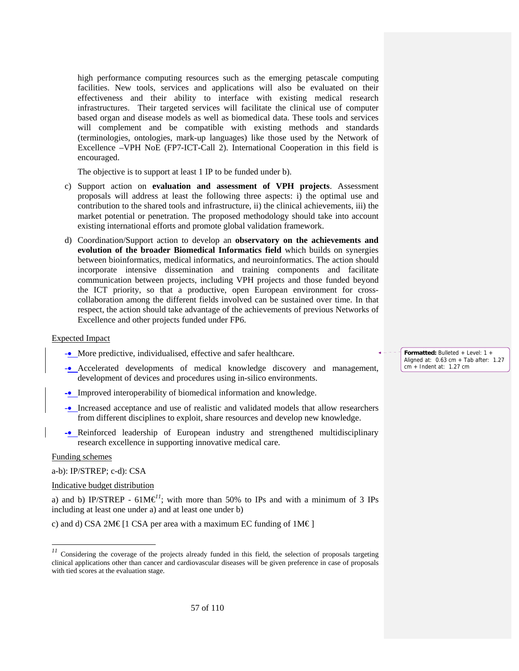high performance computing resources such as the emerging petascale computing facilities. New tools, services and applications will also be evaluated on their effectiveness and their ability to interface with existing medical research infrastructures. Their targeted services will facilitate the clinical use of computer based organ and disease models as well as biomedical data. These tools and services will complement and be compatible with existing methods and standards (terminologies, ontologies, mark-up languages) like those used by the Network of Excellence –VPH NoE (FP7-ICT-Call 2). International Cooperation in this field is encouraged.

The objective is to support at least 1 IP to be funded under b).

- c) Support action on **evaluation and assessment of VPH projects**. Assessment proposals will address at least the following three aspects: i) the optimal use and contribution to the shared tools and infrastructure, ii) the clinical achievements, iii) the market potential or penetration. The proposed methodology should take into account existing international efforts and promote global validation framework.
- d) Coordination/Support action to develop an **observatory on the achievements and evolution of the broader Biomedical Informatics field** which builds on synergies between bioinformatics, medical informatics, and neuroinformatics. The action should incorporate intensive dissemination and training components and facilitate communication between projects, including VPH projects and those funded beyond the ICT priority, so that a productive, open European environment for crosscollaboration among the different fields involved can be sustained over time. In that respect, the action should take advantage of the achievements of previous Networks of Excellence and other projects funded under FP6.

#### Expected Impact

- -• More predictive, individualised, effective and safer healthcare.
- -• Accelerated developments of medical knowledge discovery and management, development of devices and procedures using in-silico environments.
- -• Improved interoperability of biomedical information and knowledge.
- -• Increased acceptance and use of realistic and validated models that allow researchers from different disciplines to exploit, share resources and develop new knowledge.
- -• Reinforced leadership of European industry and strengthened multidisciplinary research excellence in supporting innovative medical care.

#### Funding schemes

-

a-b): IP/STREP; c-d): CSA

Indicative budget distribution

a) and b) IP/STREP -  $61M\epsilon^{1}$ ; with more than 50% to IPs and with a minimum of 3 IPs including at least one under a) and at least one under b)

c) and d) CSA 2M€ [1 CSA per area with a maximum EC funding of  $1M\epsilon$ ]

**Formatted:** Bulleted + Level: 1 + Aligned at: 0.63 cm + Tab after: 1.27 cm + Indent at: 1.27 cm

<sup>&</sup>lt;sup>11</sup> Considering the coverage of the projects already funded in this field, the selection of proposals targeting clinical applications other than cancer and cardiovascular diseases will be given preference in case of proposals with tied scores at the evaluation stage.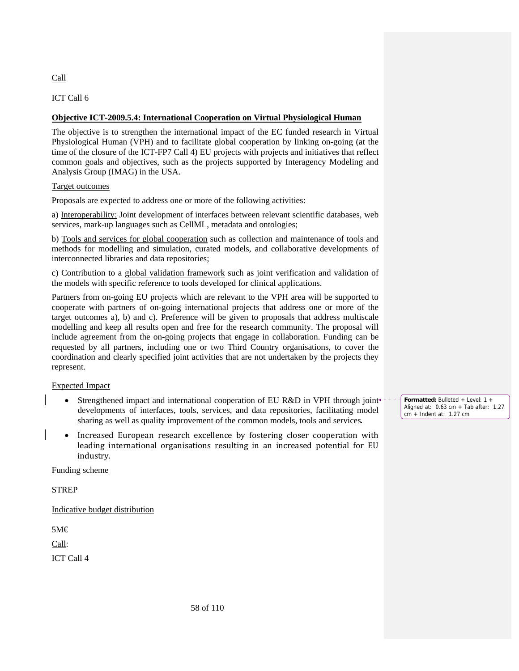Call

ICT Call 6

# **Objective ICT-2009.5.4: International Cooperation on Virtual Physiological Human**

The objective is to strengthen the international impact of the EC funded research in Virtual Physiological Human (VPH) and to facilitate global cooperation by linking on-going (at the time of the closure of the ICT-FP7 Call 4) EU projects with projects and initiatives that reflect common goals and objectives, such as the projects supported by Interagency Modeling and Analysis Group (IMAG) in the USA.

# Target outcomes

Proposals are expected to address one or more of the following activities:

a) Interoperability: Joint development of interfaces between relevant scientific databases, web services, mark-up languages such as CellML, metadata and ontologies;

b) Tools and services for global cooperation such as collection and maintenance of tools and methods for modelling and simulation, curated models, and collaborative developments of interconnected libraries and data repositories;

c) Contribution to a global validation framework such as joint verification and validation of the models with specific reference to tools developed for clinical applications.

Partners from on-going EU projects which are relevant to the VPH area will be supported to cooperate with partners of on-going international projects that address one or more of the target outcomes a), b) and c). Preference will be given to proposals that address multiscale modelling and keep all results open and free for the research community. The proposal will include agreement from the on-going projects that engage in collaboration. Funding can be requested by all partners, including one or two Third Country organisations, to cover the coordination and clearly specified joint activities that are not undertaken by the projects they represent.

# Expected Impact

- Strengthened impact and international cooperation of EU R&D in VPH through joint developments of interfaces, tools, services, and data repositories, facilitating model sharing as well as quality improvement of the common models, tools and services.
- Increased European research excellence by fostering closer cooperation with leading international organisations resulting in an increased potential for EU industry.

# Funding scheme

**STREP** 

Indicative budget distribution

5M€

Call:

ICT Call 4

**Formatted:** Bulleted + Level: 1 + Aligned at: 0.63 cm + Tab after: 1.27 cm + Indent at: 1.27 cm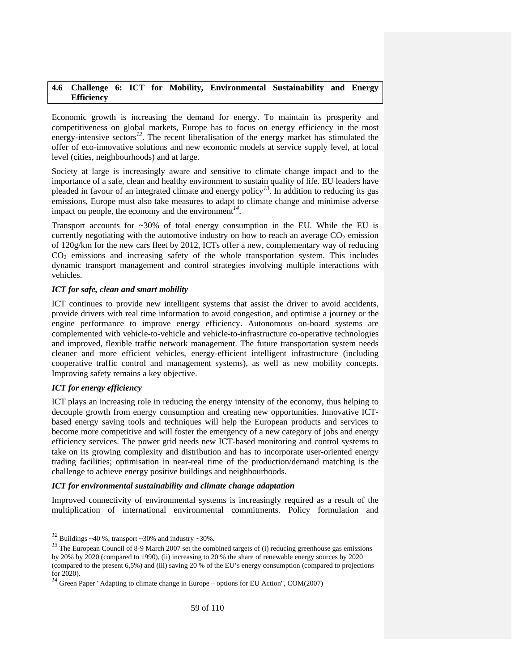# **4.6 Challenge 6: ICT for Mobility, Environmental Sustainability and Energy Efficiency**

Economic growth is increasing the demand for energy. To maintain its prosperity and competitiveness on global markets, Europe has to focus on energy efficiency in the most energy-intensive sectors<sup>12</sup>. The recent liberalisation of the energy market has stimulated the offer of eco-innovative solutions and new economic models at service supply level, at local level (cities, neighbourhoods) and at large.

Society at large is increasingly aware and sensitive to climate change impact and to the importance of a safe, clean and healthy environment to sustain quality of life. EU leaders have pleaded in favour of an integrated climate and energy policy*<sup>13</sup>*. In addition to reducing its gas emissions, Europe must also take measures to adapt to climate change and minimise adverse impact on people, the economy and the environment*<sup>14</sup>*.

Transport accounts for  $\sim$ 30% of total energy consumption in the EU. While the EU is currently negotiating with the automotive industry on how to reach an average  $CO<sub>2</sub>$  emission of 120g/km for the new cars fleet by 2012, ICTs offer a new, complementary way of reducing  $CO<sub>2</sub>$  emissions and increasing safety of the whole transportation system. This includes dynamic transport management and control strategies involving multiple interactions with vehicles.

# *ICT for safe, clean and smart mobility*

ICT continues to provide new intelligent systems that assist the driver to avoid accidents, provide drivers with real time information to avoid congestion, and optimise a journey or the engine performance to improve energy efficiency. Autonomous on-board systems are complemented with vehicle-to-vehicle and vehicle-to-infrastructure co-operative technologies and improved, flexible traffic network management. The future transportation system needs cleaner and more efficient vehicles, energy-efficient intelligent infrastructure (including cooperative traffic control and management systems), as well as new mobility concepts. Improving safety remains a key objective.

# *ICT for energy efficiency*

-

ICT plays an increasing role in reducing the energy intensity of the economy, thus helping to decouple growth from energy consumption and creating new opportunities. Innovative ICTbased energy saving tools and techniques will help the European products and services to become more competitive and will foster the emergency of a new category of jobs and energy efficiency services. The power grid needs new ICT-based monitoring and control systems to take on its growing complexity and distribution and has to incorporate user-oriented energy trading facilities; optimisation in near-real time of the production/demand matching is the challenge to achieve energy positive buildings and neighbourhoods.

# *ICT for environmental sustainability and climate change adaptation*

Improved connectivity of environmental systems is increasingly required as a result of the multiplication of international environmental commitments. Policy formulation and

<sup>&</sup>lt;sup>12</sup> Buildings ~40 %, transport ~30% and industry ~30%.

<sup>&</sup>lt;sup>13</sup> The European Council of 8-9 March 2007 set the combined targets of (i) reducing greenhouse gas emissions by 20% by 2020 (compared to 1990), (ii) increasing to 20 % the share of renewable energy sources by 2020 (compared to the present 6,5%) and (iii) saving 20 % of the EU's energy consumption (compared to projections for 2020).

<sup>&</sup>lt;sup>14</sup> Green Paper "Adapting to climate change in Europe – options for EU Action", COM(2007)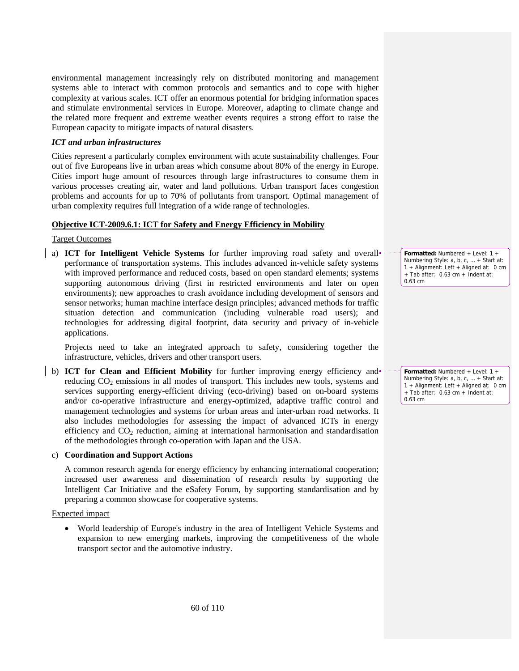environmental management increasingly rely on distributed monitoring and management systems able to interact with common protocols and semantics and to cope with higher complexity at various scales. ICT offer an enormous potential for bridging information spaces and stimulate environmental services in Europe. Moreover, adapting to climate change and the related more frequent and extreme weather events requires a strong effort to raise the European capacity to mitigate impacts of natural disasters.

### *ICT and urban infrastructures*

Cities represent a particularly complex environment with acute sustainability challenges. Four out of five Europeans live in urban areas which consume about 80% of the energy in Europe. Cities import huge amount of resources through large infrastructures to consume them in various processes creating air, water and land pollutions. Urban transport faces congestion problems and accounts for up to 70% of pollutants from transport. Optimal management of urban complexity requires full integration of a wide range of technologies.

# **Objective ICT-2009.6.1: ICT for Safety and Energy Efficiency in Mobility**

#### Target Outcomes

a) **ICT for Intelligent Vehicle Systems** for further improving road safety and overall performance of transportation systems. This includes advanced in-vehicle safety systems with improved performance and reduced costs, based on open standard elements; systems supporting autonomous driving (first in restricted environments and later on open environments); new approaches to crash avoidance including development of sensors and sensor networks; human machine interface design principles; advanced methods for traffic situation detection and communication (including vulnerable road users); and technologies for addressing digital footprint, data security and privacy of in-vehicle applications.

Projects need to take an integrated approach to safety, considering together the infrastructure, vehicles, drivers and other transport users.

b) **ICT for Clean and Efficient Mobility** for further improving energy efficiency and reducing CO<sub>2</sub> emissions in all modes of transport. This includes new tools, systems and services supporting energy-efficient driving (eco-driving) based on on-board systems and/or co-operative infrastructure and energy-optimized, adaptive traffic control and management technologies and systems for urban areas and inter-urban road networks. It also includes methodologies for assessing the impact of advanced ICTs in energy efficiency and  $CO<sub>2</sub>$  reduction, aiming at international harmonisation and standardisation of the methodologies through co-operation with Japan and the USA.

# c) **Coordination and Support Actions**

A common research agenda for energy efficiency by enhancing international cooperation; increased user awareness and dissemination of research results by supporting the Intelligent Car Initiative and the eSafety Forum, by supporting standardisation and by preparing a common showcase for cooperative systems.

Expected impact

• World leadership of Europe's industry in the area of Intelligent Vehicle Systems and expansion to new emerging markets, improving the competitiveness of the whole transport sector and the automotive industry.

**Formatted:** Numbered + Level: 1 + Numbering Style: a, b, c, … + Start at: 1 + Alignment: Left + Aligned at: 0 cm + Tab after: 0.63 cm + Indent at: 0.63 cm

**Formatted:** Numbered + Level: 1 + Numbering Style: a, b, c, … + Start at: 1 + Alignment: Left + Aligned at: 0 cm + Tab after: 0.63 cm + Indent at: 0.63 cm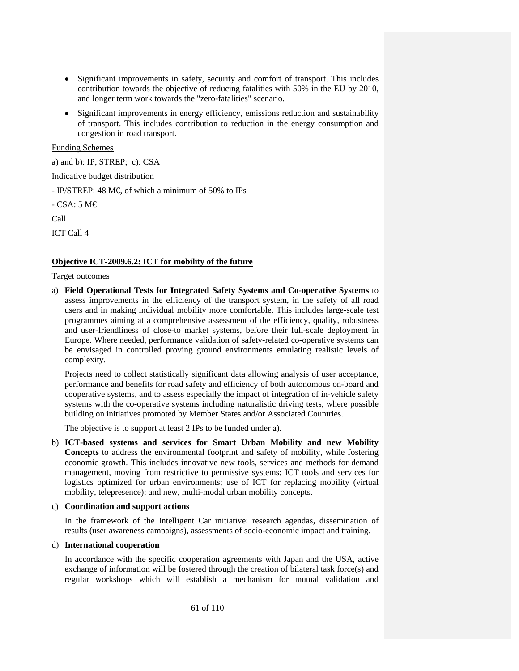- Significant improvements in safety, security and comfort of transport. This includes contribution towards the objective of reducing fatalities with 50% in the EU by 2010, and longer term work towards the "zero-fatalities" scenario.
- Significant improvements in energy efficiency, emissions reduction and sustainability of transport. This includes contribution to reduction in the energy consumption and congestion in road transport.

# Funding Schemes

a) and b): IP, STREP; c): CSA

Indicative budget distribution

 $-$  IP/STREP: 48 M  $\in$  of which a minimum of 50% to IPs

- CSA: 5 M€

Call

ICT Call 4

# **Objective ICT-2009.6.2: ICT for mobility of the future**

# Target outcomes

a) **Field Operational Tests for Integrated Safety Systems and Co-operative Systems** to assess improvements in the efficiency of the transport system, in the safety of all road users and in making individual mobility more comfortable. This includes large-scale test programmes aiming at a comprehensive assessment of the efficiency, quality, robustness and user-friendliness of close-to market systems, before their full-scale deployment in Europe. Where needed, performance validation of safety-related co-operative systems can be envisaged in controlled proving ground environments emulating realistic levels of complexity.

Projects need to collect statistically significant data allowing analysis of user acceptance, performance and benefits for road safety and efficiency of both autonomous on-board and cooperative systems, and to assess especially the impact of integration of in-vehicle safety systems with the co-operative systems including naturalistic driving tests, where possible building on initiatives promoted by Member States and/or Associated Countries.

The objective is to support at least 2 IPs to be funded under a).

b) **ICT-based systems and services for Smart Urban Mobility and new Mobility Concepts** to address the environmental footprint and safety of mobility, while fostering economic growth. This includes innovative new tools, services and methods for demand management, moving from restrictive to permissive systems; ICT tools and services for logistics optimized for urban environments; use of ICT for replacing mobility (virtual mobility, telepresence); and new, multi-modal urban mobility concepts.

# c) **Coordination and support actions**

In the framework of the Intelligent Car initiative: research agendas, dissemination of results (user awareness campaigns), assessments of socio-economic impact and training.

# d) **International cooperation**

In accordance with the specific cooperation agreements with Japan and the USA, active exchange of information will be fostered through the creation of bilateral task force(s) and regular workshops which will establish a mechanism for mutual validation and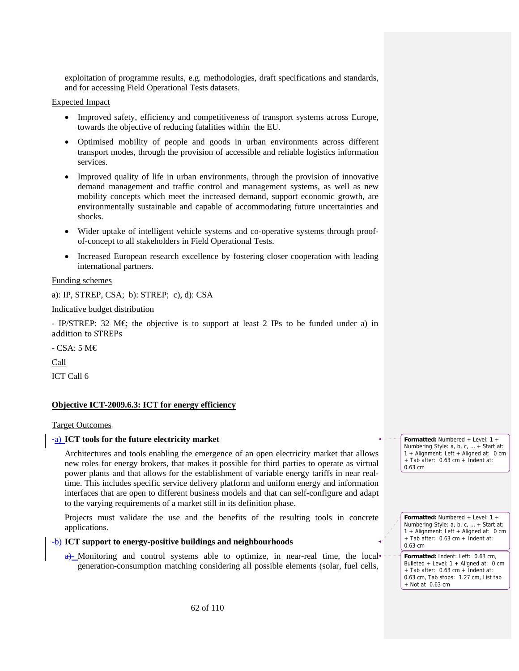exploitation of programme results, e.g. methodologies, draft specifications and standards, and for accessing Field Operational Tests datasets.

#### Expected Impact

- Improved safety, efficiency and competitiveness of transport systems across Europe, towards the objective of reducing fatalities within the EU.
- Optimised mobility of people and goods in urban environments across different transport modes, through the provision of accessible and reliable logistics information services.
- Improved quality of life in urban environments, through the provision of innovative demand management and traffic control and management systems, as well as new mobility concepts which meet the increased demand, support economic growth, are environmentally sustainable and capable of accommodating future uncertainties and shocks.
- Wider uptake of intelligent vehicle systems and co-operative systems through proofof-concept to all stakeholders in Field Operational Tests.
- Increased European research excellence by fostering closer cooperation with leading international partners.

#### Funding schemes

a): IP, STREP, CSA; b): STREP; c), d): CSA

#### Indicative budget distribution

- IP/STREP: 32 M $\epsilon$  the objective is to support at least 2 IPs to be funded under a) in addition to STREPs

- CSA: 5 M€

Call

ICT Call 6

# **Objective ICT-2009.6.3: ICT for energy efficiency**

#### Target Outcomes

#### -a) **ICT tools for the future electricity market**

Architectures and tools enabling the emergence of an open electricity market that allows new roles for energy brokers, that makes it possible for third parties to operate as virtual power plants and that allows for the establishment of variable energy tariffs in near realtime. This includes specific service delivery platform and uniform energy and information interfaces that are open to different business models and that can self-configure and adapt to the varying requirements of a market still in its definition phase.

Projects must validate the use and the benefits of the resulting tools in concrete applications.

#### -b) **ICT support to energy-positive buildings and neighbourhoods**

 $a$ )- Monitoring and control systems able to optimize, in near-real time, the local  $\overline{a}$ generation-consumption matching considering all possible elements (solar, fuel cells,

**Formatted:** Numbered + Level: 1 + Numbering Style: a, b, c, … + Start at: 1 + Alignment: Left + Aligned at: 0 cm + Tab after: 0.63 cm + Indent at: 0.63 cm

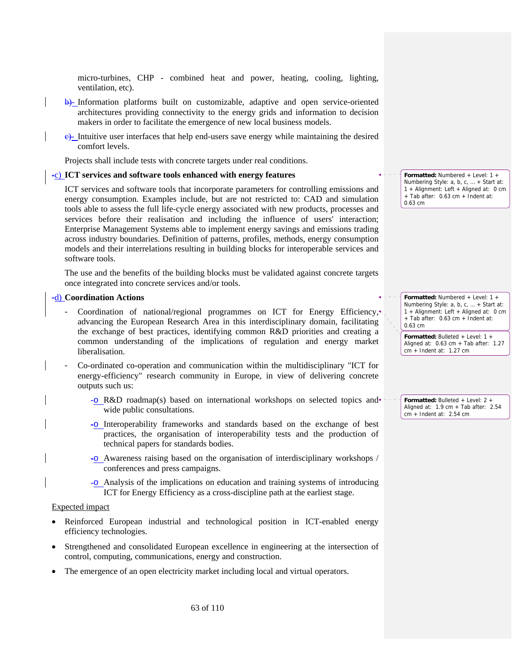micro-turbines, CHP - combined heat and power, heating, cooling, lighting, ventilation, etc).

- b)- Information platforms built on customizable, adaptive and open service-oriented architectures providing connectivity to the energy grids and information to decision makers in order to facilitate the emergence of new local business models.
- c)- Intuitive user interfaces that help end-users save energy while maintaining the desired comfort levels.

Projects shall include tests with concrete targets under real conditions.

#### -c) **ICT services and software tools enhanced with energy features**

ICT services and software tools that incorporate parameters for controlling emissions and energy consumption. Examples include, but are not restricted to: CAD and simulation tools able to assess the full life-cycle energy associated with new products, processes and services before their realisation and including the influence of users' interaction; Enterprise Management Systems able to implement energy savings and emissions trading across industry boundaries. Definition of patterns, profiles, methods, energy consumption models and their interrelations resulting in building blocks for interoperable services and software tools.

The use and the benefits of the building blocks must be validated against concrete targets once integrated into concrete services and/or tools.

# -d) **Coordination Actions**

- Coordination of national/regional programmes on ICT for Energy Efficiency, advancing the European Research Area in this interdisciplinary domain, facilitating the exchange of best practices, identifying common R&D priorities and creating a common understanding of the implications of regulation and energy market liberalisation.
- Co-ordinated co-operation and communication within the multidisciplinary "ICT for energy-efficiency" research community in Europe, in view of delivering concrete outputs such us:
	- -o R&D roadmap(s) based on international workshops on selected topics and wide public consultations.
	- -o Interoperability frameworks and standards based on the exchange of best practices, the organisation of interoperability tests and the production of technical papers for standards bodies.
	- -o Awareness raising based on the organisation of interdisciplinary workshops / conferences and press campaigns.
	- -o Analysis of the implications on education and training systems of introducing ICT for Energy Efficiency as a cross-discipline path at the earliest stage.

#### Expected impact

- Reinforced European industrial and technological position in ICT-enabled energy efficiency technologies.
- Strengthened and consolidated European excellence in engineering at the intersection of control, computing, communications, energy and construction.
- The emergence of an open electricity market including local and virtual operators.

**Formatted:** Numbered + Level: 1 + Numbering Style: a, b, c, … + Start at: 1 + Alignment: Left + Aligned at: 0 cm + Tab after: 0.63 cm + Indent at: 0.63 cm

**Formatted:** Numbered + Level: 1 + Numbering Style: a, b, c, … + Start at: 1 + Alignment: Left + Aligned at: 0 cm + Tab after: 0.63 cm + Indent at: 0.63 cm

**Formatted:** Bulleted + Level: 1 + Aligned at: 0.63 cm + Tab after: 1.27 cm + Indent at: 1.27 cm

**Formatted:** Bulleted + Level: 2 + Aligned at: 1.9 cm + Tab after: 2.54 cm + Indent at: 2.54 cm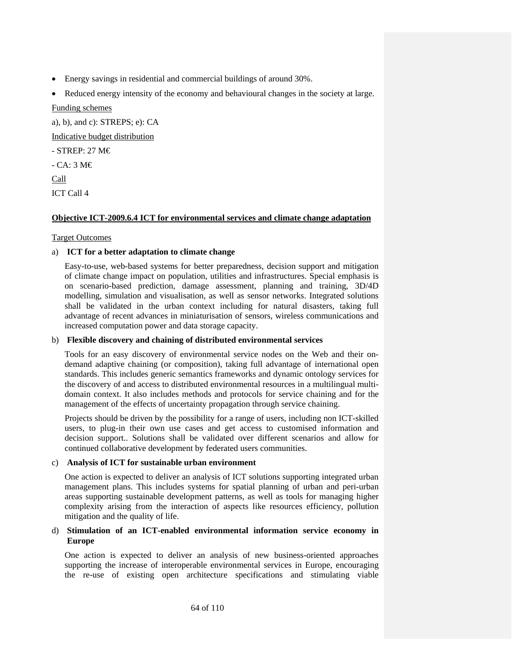- Energy savings in residential and commercial buildings of around 30%.
- Reduced energy intensity of the economy and behavioural changes in the society at large. Funding schemes

a), b), and c): STREPS; e): CA

Indicative budget distribution

- STREP: 27 M€

- CA: 3 M€

Call

ICT Call 4

# **Objective ICT-2009.6.4 ICT for environmental services and climate change adaptation**

# Target Outcomes

# a) **ICT for a better adaptation to climate change**

Easy-to-use, web-based systems for better preparedness, decision support and mitigation of climate change impact on population, utilities and infrastructures. Special emphasis is on scenario-based prediction, damage assessment, planning and training, 3D/4D modelling, simulation and visualisation, as well as sensor networks. Integrated solutions shall be validated in the urban context including for natural disasters, taking full advantage of recent advances in miniaturisation of sensors, wireless communications and increased computation power and data storage capacity.

# b) **Flexible discovery and chaining of distributed environmental services**

Tools for an easy discovery of environmental service nodes on the Web and their ondemand adaptive chaining (or composition), taking full advantage of international open standards. This includes generic semantics frameworks and dynamic ontology services for the discovery of and access to distributed environmental resources in a multilingual multidomain context. It also includes methods and protocols for service chaining and for the management of the effects of uncertainty propagation through service chaining.

Projects should be driven by the possibility for a range of users, including non ICT-skilled users, to plug-in their own use cases and get access to customised information and decision support.. Solutions shall be validated over different scenarios and allow for continued collaborative development by federated users communities.

# c) **Analysis of ICT for sustainable urban environment**

One action is expected to deliver an analysis of ICT solutions supporting integrated urban management plans. This includes systems for spatial planning of urban and peri-urban areas supporting sustainable development patterns, as well as tools for managing higher complexity arising from the interaction of aspects like resources efficiency, pollution mitigation and the quality of life.

# d) **Stimulation of an ICT-enabled environmental information service economy in Europe**

One action is expected to deliver an analysis of new business-oriented approaches supporting the increase of interoperable environmental services in Europe, encouraging the re-use of existing open architecture specifications and stimulating viable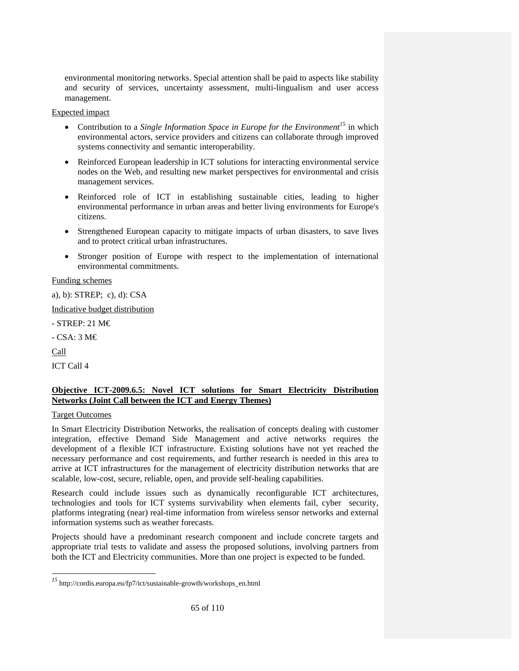environmental monitoring networks. Special attention shall be paid to aspects like stability and security of services, uncertainty assessment, multi-lingualism and user access management.

# Expected impact

- Contribution to a *Single Information Space in Europe for the Environment*<sup>15</sup> in which environmental actors, service providers and citizens can collaborate through improved systems connectivity and semantic interoperability.
- Reinforced European leadership in ICT solutions for interacting environmental service nodes on the Web, and resulting new market perspectives for environmental and crisis management services.
- Reinforced role of ICT in establishing sustainable cities, leading to higher environmental performance in urban areas and better living environments for Europe's citizens.
- Strengthened European capacity to mitigate impacts of urban disasters, to save lives and to protect critical urban infrastructures.
- Stronger position of Europe with respect to the implementation of international environmental commitments.

# Funding schemes

a), b): STREP; c), d): CSA

Indicative budget distribution

- STREP: 21 M€

- CSA: 3 M€

Call

-

ICT Call 4

# **Objective ICT-2009.6.5: Novel ICT solutions for Smart Electricity Distribution Networks (Joint Call between the ICT and Energy Themes)**

# Target Outcomes

In Smart Electricity Distribution Networks, the realisation of concepts dealing with customer integration, effective Demand Side Management and active networks requires the development of a flexible ICT infrastructure. Existing solutions have not yet reached the necessary performance and cost requirements, and further research is needed in this area to arrive at ICT infrastructures for the management of electricity distribution networks that are scalable, low-cost, secure, reliable, open, and provide self-healing capabilities.

Research could include issues such as dynamically reconfigurable ICT architectures, technologies and tools for ICT systems survivability when elements fail, cyber security, platforms integrating (near) real-time information from wireless sensor networks and external information systems such as weather forecasts.

Projects should have a predominant research component and include concrete targets and appropriate trial tests to validate and assess the proposed solutions, involving partners from both the ICT and Electricity communities. More than one project is expected to be funded.

*<sup>15</sup>* http://cordis.europa.eu/fp7/ict/sustainable-growth/workshops\_en.html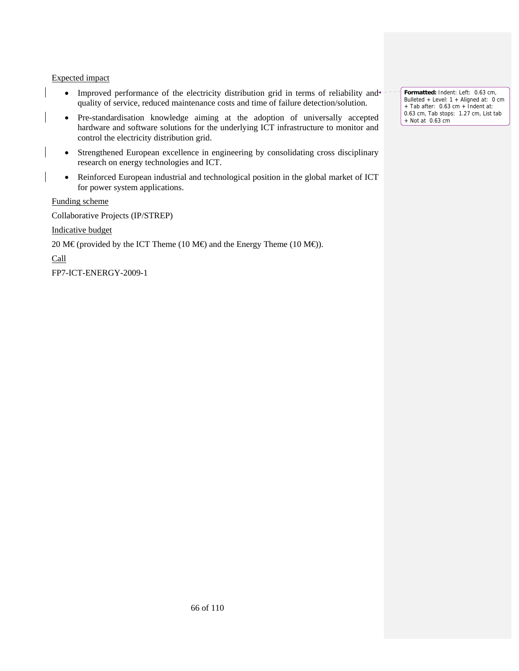## Expected impact

- Improved performance of the electricity distribution grid in terms of reliability and quality of service, reduced maintenance costs and time of failure detection/solution.
- Pre-standardisation knowledge aiming at the adoption of universally accepted hardware and software solutions for the underlying ICT infrastructure to monitor and control the electricity distribution grid.
- Strengthened European excellence in engineering by consolidating cross disciplinary research on energy technologies and ICT.
- Reinforced European industrial and technological position in the global market of ICT for power system applications.

Funding scheme

Collaborative Projects (IP/STREP)

Indicative budget

20 M€ (provided by the ICT Theme (10 M€) and the Energy Theme (10 M€).

Call

FP7-ICT-ENERGY-2009-1

**Formatted:** Indent: Left: 0.63 cm, Bulleted + Level: 1 + Aligned at: 0 cm + Tab after: 0.63 cm + Indent at: 0.63 cm, Tab stops: 1.27 cm, List tab + Not at 0.63 cm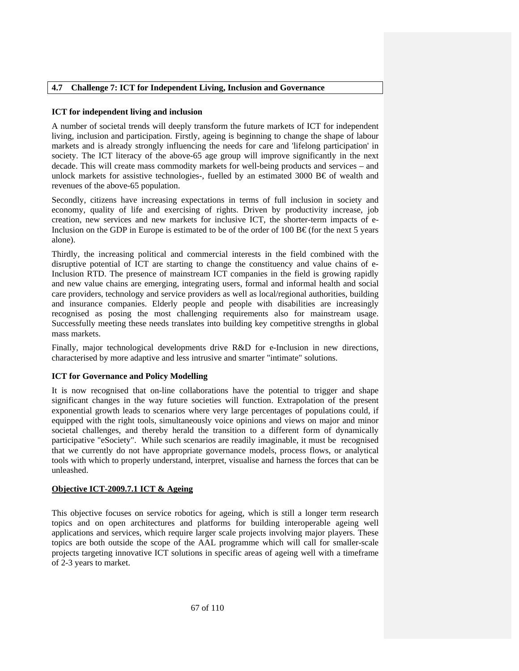# **4.7 Challenge 7: ICT for Independent Living, Inclusion and Governance**

### **ICT for independent living and inclusion**

A number of societal trends will deeply transform the future markets of ICT for independent living, inclusion and participation. Firstly, ageing is beginning to change the shape of labour markets and is already strongly influencing the needs for care and 'lifelong participation' in society. The ICT literacy of the above-65 age group will improve significantly in the next decade. This will create mass commodity markets for well-being products and services – and unlock markets for assistive technologies-, fuelled by an estimated 3000 B $\epsilon$  of wealth and revenues of the above-65 population.

Secondly, citizens have increasing expectations in terms of full inclusion in society and economy, quality of life and exercising of rights. Driven by productivity increase, job creation, new services and new markets for inclusive ICT, the shorter-term impacts of e-Inclusion on the GDP in Europe is estimated to be of the order of 100 B $\epsilon$  (for the next 5 years alone).

Thirdly, the increasing political and commercial interests in the field combined with the disruptive potential of ICT are starting to change the constituency and value chains of e-Inclusion RTD. The presence of mainstream ICT companies in the field is growing rapidly and new value chains are emerging, integrating users, formal and informal health and social care providers, technology and service providers as well as local/regional authorities, building and insurance companies. Elderly people and people with disabilities are increasingly recognised as posing the most challenging requirements also for mainstream usage. Successfully meeting these needs translates into building key competitive strengths in global mass markets.

Finally, major technological developments drive R&D for e-Inclusion in new directions, characterised by more adaptive and less intrusive and smarter "intimate" solutions.

#### **ICT for Governance and Policy Modelling**

It is now recognised that on-line collaborations have the potential to trigger and shape significant changes in the way future societies will function. Extrapolation of the present exponential growth leads to scenarios where very large percentages of populations could, if equipped with the right tools, simultaneously voice opinions and views on major and minor societal challenges, and thereby herald the transition to a different form of dynamically participative "eSociety". While such scenarios are readily imaginable, it must be recognised that we currently do not have appropriate governance models, process flows, or analytical tools with which to properly understand, interpret, visualise and harness the forces that can be unleashed.

# **Objective ICT-2009.7.1 ICT & Ageing**

This objective focuses on service robotics for ageing, which is still a longer term research topics and on open architectures and platforms for building interoperable ageing well applications and services, which require larger scale projects involving major players. These topics are both outside the scope of the AAL programme which will call for smaller-scale projects targeting innovative ICT solutions in specific areas of ageing well with a timeframe of 2-3 years to market.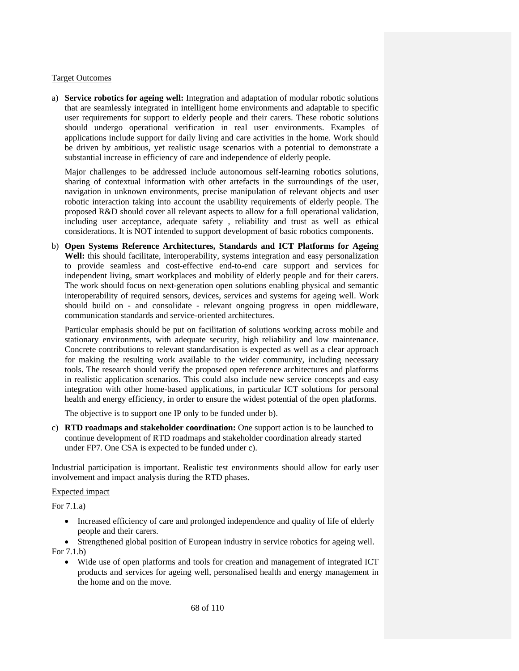#### Target Outcomes

a) **Service robotics for ageing well:** Integration and adaptation of modular robotic solutions that are seamlessly integrated in intelligent home environments and adaptable to specific user requirements for support to elderly people and their carers. These robotic solutions should undergo operational verification in real user environments. Examples of applications include support for daily living and care activities in the home. Work should be driven by ambitious, yet realistic usage scenarios with a potential to demonstrate a substantial increase in efficiency of care and independence of elderly people.

Major challenges to be addressed include autonomous self-learning robotics solutions, sharing of contextual information with other artefacts in the surroundings of the user, navigation in unknown environments, precise manipulation of relevant objects and user robotic interaction taking into account the usability requirements of elderly people. The proposed R&D should cover all relevant aspects to allow for a full operational validation, including user acceptance, adequate safety , reliability and trust as well as ethical considerations. It is NOT intended to support development of basic robotics components.

b) **Open Systems Reference Architectures, Standards and ICT Platforms for Ageing**  Well: this should facilitate, interoperability, systems integration and easy personalization to provide seamless and cost-effective end-to-end care support and services for independent living, smart workplaces and mobility of elderly people and for their carers. The work should focus on next-generation open solutions enabling physical and semantic interoperability of required sensors, devices, services and systems for ageing well. Work should build on - and consolidate - relevant ongoing progress in open middleware, communication standards and service-oriented architectures.

Particular emphasis should be put on facilitation of solutions working across mobile and stationary environments, with adequate security, high reliability and low maintenance. Concrete contributions to relevant standardisation is expected as well as a clear approach for making the resulting work available to the wider community, including necessary tools. The research should verify the proposed open reference architectures and platforms in realistic application scenarios. This could also include new service concepts and easy integration with other home-based applications, in particular ICT solutions for personal health and energy efficiency, in order to ensure the widest potential of the open platforms.

The objective is to support one IP only to be funded under b).

c) **RTD roadmaps and stakeholder coordination:** One support action is to be launched to continue development of RTD roadmaps and stakeholder coordination already started under FP7. One CSA is expected to be funded under c).

Industrial participation is important. Realistic test environments should allow for early user involvement and impact analysis during the RTD phases.

#### Expected impact

For 7.1.a)

- Increased efficiency of care and prolonged independence and quality of life of elderly people and their carers.
- Strengthened global position of European industry in service robotics for ageing well. For 7.1.b)
	- Wide use of open platforms and tools for creation and management of integrated ICT products and services for ageing well, personalised health and energy management in the home and on the move.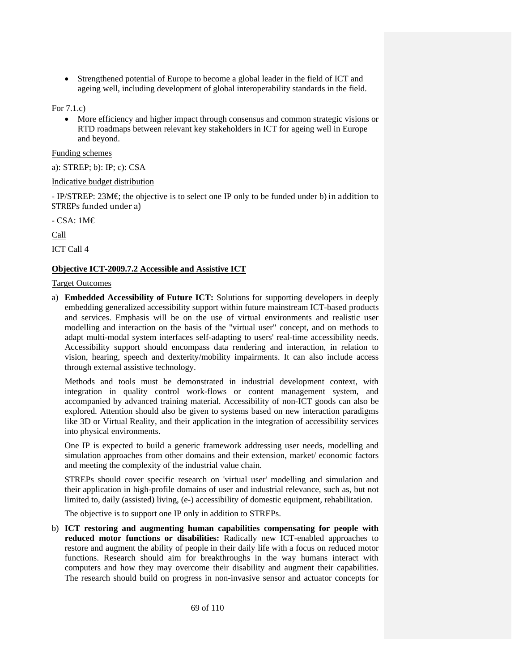• Strengthened potential of Europe to become a global leader in the field of ICT and ageing well, including development of global interoperability standards in the field.

For 7.1.c)

• More efficiency and higher impact through consensus and common strategic visions or RTD roadmaps between relevant key stakeholders in ICT for ageing well in Europe and beyond.

Funding schemes

# a): STREP; b): IP; c): CSA

# Indicative budget distribution

- IP/STREP: 23M€; the objective is to select one IP only to be funded under b) in addition to STREPs funded under a)

- CSA: 1M€

Call

ICT Call 4

# **Objective ICT-2009.7.2 Accessible and Assistive ICT**

# Target Outcomes

a) **Embedded Accessibility of Future ICT:** Solutions for supporting developers in deeply embedding generalized accessibility support within future mainstream ICT-based products and services. Emphasis will be on the use of virtual environments and realistic user modelling and interaction on the basis of the "virtual user" concept, and on methods to adapt multi-modal system interfaces self-adapting to users' real-time accessibility needs. Accessibility support should encompass data rendering and interaction, in relation to vision, hearing, speech and dexterity/mobility impairments. It can also include access through external assistive technology.

Methods and tools must be demonstrated in industrial development context, with integration in quality control work-flows or content management system, and accompanied by advanced training material. Accessibility of non-ICT goods can also be explored. Attention should also be given to systems based on new interaction paradigms like 3D or Virtual Reality, and their application in the integration of accessibility services into physical environments.

One IP is expected to build a generic framework addressing user needs, modelling and simulation approaches from other domains and their extension, market/ economic factors and meeting the complexity of the industrial value chain.

STREPs should cover specific research on 'virtual user' modelling and simulation and their application in high-profile domains of user and industrial relevance, such as, but not limited to, daily (assisted) living, (e-) accessibility of domestic equipment, rehabilitation.

The objective is to support one IP only in addition to STREPs.

b) **ICT restoring and augmenting human capabilities compensating for people with reduced motor functions or disabilities:** Radically new ICT-enabled approaches to restore and augment the ability of people in their daily life with a focus on reduced motor functions. Research should aim for breakthroughs in the way humans interact with computers and how they may overcome their disability and augment their capabilities. The research should build on progress in non-invasive sensor and actuator concepts for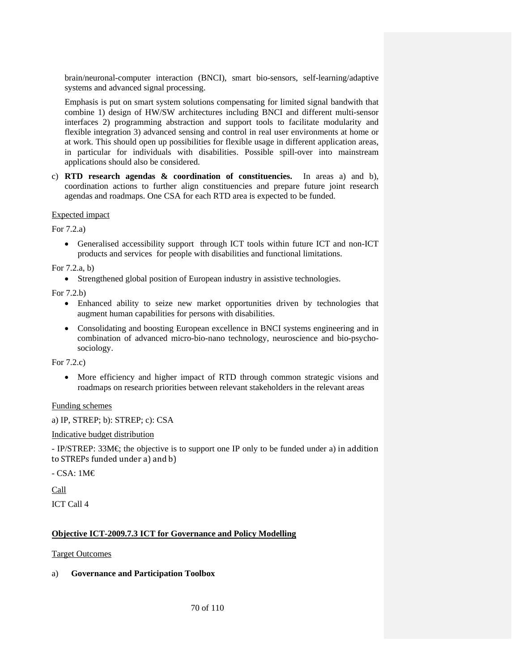brain/neuronal-computer interaction (BNCI), smart bio-sensors, self-learning/adaptive systems and advanced signal processing.

Emphasis is put on smart system solutions compensating for limited signal bandwith that combine 1) design of HW/SW architectures including BNCI and different multi-sensor interfaces 2) programming abstraction and support tools to facilitate modularity and flexible integration 3) advanced sensing and control in real user environments at home or at work. This should open up possibilities for flexible usage in different application areas, in particular for individuals with disabilities. Possible spill-over into mainstream applications should also be considered.

c) **RTD research agendas & coordination of constituencies.** In areas a) and b), coordination actions to further align constituencies and prepare future joint research agendas and roadmaps. One CSA for each RTD area is expected to be funded.

# Expected impact

For 7.2.a)

• Generalised accessibility support through ICT tools within future ICT and non-ICT products and services for people with disabilities and functional limitations.

# For 7.2.a, b)

• Strengthened global position of European industry in assistive technologies.

For 7.2.b)

- Enhanced ability to seize new market opportunities driven by technologies that augment human capabilities for persons with disabilities.
- Consolidating and boosting European excellence in BNCI systems engineering and in combination of advanced micro-bio-nano technology, neuroscience and bio-psychosociology.

For 7.2.c)

• More efficiency and higher impact of RTD through common strategic visions and roadmaps on research priorities between relevant stakeholders in the relevant areas

Funding schemes

a) IP, STREP; b): STREP; c): CSA

# Indicative budget distribution

 $-$  IP/STREP: 33M $\in$  the objective is to support one IP only to be funded under a) in addition to STREPs funded under a) and b)

- CSA: 1M€

Call

ICT Call 4

# **Objective ICT-2009.7.3 ICT for Governance and Policy Modelling**

# Target Outcomes

# a) **Governance and Participation Toolbox**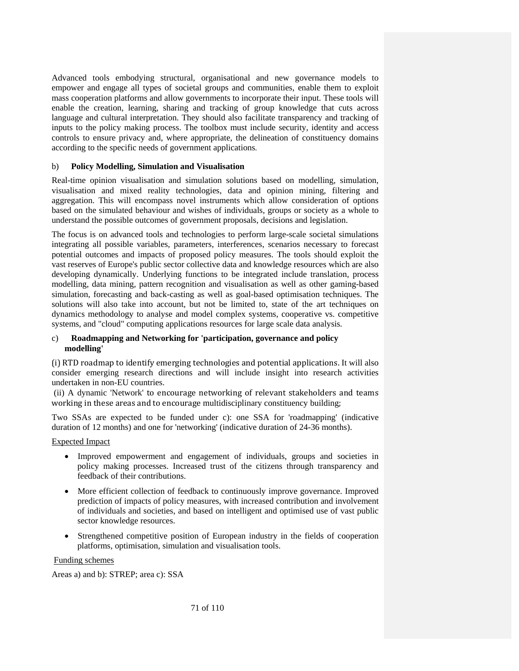Advanced tools embodying structural, organisational and new governance models to empower and engage all types of societal groups and communities, enable them to exploit mass cooperation platforms and allow governments to incorporate their input. These tools will enable the creation, learning, sharing and tracking of group knowledge that cuts across language and cultural interpretation. They should also facilitate transparency and tracking of inputs to the policy making process. The toolbox must include security, identity and access controls to ensure privacy and, where appropriate, the delineation of constituency domains according to the specific needs of government applications.

# b) **Policy Modelling, Simulation and Visualisation**

Real-time opinion visualisation and simulation solutions based on modelling, simulation, visualisation and mixed reality technologies, data and opinion mining, filtering and aggregation. This will encompass novel instruments which allow consideration of options based on the simulated behaviour and wishes of individuals, groups or society as a whole to understand the possible outcomes of government proposals, decisions and legislation.

The focus is on advanced tools and technologies to perform large-scale societal simulations integrating all possible variables, parameters, interferences, scenarios necessary to forecast potential outcomes and impacts of proposed policy measures. The tools should exploit the vast reserves of Europe's public sector collective data and knowledge resources which are also developing dynamically. Underlying functions to be integrated include translation, process modelling, data mining, pattern recognition and visualisation as well as other gaming-based simulation, forecasting and back-casting as well as goal-based optimisation techniques. The solutions will also take into account, but not be limited to, state of the art techniques on dynamics methodology to analyse and model complex systems, cooperative vs. competitive systems, and "cloud" computing applications resources for large scale data analysis.

# c) **Roadmapping and Networking for 'participation, governance and policy modelling'**

(i) RTD roadmap to identify emerging technologies and potential applications. It will also consider emerging research directions and will include insight into research activities undertaken in non-EU countries.

 (ii) A dynamic 'Network' to encourage networking of relevant stakeholders and teams working in these areas and to encourage multidisciplinary constituency building;

Two SSAs are expected to be funded under c): one SSA for 'roadmapping' (indicative duration of 12 months) and one for 'networking' (indicative duration of 24-36 months).

Expected Impact

- Improved empowerment and engagement of individuals, groups and societies in policy making processes. Increased trust of the citizens through transparency and feedback of their contributions.
- More efficient collection of feedback to continuously improve governance. Improved prediction of impacts of policy measures, with increased contribution and involvement of individuals and societies, and based on intelligent and optimised use of vast public sector knowledge resources.
- Strengthened competitive position of European industry in the fields of cooperation platforms, optimisation, simulation and visualisation tools.

Funding schemes

Areas a) and b): STREP; area c): SSA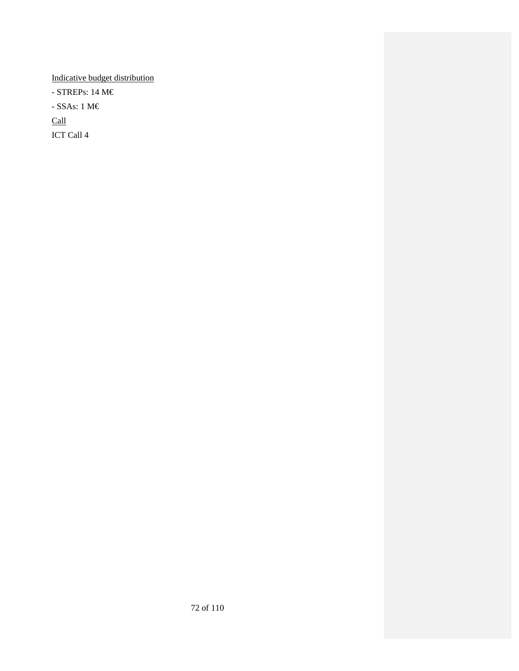Indicative budget distribution - STREPs: 14 M€ - SSAs: 1 $\text{M}\mathbb{\in}$ Call ICT Call 4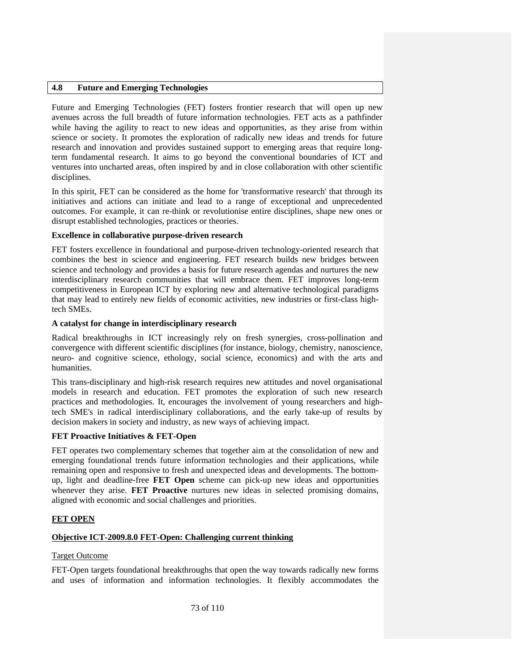## **4.8 Future and Emerging Technologies**

Future and Emerging Technologies (FET) fosters frontier research that will open up new avenues across the full breadth of future information technologies. FET acts as a pathfinder while having the agility to react to new ideas and opportunities, as they arise from within science or society. It promotes the exploration of radically new ideas and trends for future research and innovation and provides sustained support to emerging areas that require longterm fundamental research. It aims to go beyond the conventional boundaries of ICT and ventures into uncharted areas, often inspired by and in close collaboration with other scientific disciplines.

In this spirit, FET can be considered as the home for 'transformative research' that through its initiatives and actions can initiate and lead to a range of exceptional and unprecedented outcomes. For example, it can re-think or revolutionise entire disciplines, shape new ones or disrupt established technologies, practices or theories.

#### **Excellence in collaborative purpose-driven research**

FET fosters excellence in foundational and purpose-driven technology-oriented research that combines the best in science and engineering. FET research builds new bridges between science and technology and provides a basis for future research agendas and nurtures the new interdisciplinary research communities that will embrace them. FET improves long-term competitiveness in European ICT by exploring new and alternative technological paradigms that may lead to entirely new fields of economic activities, new industries or first-class hightech SMEs.

#### **A catalyst for change in interdisciplinary research**

Radical breakthroughs in ICT increasingly rely on fresh synergies, cross-pollination and convergence with different scientific disciplines (for instance, biology, chemistry, nanoscience, neuro- and cognitive science, ethology, social science, economics) and with the arts and humanities.

This trans-disciplinary and high-risk research requires new attitudes and novel organisational models in research and education. FET promotes the exploration of such new research practices and methodologies. It, encourages the involvement of young researchers and hightech SME's in radical interdisciplinary collaborations, and the early take-up of results by decision makers in society and industry, as new ways of achieving impact.

#### **FET Proactive Initiatives & FET-Open**

FET operates two complementary schemes that together aim at the consolidation of new and emerging foundational trends future information technologies and their applications, while remaining open and responsive to fresh and unexpected ideas and developments. The bottomup, light and deadline-free **FET Open** scheme can pick-up new ideas and opportunities whenever they arise. **FET Proactive** nurtures new ideas in selected promising domains, aligned with economic and social challenges and priorities.

#### **FET OPEN**

#### **Objective ICT-2009.8.0 FET-Open: Challenging current thinking**

#### Target Outcome

FET-Open targets foundational breakthroughs that open the way towards radically new forms and uses of information and information technologies. It flexibly accommodates the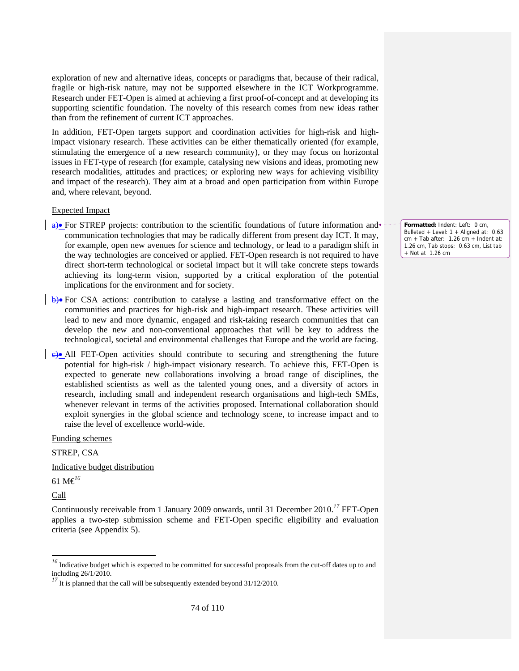exploration of new and alternative ideas, concepts or paradigms that, because of their radical, fragile or high-risk nature, may not be supported elsewhere in the ICT Workprogramme. Research under FET-Open is aimed at achieving a first proof-of-concept and at developing its supporting scientific foundation. The novelty of this research comes from new ideas rather than from the refinement of current ICT approaches.

In addition, FET-Open targets support and coordination activities for high-risk and highimpact visionary research. These activities can be either thematically oriented (for example, stimulating the emergence of a new research community), or they may focus on horizontal issues in FET-type of research (for example, catalysing new visions and ideas, promoting new research modalities, attitudes and practices; or exploring new ways for achieving visibility and impact of the research). They aim at a broad and open participation from within Europe and, where relevant, beyond.

#### Expected Impact

 $\leftrightarrow$  For STREP projects: contribution to the scientific foundations of future information and communication technologies that may be radically different from present day ICT. It may, for example, open new avenues for science and technology, or lead to a paradigm shift in the way technologies are conceived or applied. FET-Open research is not required to have direct short-term technological or societal impact but it will take concrete steps towards achieving its long-term vision, supported by a critical exploration of the potential implications for the environment and for society.

b)• For CSA actions: contribution to catalyse a lasting and transformative effect on the communities and practices for high-risk and high-impact research. These activities will lead to new and more dynamic, engaged and risk-taking research communities that can develop the new and non-conventional approaches that will be key to address the technological, societal and environmental challenges that Europe and the world are facing.

c)• All FET-Open activities should contribute to securing and strengthening the future potential for high-risk / high-impact visionary research. To achieve this, FET-Open is expected to generate new collaborations involving a broad range of disciplines, the established scientists as well as the talented young ones, and a diversity of actors in research, including small and independent research organisations and high-tech SMEs, whenever relevant in terms of the activities proposed. International collaboration should exploit synergies in the global science and technology scene, to increase impact and to raise the level of excellence world-wide.

Funding schemes

STREP, CSA

Indicative budget distribution

61 M€*<sup>16</sup>*

Call

-

Continuously receivable from 1 January 2009 onwards, until 31 December 2010.*<sup>17</sup>* FET-Open applies a two-step submission scheme and FET-Open specific eligibility and evaluation criteria (see Appendix 5).

**Formatted:** Indent: Left: 0 cm, Bulleted + Level: 1 + Aligned at: 0.63  $cm + Tab$  after:  $1.26$  cm + Indent at: 1.26 cm, Tab stops: 0.63 cm, List tab + Not at 1.26 cm

<sup>&</sup>lt;sup>16</sup> Indicative budget which is expected to be committed for successful proposals from the cut-off dates up to and including 26/1/2010.

<sup>&</sup>lt;sup>17</sup> It is planned that the call will be subsequently extended beyond 31/12/2010.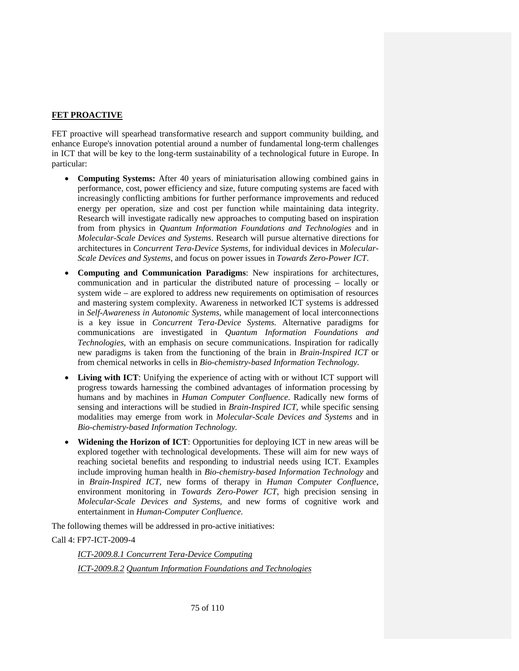# **FET PROACTIVE**

FET proactive will spearhead transformative research and support community building, and enhance Europe's innovation potential around a number of fundamental long-term challenges in ICT that will be key to the long-term sustainability of a technological future in Europe. In particular:

- **Computing Systems:** After 40 years of miniaturisation allowing combined gains in performance, cost, power efficiency and size, future computing systems are faced with increasingly conflicting ambitions for further performance improvements and reduced energy per operation, size and cost per function while maintaining data integrity. Research will investigate radically new approaches to computing based on inspiration from from physics in *Quantum Information Foundations and Technologies* and in *Molecular-Scale Devices and Systems*. Research will pursue alternative directions for architectures in *Concurrent Tera-Device Systems,* for individual devices in *Molecular-Scale Devices and Systems*, and focus on power issues in *Towards Zero-Power ICT*.
- **Computing and Communication Paradigms**: New inspirations for architectures, communication and in particular the distributed nature of processing – locally or system wide – are explored to address new requirements on optimisation of resources and mastering system complexity. Awareness in networked ICT systems is addressed in *Self-Awareness in Autonomic Systems*, while management of local interconnections is a key issue in *Concurrent Tera-Device Systems.* Alternative paradigms for communications are investigated in *Quantum Information Foundations and Technologies*, with an emphasis on secure communications. Inspiration for radically new paradigms is taken from the functioning of the brain in *Brain-Inspired ICT* or from chemical networks in cells in *Bio-chemistry-based Information Technology.*
- **Living with ICT**: Unifying the experience of acting with or without ICT support will progress towards harnessing the combined advantages of information processing by humans and by machines in *Human Computer Confluence*. Radically new forms of sensing and interactions will be studied in *Brain-Inspired ICT*, while specific sensing modalities may emerge from work in *Molecular-Scale Devices and Systems* and in *Bio-chemistry-based Information Technology.*
- **Widening the Horizon of ICT**: Opportunities for deploying ICT in new areas will be explored together with technological developments. These will aim for new ways of reaching societal benefits and responding to industrial needs using ICT. Examples include improving human health in *Bio-chemistry-based Information Technology* and in *Brain-Inspired ICT,* new forms of therapy in *Human Computer Confluence,*  environment monitoring in *Towards Zero-Power ICT*, high precision sensing in *Molecular-Scale Devices and Systems,* and new forms of cognitive work and entertainment in *Human-Computer Confluence*.

The following themes will be addressed in pro-active initiatives:

Call 4: FP7-ICT-2009-4

*ICT-2009.8.1 Concurrent Tera-Device Computing ICT-2009.8.2 Quantum Information Foundations and Technologies*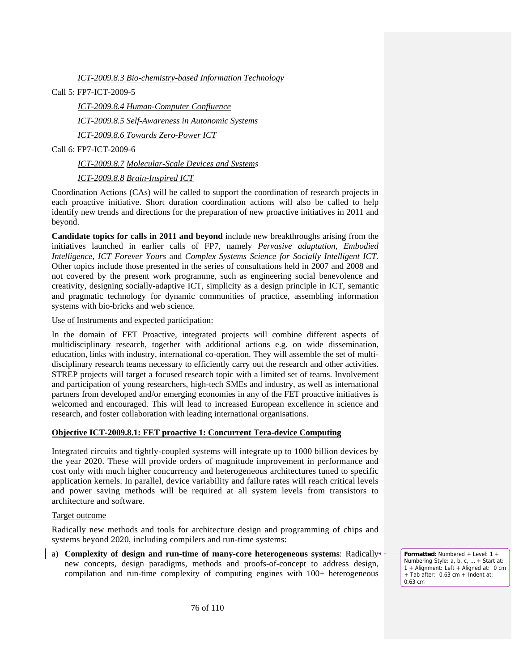*ICT-2009.8.3 Bio-chemistry-based Information Technology*

Call 5: FP7-ICT-2009-5

*ICT-2009.8.4 Human-Computer Confluence* 

*ICT-2009.8.5 Self-Awareness in Autonomic Systems*

*ICT-2009.8.6 Towards Zero-Power ICT* 

Call 6: FP7-ICT-2009-6

*ICT-2009.8.7 Molecular-Scale Devices and Systems* 

*ICT-2009.8.8 Brain-Inspired ICT*

Coordination Actions (CAs) will be called to support the coordination of research projects in each proactive initiative. Short duration coordination actions will also be called to help identify new trends and directions for the preparation of new proactive initiatives in 2011 and beyond.

**Candidate topics for calls in 2011 and beyond** include new breakthroughs arising from the initiatives launched in earlier calls of FP7, namely *Pervasive adaptation*, *Embodied Intelligence, ICT Forever Yours* and *Complex Systems Science for Socially Intelligent ICT.*  Other topics include those presented in the series of consultations held in 2007 and 2008 and not covered by the present work programme, such as engineering social benevolence and creativity, designing socially-adaptive ICT, simplicity as a design principle in ICT, semantic and pragmatic technology for dynamic communities of practice, assembling information systems with bio-bricks and web science.

Use of Instruments and expected participation:

In the domain of FET Proactive, integrated projects will combine different aspects of multidisciplinary research, together with additional actions e.g. on wide dissemination, education, links with industry, international co-operation. They will assemble the set of multidisciplinary research teams necessary to efficiently carry out the research and other activities. STREP projects will target a focused research topic with a limited set of teams. Involvement and participation of young researchers, high-tech SMEs and industry, as well as international partners from developed and/or emerging economies in any of the FET proactive initiatives is welcomed and encouraged. This will lead to increased European excellence in science and research, and foster collaboration with leading international organisations.

# **Objective ICT-2009.8.1: FET proactive 1: Concurrent Tera-device Computing**

Integrated circuits and tightly-coupled systems will integrate up to 1000 billion devices by the year 2020. These will provide orders of magnitude improvement in performance and cost only with much higher concurrency and heterogeneous architectures tuned to specific application kernels. In parallel, device variability and failure rates will reach critical levels and power saving methods will be required at all system levels from transistors to architecture and software.

Target outcome

Radically new methods and tools for architecture design and programming of chips and systems beyond 2020, including compilers and run-time systems:

a) **Complexity of design and run-time of many-core heterogeneous systems**: Radically new concepts, design paradigms, methods and proofs-of-concept to address design, compilation and run-time complexity of computing engines with 100+ heterogeneous

**Formatted:** Numbered + Level: 1 + Numbering Style: a, b, c, … + Start at: 1 + Alignment: Left + Aligned at: 0 cm + Tab after: 0.63 cm + Indent at: 0.63 cm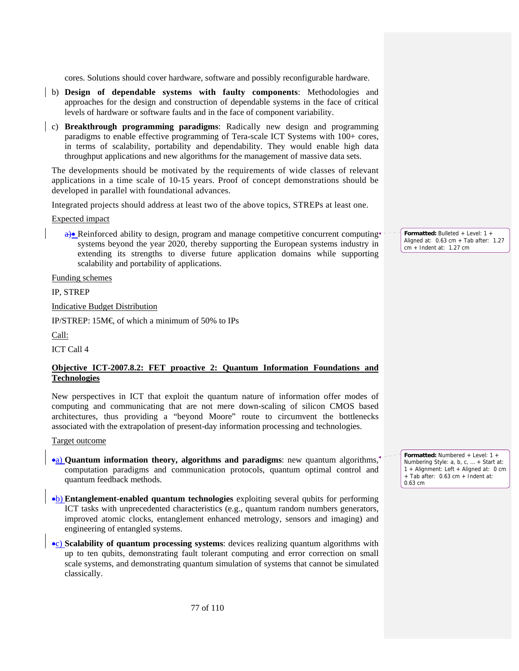cores. Solutions should cover hardware, software and possibly reconfigurable hardware.

- b) **Design of dependable systems with faulty components**: Methodologies and approaches for the design and construction of dependable systems in the face of critical levels of hardware or software faults and in the face of component variability.
- c) **Breakthrough programming paradigms**: Radically new design and programming paradigms to enable effective programming of Tera-scale ICT Systems with 100+ cores, in terms of scalability, portability and dependability. They would enable high data throughput applications and new algorithms for the management of massive data sets.

The developments should be motivated by the requirements of wide classes of relevant applications in a time scale of 10-15 years. Proof of concept demonstrations should be developed in parallel with foundational advances.

Integrated projects should address at least two of the above topics, STREPs at least one.

Expected impact

 $\theta$ • Reinforced ability to design, program and manage competitive concurrent computing systems beyond the year 2020, thereby supporting the European systems industry in extending its strengths to diverse future application domains while supporting scalability and portability of applications.

Funding schemes

IP, STREP

Indicative Budget Distribution

IP/STREP: 15M $\in$  of which a minimum of 50% to IPs

Call:

ICT Call 4

# **Objective ICT-2007.8.2: FET proactive 2: Quantum Information Foundations and Technologies**

New perspectives in ICT that exploit the quantum nature of information offer modes of computing and communicating that are not mere down-scaling of silicon CMOS based architectures, thus providing a "beyond Moore" route to circumvent the bottlenecks associated with the extrapolation of present-day information processing and technologies.

Target outcome

- •a) **Quantum information theory, algorithms and paradigms**: new quantum algorithms, computation paradigms and communication protocols, quantum optimal control and quantum feedback methods.
- •b) **Entanglement-enabled quantum technologies** exploiting several qubits for performing ICT tasks with unprecedented characteristics (e.g., quantum random numbers generators, improved atomic clocks, entanglement enhanced metrology, sensors and imaging) and engineering of entangled systems.
- •c) **Scalability of quantum processing systems**: devices realizing quantum algorithms with up to ten qubits, demonstrating fault tolerant computing and error correction on small scale systems, and demonstrating quantum simulation of systems that cannot be simulated classically.

**Formatted:** Bulleted + Level: 1 + Aligned at: 0.63 cm + Tab after: 1.27 cm + Indent at: 1.27 cm

**Formatted:** Numbered + Level: 1 + Numbering Style: a, b, c, … + Start at: 1 + Alignment: Left + Aligned at: 0 cm + Tab after: 0.63 cm + Indent at: 0.63 cm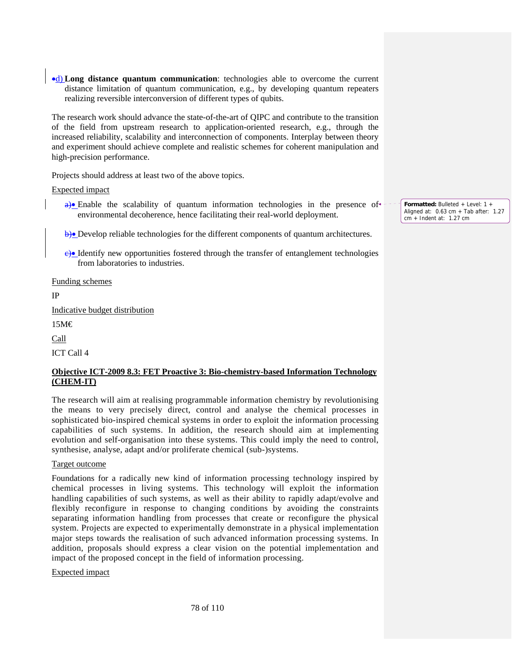•d) **Long distance quantum communication**: technologies able to overcome the current distance limitation of quantum communication, e.g., by developing quantum repeaters realizing reversible interconversion of different types of qubits.

The research work should advance the state-of-the-art of QIPC and contribute to the transition of the field from upstream research to application-oriented research, e.g., through the increased reliability, scalability and interconnection of components. Interplay between theory and experiment should achieve complete and realistic schemes for coherent manipulation and high-precision performance.

Projects should address at least two of the above topics.

Expected impact

- $a)$  Enable the scalability of quantum information technologies in the presence of  $\bullet$ environmental decoherence, hence facilitating their real-world deployment.
- b)• Develop reliable technologies for the different components of quantum architectures.
- $\leftrightarrow$  Identify new opportunities fostered through the transfer of entanglement technologies from laboratories to industries.

Funding schemes

IP

Indicative budget distribution

15M€

Call

ICT Call 4

# **Objective ICT-2009 8.3: FET Proactive 3: Bio-chemistry-based Information Technology (CHEM-IT)**

The research will aim at realising programmable information chemistry by revolutionising the means to very precisely direct, control and analyse the chemical processes in sophisticated bio-inspired chemical systems in order to exploit the information processing capabilities of such systems. In addition, the research should aim at implementing evolution and self-organisation into these systems. This could imply the need to control, synthesise, analyse, adapt and/or proliferate chemical (sub-)systems.

# Target outcome

Foundations for a radically new kind of information processing technology inspired by chemical processes in living systems. This technology will exploit the information handling capabilities of such systems, as well as their ability to rapidly adapt/evolve and flexibly reconfigure in response to changing conditions by avoiding the constraints separating information handling from processes that create or reconfigure the physical system. Projects are expected to experimentally demonstrate in a physical implementation major steps towards the realisation of such advanced information processing systems. In addition, proposals should express a clear vision on the potential implementation and impact of the proposed concept in the field of information processing.

Expected impact

**Formatted:** Bulleted + Level: 1 + Aligned at: 0.63 cm + Tab after: 1.27 cm + Indent at: 1.27 cm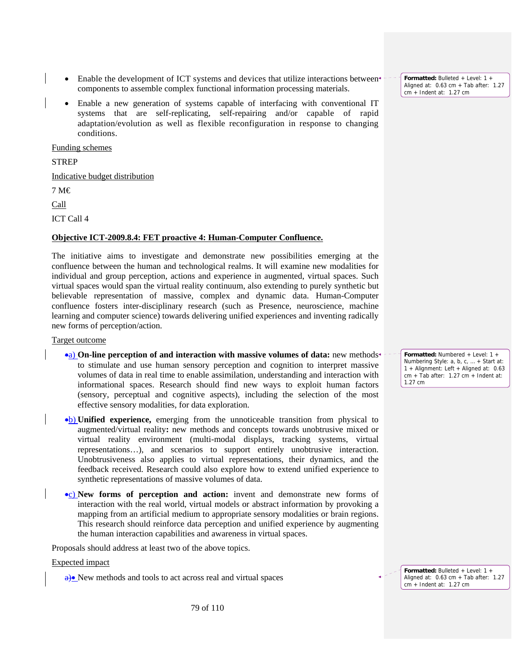- Enable the development of ICT systems and devices that utilize interactions between<sup>+</sup> components to assemble complex functional information processing materials.
- Enable a new generation of systems capable of interfacing with conventional IT systems that are self-replicating, self-repairing and/or capable of rapid adaptation/evolution as well as flexible reconfiguration in response to changing conditions.

Funding schemes

**STREP** 

Indicative budget distribution

7 M€

Call

ICT Call 4

# **Objective ICT-2009.8.4: FET proactive 4: Human-Computer Confluence.**

The initiative aims to investigate and demonstrate new possibilities emerging at the confluence between the human and technological realms. It will examine new modalities for individual and group perception, actions and experience in augmented, virtual spaces. Such virtual spaces would span the virtual reality continuum, also extending to purely synthetic but believable representation of massive, complex and dynamic data. Human-Computer confluence fosters inter-disciplinary research (such as Presence, neuroscience, machine learning and computer science) towards delivering unified experiences and inventing radically new forms of perception/action.

#### Target outcome

- •a) **On-line perception of and interaction with massive volumes of data:** new methods to stimulate and use human sensory perception and cognition to interpret massive volumes of data in real time to enable assimilation, understanding and interaction with informational spaces. Research should find new ways to exploit human factors (sensory, perceptual and cognitive aspects), including the selection of the most effective sensory modalities, for data exploration.
- •b) **Unified experience,** emerging from the unnoticeable transition from physical to augmented/virtual reality**:** new methods and concepts towards unobtrusive mixed or virtual reality environment (multi-modal displays, tracking systems, virtual representations…), and scenarios to support entirely unobtrusive interaction. Unobtrusiveness also applies to virtual representations, their dynamics, and the feedback received. Research could also explore how to extend unified experience to synthetic representations of massive volumes of data.
- •c) **New forms of perception and action:** invent and demonstrate new forms of interaction with the real world, virtual models or abstract information by provoking a mapping from an artificial medium to appropriate sensory modalities or brain regions. This research should reinforce data perception and unified experience by augmenting the human interaction capabilities and awareness in virtual spaces.

Proposals should address at least two of the above topics.

#### Expected impact

a)• New methods and tools to act across real and virtual spaces

**Formatted:** Bulleted + Level: 1 + Aligned at: 0.63 cm + Tab after: 1.27 cm + Indent at: 1.27 cm

**Formatted:** Numbered + Level: 1 + Numbering Style: a, b, c, … + Start at: 1 + Alignment: Left + Aligned at: 0.63  $cm + Tab$  after: 1.27  $cm + Ind$ ent at: 1.27 cm

**Formatted:** Bulleted + Level: 1 + Aligned at: 0.63 cm + Tab after: 1.27 cm + Indent at: 1.27 cm

79 of 110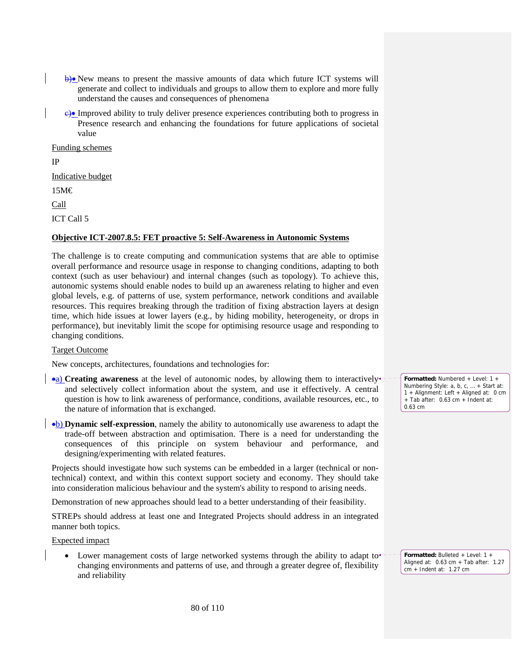- b)• New means to present the massive amounts of data which future ICT systems will generate and collect to individuals and groups to allow them to explore and more fully understand the causes and consequences of phenomena
- c)• Improved ability to truly deliver presence experiences contributing both to progress in Presence research and enhancing the foundations for future applications of societal value

Funding schemes

IP

Indicative budget

15M€

Call

ICT Call 5

# **Objective ICT-2007.8.5: FET proactive 5: Self-Awareness in Autonomic Systems**

The challenge is to create computing and communication systems that are able to optimise overall performance and resource usage in response to changing conditions, adapting to both context (such as user behaviour) and internal changes (such as topology). To achieve this, autonomic systems should enable nodes to build up an awareness relating to higher and even global levels, e.g. of patterns of use, system performance, network conditions and available resources. This requires breaking through the tradition of fixing abstraction layers at design time, which hide issues at lower layers (e.g., by hiding mobility, heterogeneity, or drops in performance), but inevitably limit the scope for optimising resource usage and responding to changing conditions.

# Target Outcome

New concepts, architectures, foundations and technologies for:

- **•a)** Creating awareness at the level of autonomic nodes, by allowing them to interactively and selectively collect information about the system, and use it effectively. A central question is how to link awareness of performance, conditions, available resources, etc., to the nature of information that is exchanged.
- •b) **Dynamic self-expression**, namely the ability to autonomically use awareness to adapt the trade-off between abstraction and optimisation. There is a need for understanding the consequences of this principle on system behaviour and performance, and designing/experimenting with related features.

Projects should investigate how such systems can be embedded in a larger (technical or nontechnical) context, and within this context support society and economy. They should take into consideration malicious behaviour and the system's ability to respond to arising needs.

Demonstration of new approaches should lead to a better understanding of their feasibility.

STREPs should address at least one and Integrated Projects should address in an integrated manner both topics.

Expected impact

Lower management costs of large networked systems through the ability to adapt to $\star$ changing environments and patterns of use, and through a greater degree of, flexibility and reliability

**Formatted:** Numbered + Level: 1 + Numbering Style: a, b, c, … + Start at: 1 + Alignment: Left + Aligned at: 0 cm + Tab after: 0.63 cm + Indent at: 0.63 cm

**Formatted:** Bulleted + Level: 1 + Aligned at: 0.63 cm + Tab after: 1.27

cm + Indent at: 1.27 cm

80 of 110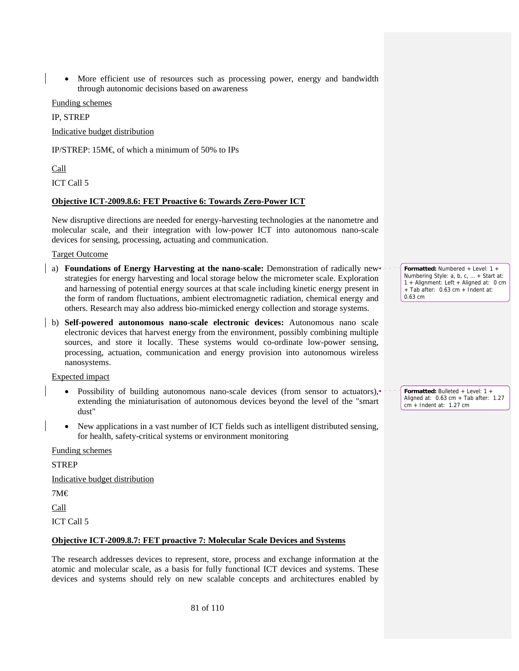• More efficient use of resources such as processing power, energy and bandwidth through autonomic decisions based on awareness

Funding schemes

IP, STREP

Indicative budget distribution

IP/STREP: 15M $\in$  of which a minimum of 50% to IPs

## Call

ICT Call 5

## **Objective ICT-2009.8.6: FET Proactive 6: Towards Zero-Power ICT**

New disruptive directions are needed for energy-harvesting technologies at the nanometre and molecular scale, and their integration with low-power ICT into autonomous nano-scale devices for sensing, processing, actuating and communication.

Target Outcome

- a) **Foundations of Energy Harvesting at the nano-scale:** Demonstration of radically new<sup>+</sup> strategies for energy harvesting and local storage below the micrometer scale. Exploration and harnessing of potential energy sources at that scale including kinetic energy present in the form of random fluctuations, ambient electromagnetic radiation, chemical energy and others. Research may also address bio-mimicked energy collection and storage systems.
- b) **Self-powered autonomous nano-scale electronic devices:** Autonomous nano scale electronic devices that harvest energy from the environment, possibly combining multiple sources, and store it locally. These systems would co-ordinate low-power sensing, processing, actuation, communication and energy provision into autonomous wireless nanosystems.

Expected impact

- Possibility of building autonomous nano-scale devices (from sensor to actuators), extending the miniaturisation of autonomous devices beyond the level of the "smart dust"
- New applications in a vast number of ICT fields such as intelligent distributed sensing, for health, safety-critical systems or environment monitoring

Funding schemes

STREP

Indicative budget distribution

7M€

Call

ICT Call 5

# **Objective ICT-2009.8.7: FET proactive 7: Molecular Scale Devices and Systems**

The research addresses devices to represent, store, process and exchange information at the atomic and molecular scale, as a basis for fully functional ICT devices and systems. These devices and systems should rely on new scalable concepts and architectures enabled by

**Formatted:** Numbered + Level: 1 + Numbering Style: a, b, c, … + Start at: 1 + Alignment: Left + Aligned at: 0 cm  $+$  Tab after: 0.63 cm  $+$  Indent at: 0.63 cm

**Formatted:** Bulleted + Level: 1 + Aligned at:  $0.63$  cm + Tab after:  $1.27$ cm + Indent at: 1.27 cm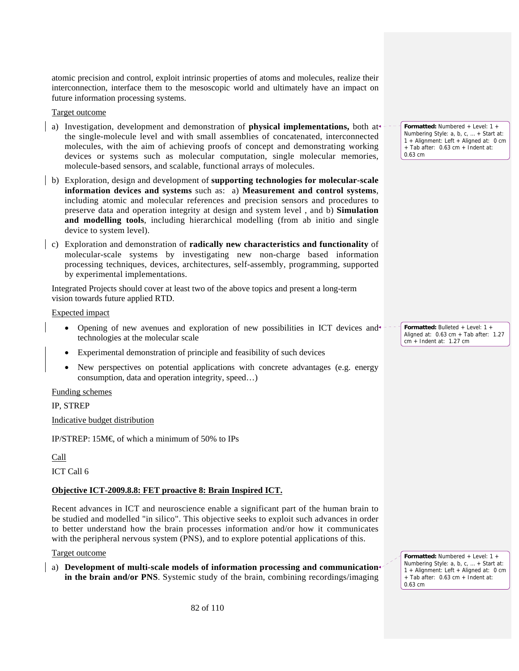atomic precision and control, exploit intrinsic properties of atoms and molecules, realize their interconnection, interface them to the mesoscopic world and ultimately have an impact on future information processing systems.

Target outcome

- a) Investigation, development and demonstration of **physical implementations,** both at the single-molecule level and with small assemblies of concatenated, interconnected molecules, with the aim of achieving proofs of concept and demonstrating working devices or systems such as molecular computation, single molecular memories, molecule-based sensors, and scalable, functional arrays of molecules.
- b) Exploration, design and development of **supporting technologies for molecular-scale information devices and systems** such as: a) **Measurement and control systems**, including atomic and molecular references and precision sensors and procedures to preserve data and operation integrity at design and system level , and b) **Simulation and modelling tools**, including hierarchical modelling (from ab initio and single device to system level).
- c) Exploration and demonstration of **radically new characteristics and functionality** of molecular-scale systems by investigating new non-charge based information processing techniques, devices, architectures, self-assembly, programming, supported by experimental implementations.

Integrated Projects should cover at least two of the above topics and present a long-term vision towards future applied RTD.

Expected impact

- Opening of new avenues and exploration of new possibilities in ICT devices and technologies at the molecular scale
- Experimental demonstration of principle and feasibility of such devices
- New perspectives on potential applications with concrete advantages (e.g. energy consumption, data and operation integrity, speed…)

Funding schemes

IP, STREP

Indicative budget distribution

IP/STREP: 15M $\in$  of which a minimum of 50% to IPs

Call

ICT Call 6

# **Objective ICT-2009.8.8: FET proactive 8: Brain Inspired ICT.**

Recent advances in ICT and neuroscience enable a significant part of the human brain to be studied and modelled "in silico". This objective seeks to exploit such advances in order to better understand how the brain processes information and/or how it communicates with the peripheral nervous system (PNS), and to explore potential applications of this.

#### Target outcome

a) **Development of multi-scale models of information processing and communication in the brain and/or PNS**. Systemic study of the brain, combining recordings/imaging

**Formatted:** Numbered + Level: 1 + Numbering Style: a, b, c, … + Start at: 1 + Alignment: Left + Aligned at: 0 cm + Tab after: 0.63 cm + Indent at: 0.63 cm

**Formatted:** Bulleted + Level: 1 + Aligned at: 0.63 cm + Tab after: 1.27 cm + Indent at: 1.27 cm

**Formatted:** Numbered + Level: 1 + Numbering Style: a, b, c, … + Start at: 1 + Alignment: Left + Aligned at: 0 cm + Tab after: 0.63 cm + Indent at: 0.63 cm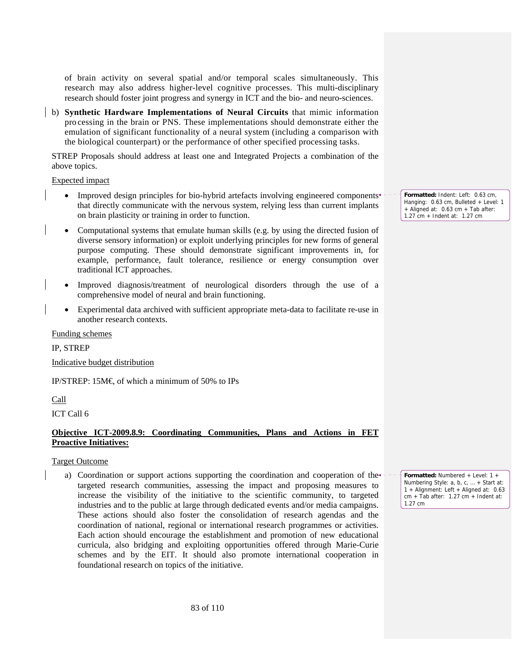of brain activity on several spatial and/or temporal scales simultaneously. This research may also address higher-level cognitive processes. This multi-disciplinary research should foster joint progress and synergy in ICT and the bio- and neuro-sciences.

b) **Synthetic Hardware Implementations of Neural Circuits** that mimic information pro cessing in the brain or PNS. These implementations should demonstrate either the emulation of significant functionality of a neural system (including a comparison with the biological counterpart) or the performance of other specified processing tasks.

STREP Proposals should address at least one and Integrated Projects a combination of the above topics.

#### Expected impact

- Improved design principles for bio-hybrid artefacts involving engineered components<sup>4</sup> that directly communicate with the nervous system, relying less than current implants on brain plasticity or training in order to function.
- Computational systems that emulate human skills (e.g. by using the directed fusion of diverse sensory information) or exploit underlying principles for new forms of general purpose computing. These should demonstrate significant improvements in, for example, performance, fault tolerance, resilience or energy consumption over traditional ICT approaches.
- Improved diagnosis/treatment of neurological disorders through the use of a comprehensive model of neural and brain functioning.
- Experimental data archived with sufficient appropriate meta-data to facilitate re-use in another research contexts.

Funding schemes

IP, STREP

Indicative budget distribution

IP/STREP: 15M $\in$  of which a minimum of 50% to IPs

#### Call

ICT Call 6

# **Objective ICT-2009.8.9: Coordinating Communities, Plans and Actions in FET Proactive Initiatives:**

#### Target Outcome

a) Coordination or support actions supporting the coordination and cooperation of the targeted research communities, assessing the impact and proposing measures to increase the visibility of the initiative to the scientific community, to targeted industries and to the public at large through dedicated events and/or media campaigns. These actions should also foster the consolidation of research agendas and the coordination of national, regional or international research programmes or activities. Each action should encourage the establishment and promotion of new educational curricula, also bridging and exploiting opportunities offered through Marie-Curie schemes and by the EIT. It should also promote international cooperation in foundational research on topics of the initiative.

**Formatted:** Indent: Left: 0.63 cm, Hanging: 0.63 cm, Bulleted + Level: 1 + Aligned at: 0.63 cm + Tab after: 1.27 cm + Indent at: 1.27 cm

**Formatted:** Numbered + Level: 1 + Numbering Style: a, b, c, … + Start at: 1 + Alignment: Left + Aligned at: 0.63 cm + Tab after: 1.27 cm + Indent at: 1.27 cm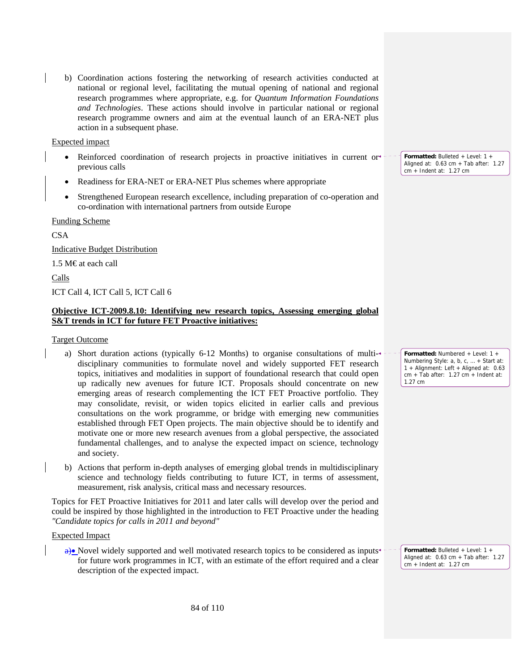b) Coordination actions fostering the networking of research activities conducted at national or regional level, facilitating the mutual opening of national and regional research programmes where appropriate, e.g. for *Quantum Information Foundations and Technologies*. These actions should involve in particular national or regional research programme owners and aim at the eventual launch of an ERA-NET plus action in a subsequent phase.

Expected impact

- Reinforced coordination of research projects in proactive initiatives in current or  $\overline{\phantom{a}}$ previous calls
- Readiness for ERA-NET or ERA-NET Plus schemes where appropriate
- Strengthened European research excellence, including preparation of co-operation and co-ordination with international partners from outside Europe

Funding Scheme

CSA

Indicative Budget Distribution

1.5 M€ at each call

Calls

ICT Call 4, ICT Call 5, ICT Call 6

# **Objective ICT-2009.8.10: Identifying new research topics, Assessing emerging global S&T trends in ICT for future FET Proactive initiatives:**

#### Target Outcome

- a) Short duration actions (typically 6-12 Months) to organise consultations of multidisciplinary communities to formulate novel and widely supported FET research topics, initiatives and modalities in support of foundational research that could open up radically new avenues for future ICT. Proposals should concentrate on new emerging areas of research complementing the ICT FET Proactive portfolio. They may consolidate, revisit, or widen topics elicited in earlier calls and previous consultations on the work programme, or bridge with emerging new communities established through FET Open projects. The main objective should be to identify and motivate one or more new research avenues from a global perspective, the associated fundamental challenges, and to analyse the expected impact on science, technology and society.
- b) Actions that perform in-depth analyses of emerging global trends in multidisciplinary science and technology fields contributing to future ICT, in terms of assessment, measurement, risk analysis, critical mass and necessary resources.

Topics for FET Proactive Initiatives for 2011 and later calls will develop over the period and could be inspired by those highlighted in the introduction to FET Proactive under the heading *"Candidate topics for calls in 2011 and beyond"*

#### Expected Impact

 $\theta$ • Novel widely supported and well motivated research topics to be considered as inputs for future work programmes in ICT, with an estimate of the effort required and a clear description of the expected impact.

**Formatted:** Bulleted + Level: 1 + Aligned at: 0.63 cm + Tab after: 1.27 cm + Indent at: 1.27 cm

**Formatted:** Numbered + Level: 1 + Numbering Style: a, b, c, … + Start at: 1 + Alignment: Left + Aligned at: 0.63 cm + Tab after: 1.27 cm + Indent at: 1.27 cm

**Formatted:** Bulleted + Level: 1 + Aligned at:  $0.63$  cm + Tab after:  $1.27$ cm + Indent at: 1.27 cm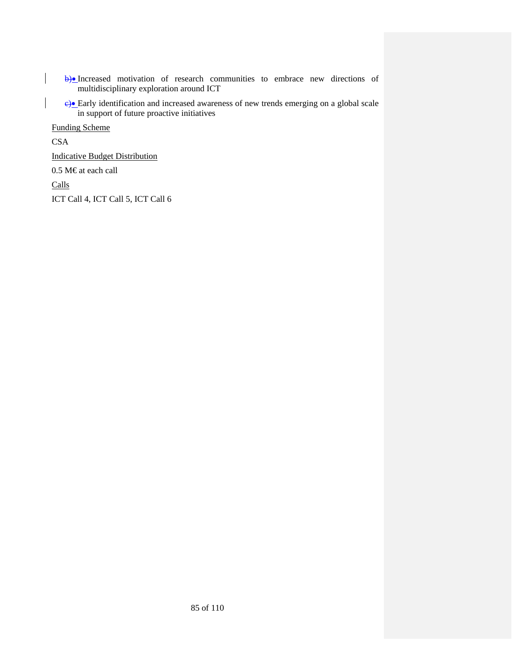b)• Increased motivation of research communities to embrace new directions of multidisciplinary exploration around ICT

 $e$ <sup> $\theta$ </sup>Early identification and increased awareness of new trends emerging on a global scale in support of future proactive initiatives

Funding Scheme

CSA

Indicative Budget Distribution

0.5 M€ at each call

Calls

ICT Call 4, ICT Call 5, ICT Call 6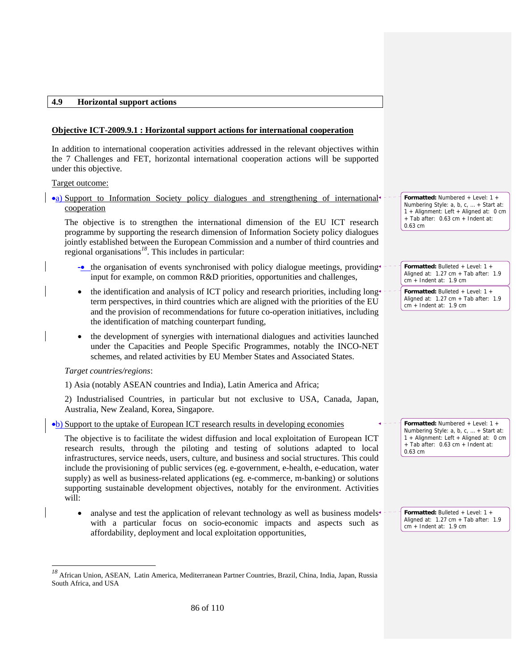#### **4.9 Horizontal support actions**

# **Objective ICT-2009.9.1 : Horizontal support actions for international cooperation**

In addition to international cooperation activities addressed in the relevant objectives within the 7 Challenges and FET, horizontal international cooperation actions will be supported under this objective.

Target outcome:

•a) Support to Information Society policy dialogues and strengthening of international cooperation

The objective is to strengthen the international dimension of the EU ICT research programme by supporting the research dimension of Information Society policy dialogues jointly established between the European Commission and a number of third countries and regional organisations*<sup>18</sup>*. This includes in particular:

- -• the organisation of events synchronised with policy dialogue meetings, providing input for example, on common R&D priorities, opportunities and challenges,
- the identification and analysis of ICT policy and research priorities, including long term perspectives, in third countries which are aligned with the priorities of the EU and the provision of recommendations for future co-operation initiatives, including the identification of matching counterpart funding,
- the development of synergies with international dialogues and activities launched under the Capacities and People Specific Programmes, notably the INCO-NET schemes, and related activities by EU Member States and Associated States.

# *Target countries/regions*:

-

1) Asia (notably ASEAN countries and India), Latin America and Africa;

2) Industrialised Countries, in particular but not exclusive to USA, Canada, Japan, Australia, New Zealand, Korea, Singapore.

•b) Support to the uptake of European ICT research results in developing economies

The objective is to facilitate the widest diffusion and local exploitation of European ICT research results, through the piloting and testing of solutions adapted to local infrastructures, service needs, users, culture, and business and social structures. This could include the provisioning of public services (eg. e-government, e-health, e-education, water supply) as well as business-related applications (eg. e-commerce, m-banking) or solutions supporting sustainable development objectives, notably for the environment. Activities will:

analyse and test the application of relevant technology as well as business models<sup>\*</sup> with a particular focus on socio-economic impacts and aspects such as affordability, deployment and local exploitation opportunities,

**Formatted:** Numbered + Level: 1 + Numbering Style: a, b, c, … + Start at: 1 + Alignment: Left + Aligned at: 0 cm + Tab after: 0.63 cm + Indent at: 0.63 cm

**Formatted:** Bulleted + Level: 1 + Aligned at: 1.27 cm + Tab after: 1.9 cm + Indent at: 1.9 cm

**Formatted:** Bulleted + Level: 1 + Aligned at: 1.27 cm + Tab after: 1.9 cm + Indent at: 1.9 cm

**Formatted:** Numbered + Level: 1 + Numbering Style: a, b, c, … + Start at: 1 + Alignment: Left + Aligned at: 0 cm + Tab after: 0.63 cm + Indent at: 0.63 cm

**Formatted:** Bulleted + Level: 1 + Aligned at: 1.27 cm + Tab after: 1.9 cm + Indent at: 1.9 cm

*<sup>18</sup>* African Union, ASEAN, Latin America, Mediterranean Partner Countries, Brazil, China, India, Japan, Russia South Africa, and USA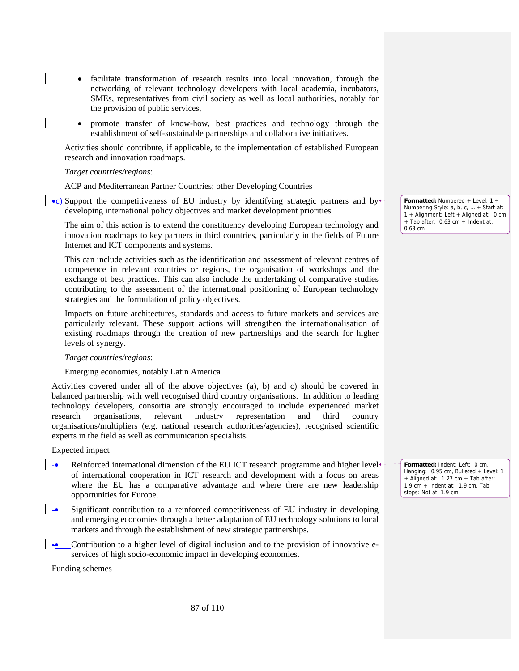- facilitate transformation of research results into local innovation, through the networking of relevant technology developers with local academia, incubators, SMEs, representatives from civil society as well as local authorities, notably for the provision of public services,
- promote transfer of know-how, best practices and technology through the establishment of self-sustainable partnerships and collaborative initiatives.

Activities should contribute, if applicable, to the implementation of established European research and innovation roadmaps.

#### *Target countries/regions*:

ACP and Mediterranean Partner Countries; other Developing Countries

•c) Support the competitiveness of EU industry by identifying strategic partners and by developing international policy objectives and market development priorities

The aim of this action is to extend the constituency developing European technology and innovation roadmaps to key partners in third countries, particularly in the fields of Future Internet and ICT components and systems.

This can include activities such as the identification and assessment of relevant centres of competence in relevant countries or regions, the organisation of workshops and the exchange of best practices. This can also include the undertaking of comparative studies contributing to the assessment of the international positioning of European technology strategies and the formulation of policy objectives.

Impacts on future architectures, standards and access to future markets and services are particularly relevant. These support actions will strengthen the internationalisation of existing roadmaps through the creation of new partnerships and the search for higher levels of synergy.

#### *Target countries/regions*:

#### Emerging economies, notably Latin America

Activities covered under all of the above objectives (a), b) and c) should be covered in balanced partnership with well recognised third country organisations. In addition to leading technology developers, consortia are strongly encouraged to include experienced market research organisations, relevant industry representation and third country organisations/multipliers (e.g. national research authorities/agencies), recognised scientific experts in the field as well as communication specialists.

#### Expected impact

- Reinforced international dimension of the EU ICT research programme and higher level of international cooperation in ICT research and development with a focus on areas where the EU has a comparative advantage and where there are new leadership opportunities for Europe.
- -• Significant contribution to a reinforced competitiveness of EU industry in developing and emerging economies through a better adaptation of EU technology solutions to local markets and through the establishment of new strategic partnerships.
- Contribution to a higher level of digital inclusion and to the provision of innovative eservices of high socio-economic impact in developing economies.

Funding schemes

**Formatted:** Numbered + Level: 1 + Numbering Style: a, b, c, … + Start at: 1 + Alignment: Left + Aligned at: 0 cm + Tab after: 0.63 cm + Indent at: 0.63 cm

**Formatted:** Indent: Left: 0 cm, Hanging: 0.95 cm, Bulleted + Level: 1 + Aligned at: 1.27 cm + Tab after: 1.9 cm + Indent at: 1.9 cm, Tab stops: Not at 1.9 cm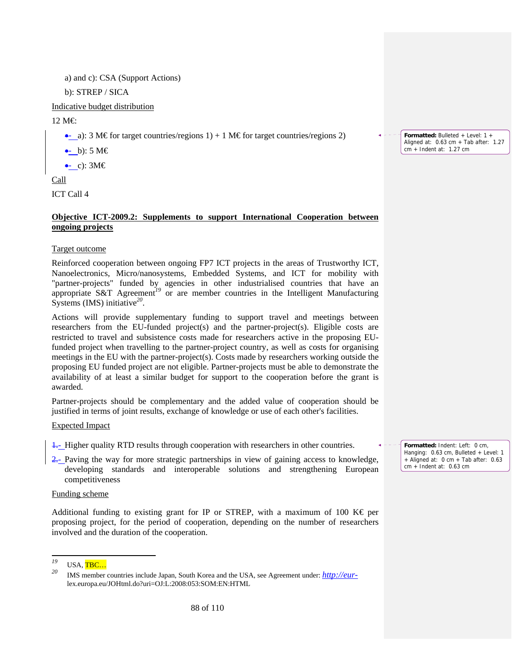a) and c): CSA (Support Actions)

b): STREP / SICA

Indicative budget distribution

12 M€:

•- a): 3 M€ for target countries/regions 1) + 1 M€ for target countries/regions 2)

 $\leftarrow$  b): 5 M $\in$ 

 $\bullet$ - c): 3M $\epsilon$ 

Call

ICT Call 4

# **Objective ICT-2009.2: Supplements to support International Cooperation between ongoing projects**

Target outcome

Reinforced cooperation between ongoing FP7 ICT projects in the areas of Trustworthy ICT, Nanoelectronics, Micro/nanosystems, Embedded Systems, and ICT for mobility with "partner-projects" funded by agencies in other industrialised countries that have an appropriate S&T Agreement*<sup>19</sup>* or are member countries in the Intelligent Manufacturing Systems (IMS) initiative*<sup>20</sup>*.

Actions will provide supplementary funding to support travel and meetings between researchers from the EU-funded project(s) and the partner-project(s). Eligible costs are restricted to travel and subsistence costs made for researchers active in the proposing EUfunded project when travelling to the partner-project country, as well as costs for organising meetings in the EU with the partner-project(s). Costs made by researchers working outside the proposing EU funded project are not eligible. Partner-projects must be able to demonstrate the availability of at least a similar budget for support to the cooperation before the grant is awarded.

Partner-projects should be complementary and the added value of cooperation should be justified in terms of joint results, exchange of knowledge or use of each other's facilities.

Expected Impact

 $\frac{1}{2}$ - Higher quality RTD results through cooperation with researchers in other countries.

 $\frac{2}{2}$ - Paving the way for more strategic partnerships in view of gaining access to knowledge, developing standards and interoperable solutions and strengthening European competitiveness

# Funding scheme

Additional funding to existing grant for IP or STREP, with a maximum of 100 K  $\epsilon$  per proposing project, for the period of cooperation, depending on the number of researchers involved and the duration of the cooperation.

**Formatted:** Bulleted + Level: 1 + Aligned at: 0.63 cm + Tab after: 1.27 cm + Indent at: 1.27 cm

**Formatted:** Indent: Left: 0 cm, Hanging: 0.63 cm, Bulleted + Level: 1 + Aligned at: 0 cm + Tab after: 0.63 cm + Indent at: 0.63 cm

<sup>19</sup>  $\frac{^{19}}{^{20}}$  USA, TBC...

*<sup>20</sup>* IMS member countries include Japan, South Korea and the USA, see Agreement under: *http://eur*lex.europa.eu/JOHtml.do?uri=OJ:L:2008:053:SOM:EN:HTML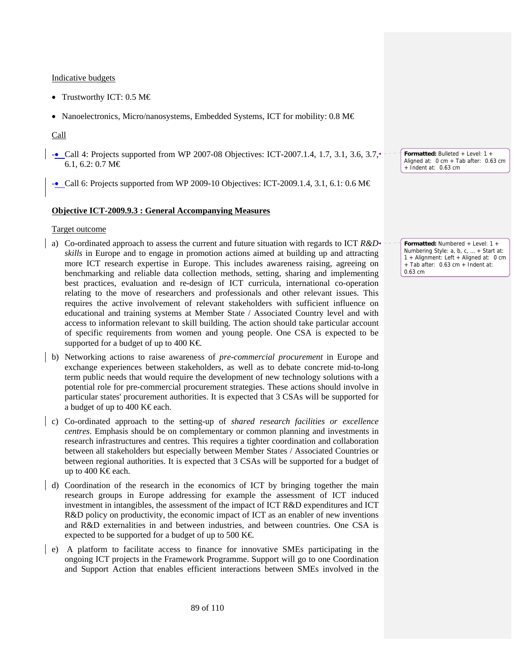Indicative budgets

- Trustworthy ICT: 0.5 M€
- Nanoelectronics, Micro/nanosystems, Embedded Systems, ICT for mobility: 0.8 M€

# Call

- -• Call 4: Projects supported from WP 2007-08 Objectives: ICT-2007.1.4, 1.7, 3.1, 3.6, 3.7, 6.1, 6.2: 0.7 M€
- $\rightarrow$  Call 6: Projects supported from WP 2009-10 Objectives: ICT-2009.1.4, 3.1, 6.1: 0.6 M $\in$

# **Objective ICT-2009.9.3 : General Accompanying Measures**

# Target outcome

- a) Co-ordinated approach to assess the current and future situation with regards to ICT *R&D skills* in Europe and to engage in promotion actions aimed at building up and attracting more ICT research expertise in Europe. This includes awareness raising, agreeing on benchmarking and reliable data collection methods, setting, sharing and implementing best practices, evaluation and re-design of ICT curricula, international co-operation relating to the move of researchers and professionals and other relevant issues. This requires the active involvement of relevant stakeholders with sufficient influence on educational and training systems at Member State / Associated Country level and with access to information relevant to skill building. The action should take particular account of specific requirements from women and young people. One CSA is expected to be supported for a budget of up to 400 K $\in$
- b) Networking actions to raise awareness of *pre-commercial procurement* in Europe and exchange experiences between stakeholders, as well as to debate concrete mid-to-long term public needs that would require the development of new technology solutions with a potential role for pre-commercial procurement strategies. These actions should involve in particular states' procurement authorities. It is expected that 3 CSAs will be supported for a budget of up to 400 K $\epsilon$ each.
- c) Co-ordinated approach to the setting-up of *shared research facilities or excellence centres*. Emphasis should be on complementary or common planning and investments in research infrastructures and centres. This requires a tighter coordination and collaboration between all stakeholders but especially between Member States / Associated Countries or between regional authorities. It is expected that 3 CSAs will be supported for a budget of up to 400 K€each.
- d) Coordination of the research in the economics of ICT by bringing together the main research groups in Europe addressing for example the assessment of ICT induced investment in intangibles, the assessment of the impact of ICT R&D expenditures and ICT R&D policy on productivity, the economic impact of ICT as an enabler of new inventions and R&D externalities in and between industries, and between countries. One CSA is expected to be supported for a budget of up to 500 K $\in$
- e) A platform to facilitate access to finance for innovative SMEs participating in the ongoing ICT projects in the Framework Programme. Support will go to one Coordination and Support Action that enables efficient interactions between SMEs involved in the

**Formatted:** Bulleted + Level: 1 + Aligned at: 0 cm + Tab after: 0.63 cm + Indent at: 0.63 cm

**Formatted:** Numbered + Level: 1 + Numbering Style: a, b, c, … + Start at: 1 + Alignment: Left + Aligned at: 0 cm + Tab after: 0.63 cm + Indent at: 0.63 cm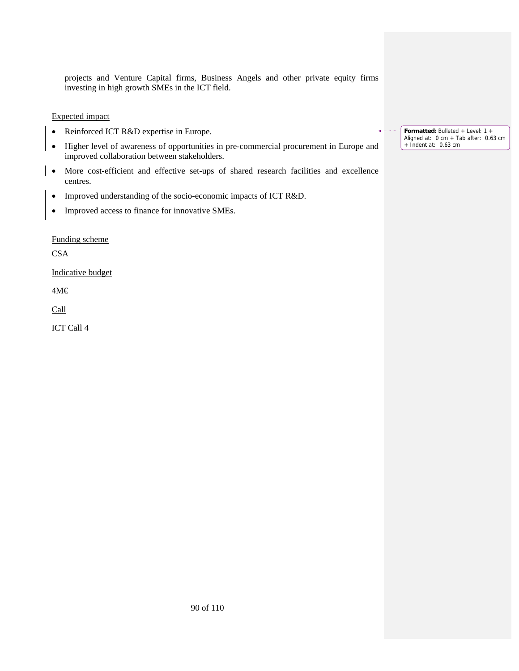projects and Venture Capital firms, Business Angels and other private equity firms investing in high growth SMEs in the ICT field.

Expected impact

- Reinforced ICT R&D expertise in Europe.
- Higher level of awareness of opportunities in pre-commercial procurement in Europe and improved collaboration between stakeholders.
- More cost-efficient and effective set-ups of shared research facilities and excellence centres.
- Improved understanding of the socio-economic impacts of ICT R&D.
- Improved access to finance for innovative SMEs.

Funding scheme

**CSA** 

Indicative budget

4M€

Call

ICT Call 4

**Formatted:** Bulleted + Level: 1 + Aligned at: 0 cm + Tab after: 0.63 cm + Indent at: 0.63 cm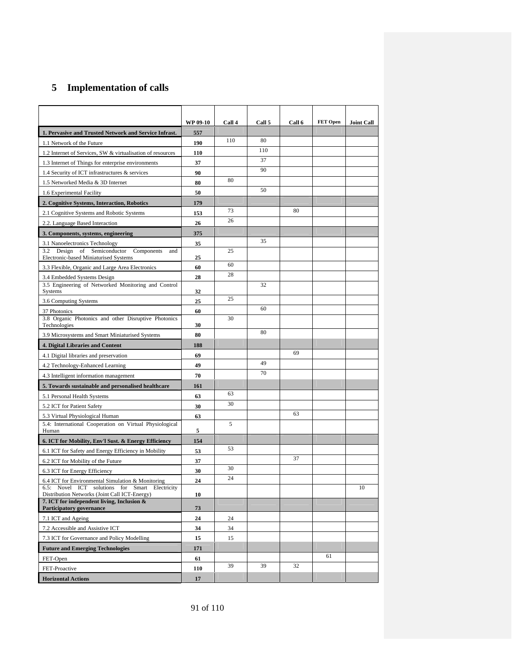# **5 Implementation of calls**

|                                                                                                    | <b>WP 09-10</b> | Call 4 | Call 5 | Call 6 | FET Open | <b>Joint Call</b> |
|----------------------------------------------------------------------------------------------------|-----------------|--------|--------|--------|----------|-------------------|
| 1. Pervasive and Trusted Network and Service Infrast.                                              | 557             |        |        |        |          |                   |
| 1.1 Network of the Future                                                                          | 190             | 110    | 80     |        |          |                   |
| 1.2 Internet of Services, SW & virtualisation of resources                                         | 110             |        | 110    |        |          |                   |
| 1.3 Internet of Things for enterprise environments                                                 | 37              |        | 37     |        |          |                   |
| 1.4 Security of ICT infrastructures & services                                                     | 90              |        | 90     |        |          |                   |
| 1.5 Networked Media & 3D Internet                                                                  | 80              | 80     |        |        |          |                   |
| 1.6 Experimental Facility                                                                          | 50              |        | 50     |        |          |                   |
| 2. Cognitive Systems, Interaction, Robotics                                                        | 179             |        |        |        |          |                   |
| 2.1 Cognitive Systems and Robotic Systems                                                          | 153             | 73     |        | 80     |          |                   |
| 2.2. Language Based Interaction                                                                    | 26              | 26     |        |        |          |                   |
| 3. Components, systems, engineering                                                                | 375             |        |        |        |          |                   |
| 3.1 Nanoelectronics Technology                                                                     | 35              |        | 35     |        |          |                   |
| Design<br>Semiconductor<br>3.2<br>of<br>Components<br>and<br>Electronic-based Miniaturised Systems | 25              | 25     |        |        |          |                   |
| 3.3 Flexible, Organic and Large Area Electronics                                                   | 60              | 60     |        |        |          |                   |
| 3.4 Embedded Systems Design                                                                        | 28              | 28     |        |        |          |                   |
| 3.5 Engineering of Networked Monitoring and Control                                                |                 |        | 32     |        |          |                   |
| Systems                                                                                            | 32              | 25     |        |        |          |                   |
| 3.6 Computing Systems                                                                              | 25              |        | 60     |        |          |                   |
| 37 Photonics<br>3.8 Organic Photonics and other Disruptive Photonics                               | 60              | 30     |        |        |          |                   |
| Technologies                                                                                       | 30              |        |        |        |          |                   |
| 3.9 Microsystems and Smart Miniaturised Systems                                                    | 80              |        | 80     |        |          |                   |
| 4. Digital Libraries and Content                                                                   | 188             |        |        |        |          |                   |
| 4.1 Digital libraries and preservation                                                             | 69              |        |        | 69     |          |                   |
| 4.2 Technology-Enhanced Learning                                                                   | 49              |        | 49     |        |          |                   |
| 4.3 Intelligent information management                                                             | 70              |        | 70     |        |          |                   |
| 5. Towards sustainable and personalised healthcare                                                 | 161             |        |        |        |          |                   |
| 5.1 Personal Health Systems                                                                        | 63              | 63     |        |        |          |                   |
| 5.2 ICT for Patient Safety                                                                         | 30              | 30     |        |        |          |                   |
| 5.3 Virtual Physiological Human                                                                    | 63              |        |        | 63     |          |                   |
| 5.4: International Cooperation on Virtual Physiological<br>Human                                   | 5               | 5      |        |        |          |                   |
| 6. ICT for Mobility, Env'l Sust. & Energy Efficiency                                               | 154             |        |        |        |          |                   |
| 6.1 ICT for Safety and Energy Efficiency in Mobility                                               | 53              | 53     |        |        |          |                   |
| 6.2 ICT for Mobility of the Future                                                                 | 37              |        |        | 37     |          |                   |
| 6.3 ICT for Energy Efficiency                                                                      | 30              | 30     |        |        |          |                   |
| 6.4 ICT for Environmental Simulation & Monitoring                                                  | 24              | 24     |        |        |          |                   |
| 6.5: Novel ICT solutions for Smart Electricity                                                     |                 |        |        |        |          | 10                |
| Distribution Networks (Joint Call ICT-Energy)<br>7. ICT for independent living, Inclusion &        | 10              |        |        |        |          |                   |
| Participatory governance                                                                           | 73              |        |        |        |          |                   |
| 7.1 ICT and Ageing                                                                                 | 24              | 24     |        |        |          |                   |
| 7.2 Accessible and Assistive ICT                                                                   | 34              | 34     |        |        |          |                   |
| 7.3 ICT for Governance and Policy Modelling                                                        | 15              | 15     |        |        |          |                   |
| <b>Future and Emerging Technologies</b>                                                            | 171             |        |        |        |          |                   |
| FET-Open                                                                                           | 61              |        |        |        | 61       |                   |
| FET-Proactive                                                                                      | 110             | 39     | 39     | 32     |          |                   |
| <b>Horizontal Actions</b>                                                                          | 17              |        |        |        |          |                   |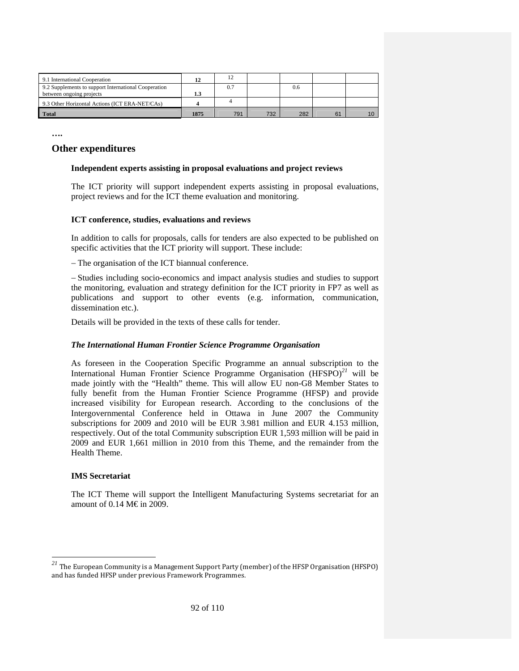| 9.1 International Cooperation                        | 12   |     |     |     |    |    |
|------------------------------------------------------|------|-----|-----|-----|----|----|
| 9.2 Supplements to support International Cooperation |      | 0.7 |     | 0.6 |    |    |
| between ongoing projects                             | 1.3  |     |     |     |    |    |
| 9.3 Other Horizontal Actions (ICT ERA-NET/CAs)       |      |     |     |     |    |    |
| <b>Total</b>                                         | 1875 | 791 | 732 | 282 | 61 | 10 |

**….** 

# **Other expenditures**

## **Independent experts assisting in proposal evaluations and project reviews**

The ICT priority will support independent experts assisting in proposal evaluations, project reviews and for the ICT theme evaluation and monitoring.

#### **ICT conference, studies, evaluations and reviews**

In addition to calls for proposals, calls for tenders are also expected to be published on specific activities that the ICT priority will support. These include:

− Τhe organisation of the ICT biannual conference.

− Studies including socio-economics and impact analysis studies and studies to support the monitoring, evaluation and strategy definition for the ICT priority in FP7 as well as publications and support to other events (e.g. information, communication, dissemination etc.).

Details will be provided in the texts of these calls for tender.

#### *The International Human Frontier Science Programme Organisation*

As foreseen in the Cooperation Specific Programme an annual subscription to the International Human Frontier Science Programme Organisation (HFSPO)*<sup>21</sup>* will be made jointly with the "Health" theme. This will allow EU non-G8 Member States to fully benefit from the Human Frontier Science Programme (HFSP) and provide increased visibility for European research. According to the conclusions of the Intergovernmental Conference held in Ottawa in June 2007 the Community subscriptions for 2009 and 2010 will be EUR 3.981 million and EUR 4.153 million, respectively. Out of the total Community subscription EUR 1,593 million will be paid in 2009 and EUR 1,661 million in 2010 from this Theme, and the remainder from the Health Theme.

#### **IMS Secretariat**

-

The ICT Theme will support the Intelligent Manufacturing Systems secretariat for an amount of 0.14 M€in 2009.

*<sup>21</sup>* The European Community is a Management Support Party (member) of the HFSP Organisation (HFSPO) and has funded HFSP under previous Framework Programmes.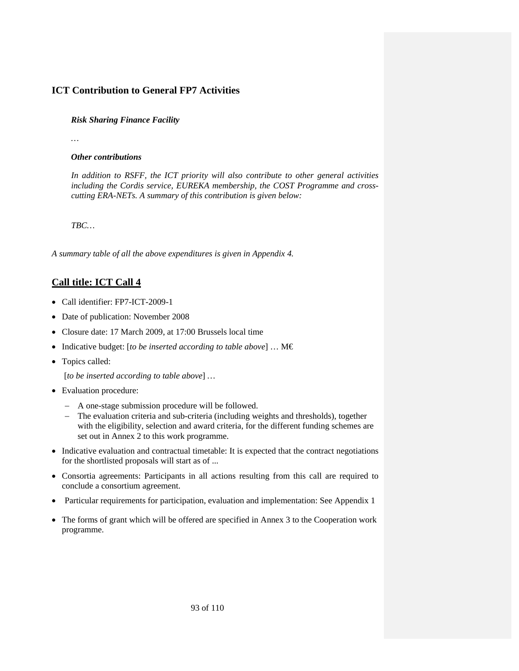# **ICT Contribution to General FP7 Activities**

# *Risk Sharing Finance Facility*

*…* 

# *Other contributions*

*In addition to RSFF, the ICT priority will also contribute to other general activities including the Cordis service, EUREKA membership, the COST Programme and crosscutting ERA-NETs. A summary of this contribution is given below:* 

*TBC…* 

*A summary table of all the above expenditures is given in Appendix 4.* 

# **Call title: ICT Call 4**

- Call identifier: FP7-ICT-2009-1
- Date of publication: November 2008
- Closure date: 17 March 2009, at 17:00 Brussels local time
- Indicative budget: [*to be inserted according to table above*] … M€
- Topics called:

[*to be inserted according to table above*] *…* 

- Evaluation procedure:
	- − A one-stage submission procedure will be followed.
	- − The evaluation criteria and sub-criteria (including weights and thresholds), together with the eligibility, selection and award criteria, for the different funding schemes are set out in Annex 2 to this work programme.
- Indicative evaluation and contractual timetable: It is expected that the contract negotiations for the shortlisted proposals will start as of ...
- Consortia agreements: Participants in all actions resulting from this call are required to conclude a consortium agreement.
- Particular requirements for participation, evaluation and implementation: See Appendix 1
- The forms of grant which will be offered are specified in Annex 3 to the Cooperation work programme.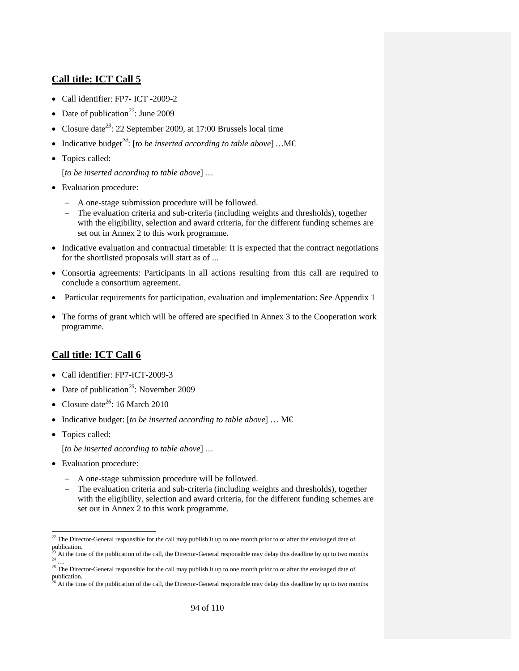# **Call title: ICT Call 5**

- Call identifier: FP7- ICT -2009-2
- Date of publication<sup>22</sup>: June 2009
- Closure date*<sup>23</sup>*: 22 September 2009, at 17:00 Brussels local time
- Indicative budget*<sup>24</sup>*: [*to be inserted according to table above*] *…*M€
- Topics called:

[*to be inserted according to table above*] *…* 

- Evaluation procedure:
	- − A one-stage submission procedure will be followed.
	- − The evaluation criteria and sub-criteria (including weights and thresholds), together with the eligibility, selection and award criteria, for the different funding schemes are set out in Annex 2 to this work programme.
- Indicative evaluation and contractual timetable: It is expected that the contract negotiations for the shortlisted proposals will start as of ...
- Consortia agreements: Participants in all actions resulting from this call are required to conclude a consortium agreement.
- Particular requirements for participation, evaluation and implementation: See Appendix 1
- The forms of grant which will be offered are specified in Annex 3 to the Cooperation work programme.

# **Call title: ICT Call 6**

- Call identifier: FP7-ICT-2009-3
- Date of publication<sup>25</sup>: November 2009
- Closure date*<sup>26</sup>*: 16 March 2010
- Indicative budget: [*to be inserted according to table above*] … M€
- Topics called:

[*to be inserted according to table above*] *…* 

- Evaluation procedure:
	- − A one-stage submission procedure will be followed.
	- − The evaluation criteria and sub-criteria (including weights and thresholds), together with the eligibility, selection and award criteria, for the different funding schemes are set out in Annex 2 to this work programme.

<sup>-</sup> $22$  The Director-General responsible for the call may publish it up to one month prior to or after the envisaged date of publication.

 $\frac{23}{24}$  At the time of the publication of the call, the Director-General responsible may delay this deadline by up to two months  $\frac{24}{24}$ 

<sup>&</sup>lt;sup>25</sup> The Director-General responsible for the call may publish it up to one month prior to or after the envisaged date of  $\frac{1}{26}$  publication.

<sup>26</sup> At the time of the publication of the call, the Director-General responsible may delay this deadline by up to two months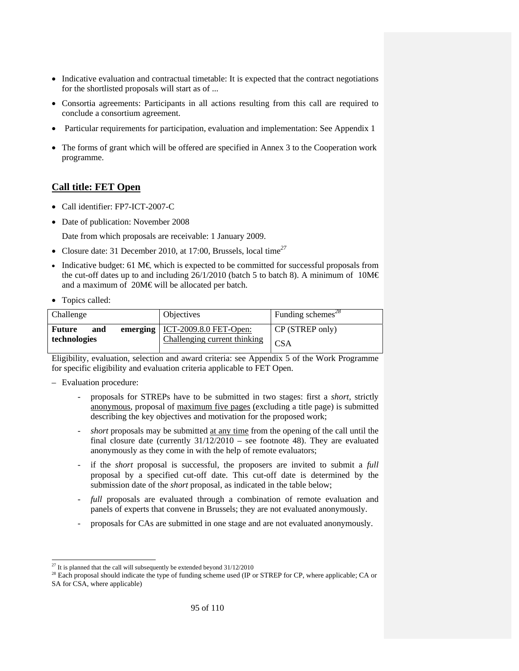- Indicative evaluation and contractual timetable: It is expected that the contract negotiations for the shortlisted proposals will start as of ...
- Consortia agreements: Participants in all actions resulting from this call are required to conclude a consortium agreement.
- Particular requirements for participation, evaluation and implementation: See Appendix 1
- The forms of grant which will be offered are specified in Annex 3 to the Cooperation work programme.

# **Call title: FET Open**

- Call identifier: FP7-ICT-2007-C
- Date of publication: November 2008

Date from which proposals are receivable: 1 January 2009.

- Closure date: 31 December 2010, at 17:00, Brussels, local time*<sup>27</sup>*
- Indicative budget: 61 M€ which is expected to be committed for successful proposals from the cut-off dates up to and including 26/1/2010 (batch 5 to batch 8). A minimum of 10M $\in$ and a maximum of 20M€ will be allocated per batch.
- Topics called:

| Challenge                     | <b>Objectives</b>                                                       | Funding schemes <sup>28</sup> |
|-------------------------------|-------------------------------------------------------------------------|-------------------------------|
| Future<br>and<br>technologies | emerging $\vert$ ICT-2009.8.0 FET-Open:<br>Challenging current thinking | CP (STREP only)<br><b>CSA</b> |

Eligibility, evaluation, selection and award criteria: see Appendix 5 of the Work Programme for specific eligibility and evaluation criteria applicable to FET Open.

- Evaluation procedure:
	- proposals for STREPs have to be submitted in two stages: first a *short,* strictly anonymous, proposal of maximum five pages (excluding a title page) is submitted describing the key objectives and motivation for the proposed work;
	- *short* proposals may be submitted at any time from the opening of the call until the final closure date (currently 31/12/2010 – see footnote 48). They are evaluated anonymously as they come in with the help of remote evaluators;
	- if the *short* proposal is successful, the proposers are invited to submit a *full* proposal by a specified cut-off date. This cut-off date is determined by the submission date of the *short* proposal, as indicated in the table below;
	- full proposals are evaluated through a combination of remote evaluation and panels of experts that convene in Brussels; they are not evaluated anonymously.
	- proposals for CAs are submitted in one stage and are not evaluated anonymously.

<sup>-</sup> $^{27}$  It is planned that the call will subsequently be extended beyond 31/12/2010

 $^{28}$  Each proposal should indicate the type of funding scheme used (IP or STREP for CP, where applicable; CA or SA for CSA, where applicable)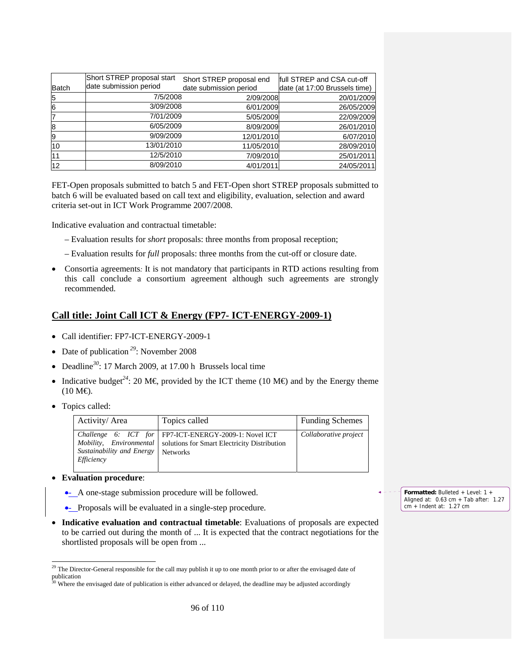| Batch | Short STREP proposal start<br>date submission period | Short STREP proposal end<br>date submission period | full STREP and CSA cut-off<br>date (at 17:00 Brussels time) |
|-------|------------------------------------------------------|----------------------------------------------------|-------------------------------------------------------------|
| 5     | 7/5/2008                                             | 2/09/2008                                          | 20/01/2009                                                  |
| 6     | 3/09/2008                                            | 6/01/2009                                          | 26/05/2009                                                  |
|       | 7/01/2009                                            | 5/05/2009                                          | 22/09/2009                                                  |
| 8     | 6/05/2009                                            | 8/09/2009                                          | 26/01/2010                                                  |
| 9     | 9/09/2009                                            | 12/01/2010                                         | 6/07/2010                                                   |
| 10    | 13/01/2010                                           | 11/05/2010                                         | 28/09/2010                                                  |
| 11    | 12/5/2010                                            | 7/09/2010                                          | 25/01/2011                                                  |
| 12    | 8/09/2010                                            | 4/01/2011                                          | 24/05/2011                                                  |

FET-Open proposals submitted to batch 5 and FET-Open short STREP proposals submitted to batch 6 will be evaluated based on call text and eligibility, evaluation, selection and award criteria set-out in ICT Work Programme 2007/2008.

Indicative evaluation and contractual timetable:

- Evaluation results for *short* proposals: three months from proposal reception;
- Evaluation results for *full* proposals: three months from the cut-off or closure date.
- Consortia agreements*:* It is not mandatory that participants in RTD actions resulting from this call conclude a consortium agreement although such agreements are strongly recommended.

# **Call title: Joint Call ICT & Energy (FP7- ICT-ENERGY-2009-1)**

- Call identifier: FP7-ICT-ENERGY-2009-1
- Date of publication<sup>29</sup>: November 2008
- Deadline*<sup>30</sup>*: 17 March 2009, at 17.00 h Brussels local time
- Indicative budget<sup>24</sup>: 20 M€ provided by the ICT theme (10 M€) and by the Energy theme  $(10 M\text{L})$ .
- Topics called:

-

| Activity/Area                           | Topics called                                                                                                                                        | <b>Funding Schemes</b> |
|-----------------------------------------|------------------------------------------------------------------------------------------------------------------------------------------------------|------------------------|
| Sustainability and Energy<br>Efficiency | Challenge 6: ICT for   FP7-ICT-ENERGY-2009-1: Novel ICT<br>Mobility, Environmental   solutions for Smart Electricity Distribution<br><b>Networks</b> | Collaborative project  |

- **Evaluation procedure**:
	- A one-stage submission procedure will be followed.
	- Proposals will be evaluated in a single-step procedure.
- **Indicative evaluation and contractual timetable**: Evaluations of proposals are expected to be carried out during the month of ... It is expected that the contract negotiations for the shortlisted proposals will be open from ...



 $29$  The Director-General responsible for the call may publish it up to one month prior to or after the envisaged date of publication<br> $\frac{1}{30}$  W<sub>Th</sub>

Where the envisaged date of publication is either advanced or delayed, the deadline may be adjusted accordingly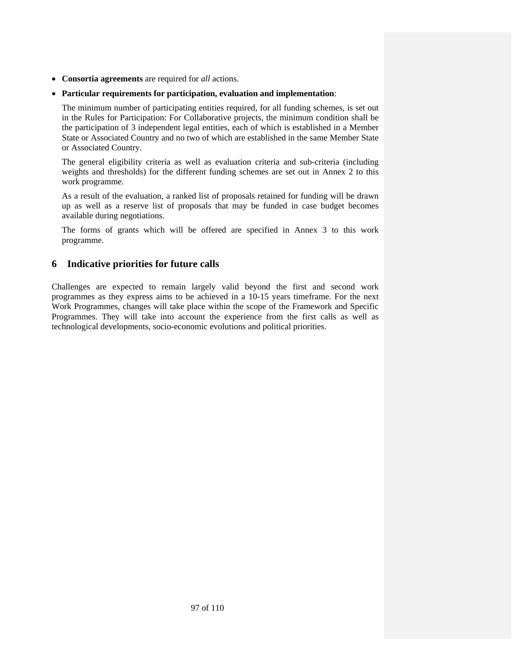- **Consortia agreements** are required for *all* actions.
- **Particular requirements for participation, evaluation and implementation**:

The minimum number of participating entities required, for all funding schemes, is set out in the Rules for Participation: For Collaborative projects, the minimum condition shall be the participation of 3 independent legal entities, each of which is established in a Member State or Associated Country and no two of which are established in the same Member State or Associated Country.

The general eligibility criteria as well as evaluation criteria and sub-criteria (including weights and thresholds) for the different funding schemes are set out in Annex 2 to this work programme.

As a result of the evaluation, a ranked list of proposals retained for funding will be drawn up as well as a reserve list of proposals that may be funded in case budget becomes available during negotiations.

The forms of grants which will be offered are specified in Annex 3 to this work programme.

# **6 Indicative priorities for future calls**

Challenges are expected to remain largely valid beyond the first and second work programmes as they express aims to be achieved in a 10-15 years timeframe. For the next Work Programmes, changes will take place within the scope of the Framework and Specific Programmes. They will take into account the experience from the first calls as well as technological developments, socio-economic evolutions and political priorities.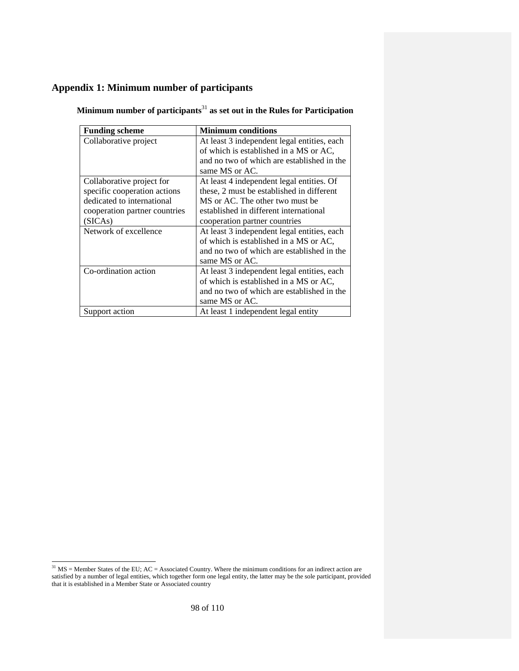# **Appendix 1: Minimum number of participants**

| <b>Funding scheme</b>         | <b>Minimum conditions</b>                                                             |
|-------------------------------|---------------------------------------------------------------------------------------|
| Collaborative project         | At least 3 independent legal entities, each<br>of which is established in a MS or AC, |
|                               | and no two of which are established in the<br>same MS or AC.                          |
| Collaborative project for     | At least 4 independent legal entities. Of                                             |
| specific cooperation actions  | these, 2 must be established in different                                             |
| dedicated to international    | MS or AC. The other two must be                                                       |
| cooperation partner countries | established in different international                                                |
| (SICAs)                       | cooperation partner countries                                                         |
| Network of excellence         | At least 3 independent legal entities, each                                           |
|                               | of which is established in a MS or AC,                                                |
|                               | and no two of which are established in the                                            |
|                               | same MS or AC.                                                                        |
| Co-ordination action          | At least 3 independent legal entities, each                                           |
|                               | of which is established in a MS or AC,                                                |
|                               | and no two of which are established in the                                            |
|                               | same MS or AC.                                                                        |
| Support action                | At least 1 independent legal entity                                                   |

**Minimum number of participants**<sup>31</sup> **as set out in the Rules for Participation** 

-

 $31$  MS = Member States of the EU; AC = Associated Country. Where the minimum conditions for an indirect action are satisfied by a number of legal entities, which together form one legal entity, the latter may be the sole participant, provided that it is established in a Member State or Associated country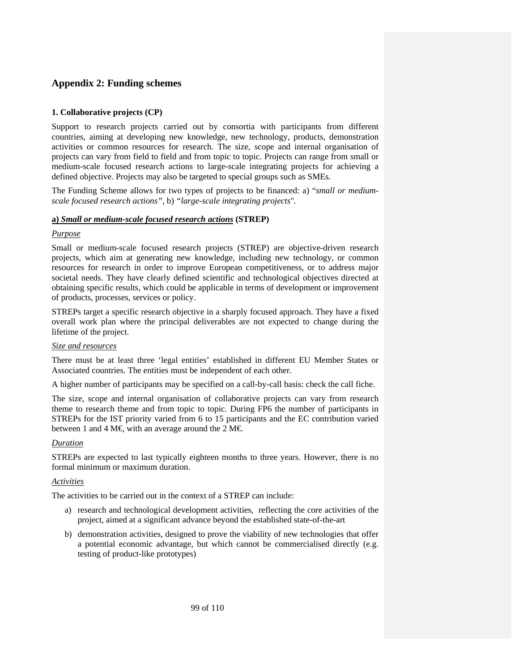# **Appendix 2: Funding schemes**

# **1. Collaborative projects (CP)**

Support to research projects carried out by consortia with participants from different countries, aiming at developing new knowledge, new technology, products, demonstration activities or common resources for research. The size, scope and internal organisation of projects can vary from field to field and from topic to topic. Projects can range from small or medium-scale focused research actions to large-scale integrating projects for achieving a defined objective. Projects may also be targeted to special groups such as SMEs*.*

The Funding Scheme allows for two types of projects to be financed: a) "*small or mediumscale focused research actions",* b) *"large-scale integrating projects*"*.* 

# **a)** *Small or medium-scale focused research actions* **(STREP)**

## *Purpose*

Small or medium-scale focused research projects (STREP) are objective-driven research projects, which aim at generating new knowledge, including new technology, or common resources for research in order to improve European competitiveness, or to address major societal needs. They have clearly defined scientific and technological objectives directed at obtaining specific results, which could be applicable in terms of development or improvement of products, processes, services or policy.

STREPs target a specific research objective in a sharply focused approach. They have a fixed overall work plan where the principal deliverables are not expected to change during the lifetime of the project.

# *Size and resources*

There must be at least three 'legal entities' established in different EU Member States or Associated countries. The entities must be independent of each other.

A higher number of participants may be specified on a call-by-call basis: check the call fiche.

The size, scope and internal organisation of collaborative projects can vary from research theme to research theme and from topic to topic. During FP6 the number of participants in STREPs for the IST priority varied from 6 to 15 participants and the EC contribution varied between 1 and 4 M€, with an average around the 2 M€.

# *Duration*

STREPs are expected to last typically eighteen months to three years. However, there is no formal minimum or maximum duration.

# *Activities*

The activities to be carried out in the context of a STREP can include:

- a) research and technological development activities, reflecting the core activities of the project, aimed at a significant advance beyond the established state-of-the-art
- b) demonstration activities, designed to prove the viability of new technologies that offer a potential economic advantage, but which cannot be commercialised directly (e.g. testing of product-like prototypes)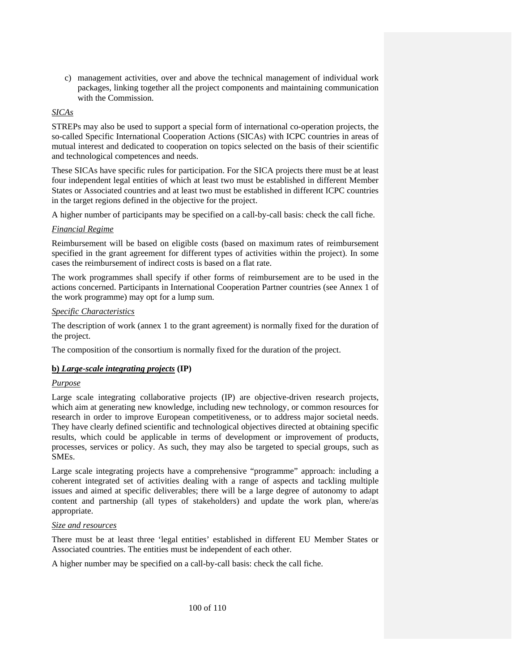c) management activities, over and above the technical management of individual work packages, linking together all the project components and maintaining communication with the Commission.

# *SICAs*

STREPs may also be used to support a special form of international co-operation projects, the so-called Specific International Cooperation Actions (SICAs) with ICPC countries in areas of mutual interest and dedicated to cooperation on topics selected on the basis of their scientific and technological competences and needs.

These SICAs have specific rules for participation. For the SICA projects there must be at least four independent legal entities of which at least two must be established in different Member States or Associated countries and at least two must be established in different ICPC countries in the target regions defined in the objective for the project.

A higher number of participants may be specified on a call-by-call basis: check the call fiche.

## *Financial Regime*

Reimbursement will be based on eligible costs (based on maximum rates of reimbursement specified in the grant agreement for different types of activities within the project). In some cases the reimbursement of indirect costs is based on a flat rate.

The work programmes shall specify if other forms of reimbursement are to be used in the actions concerned. Participants in International Cooperation Partner countries (see Annex 1 of the work programme) may opt for a lump sum.

## *Specific Characteristics*

The description of work (annex 1 to the grant agreement) is normally fixed for the duration of the project.

The composition of the consortium is normally fixed for the duration of the project.

# **b)** *Large-scale integrating projects* **(IP)**

#### *Purpose*

Large scale integrating collaborative projects (IP) are objective-driven research projects, which aim at generating new knowledge, including new technology, or common resources for research in order to improve European competitiveness, or to address major societal needs. They have clearly defined scientific and technological objectives directed at obtaining specific results, which could be applicable in terms of development or improvement of products, processes, services or policy. As such, they may also be targeted to special groups, such as SMEs.

Large scale integrating projects have a comprehensive "programme" approach: including a coherent integrated set of activities dealing with a range of aspects and tackling multiple issues and aimed at specific deliverables; there will be a large degree of autonomy to adapt content and partnership (all types of stakeholders) and update the work plan, where/as appropriate.

#### *Size and resources*

There must be at least three 'legal entities' established in different EU Member States or Associated countries. The entities must be independent of each other.

A higher number may be specified on a call-by-call basis: check the call fiche.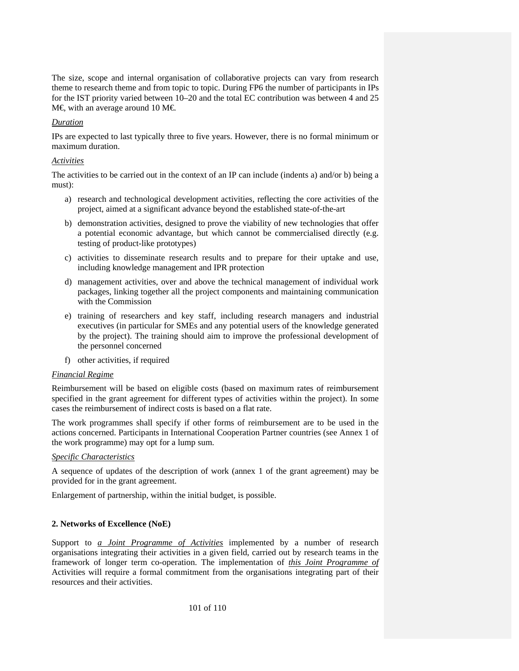The size, scope and internal organisation of collaborative projects can vary from research theme to research theme and from topic to topic. During FP6 the number of participants in IPs for the IST priority varied between 10–20 and the total EC contribution was between 4 and 25  $M \in$ , with an average around 10 M $\in$ .

## *Duration*

IPs are expected to last typically three to five years. However, there is no formal minimum or maximum duration.

## *Activities*

The activities to be carried out in the context of an IP can include (indents a) and/or b) being a must):

- a) research and technological development activities, reflecting the core activities of the project, aimed at a significant advance beyond the established state-of-the-art
- b) demonstration activities, designed to prove the viability of new technologies that offer a potential economic advantage, but which cannot be commercialised directly (e.g. testing of product-like prototypes)
- c) activities to disseminate research results and to prepare for their uptake and use, including knowledge management and IPR protection
- d) management activities, over and above the technical management of individual work packages, linking together all the project components and maintaining communication with the Commission
- e) training of researchers and key staff, including research managers and industrial executives (in particular for SMEs and any potential users of the knowledge generated by the project). The training should aim to improve the professional development of the personnel concerned
- f) other activities, if required

# *Financial Regime*

Reimbursement will be based on eligible costs (based on maximum rates of reimbursement specified in the grant agreement for different types of activities within the project). In some cases the reimbursement of indirect costs is based on a flat rate.

The work programmes shall specify if other forms of reimbursement are to be used in the actions concerned. Participants in International Cooperation Partner countries (see Annex 1 of the work programme) may opt for a lump sum.

# *Specific Characteristics*

A sequence of updates of the description of work (annex 1 of the grant agreement) may be provided for in the grant agreement.

Enlargement of partnership, within the initial budget, is possible.

# **2. Networks of Excellence (NoE)**

Support to *a Joint Programme of Activities* implemented by a number of research organisations integrating their activities in a given field, carried out by research teams in the framework of longer term co-operation. The implementation of *this Joint Programme of*  Activities will require a formal commitment from the organisations integrating part of their resources and their activities.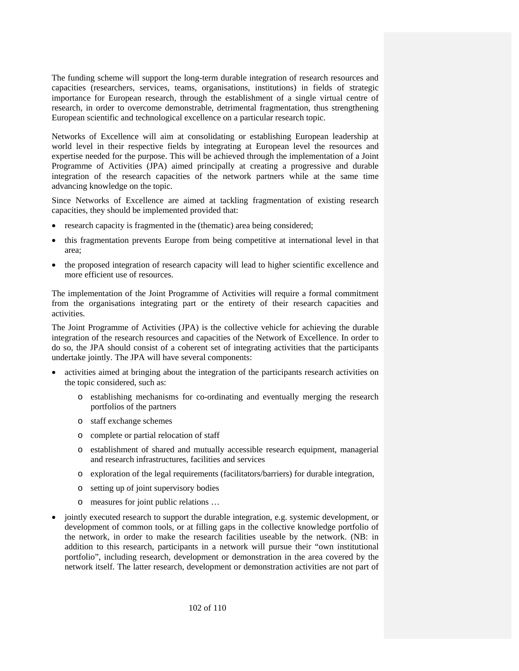The funding scheme will support the long-term durable integration of research resources and capacities (researchers, services, teams, organisations, institutions) in fields of strategic importance for European research, through the establishment of a single virtual centre of research, in order to overcome demonstrable, detrimental fragmentation, thus strengthening European scientific and technological excellence on a particular research topic.

Networks of Excellence will aim at consolidating or establishing European leadership at world level in their respective fields by integrating at European level the resources and expertise needed for the purpose. This will be achieved through the implementation of a Joint Programme of Activities (JPA) aimed principally at creating a progressive and durable integration of the research capacities of the network partners while at the same time advancing knowledge on the topic.

Since Networks of Excellence are aimed at tackling fragmentation of existing research capacities, they should be implemented provided that:

- research capacity is fragmented in the (thematic) area being considered;
- this fragmentation prevents Europe from being competitive at international level in that area;
- the proposed integration of research capacity will lead to higher scientific excellence and more efficient use of resources.

The implementation of the Joint Programme of Activities will require a formal commitment from the organisations integrating part or the entirety of their research capacities and activities.

The Joint Programme of Activities (JPA) is the collective vehicle for achieving the durable integration of the research resources and capacities of the Network of Excellence. In order to do so, the JPA should consist of a coherent set of integrating activities that the participants undertake jointly. The JPA will have several components:

- activities aimed at bringing about the integration of the participants research activities on the topic considered, such as:
	- o establishing mechanisms for co-ordinating and eventually merging the research portfolios of the partners
	- o staff exchange schemes
	- o complete or partial relocation of staff
	- o establishment of shared and mutually accessible research equipment, managerial and research infrastructures, facilities and services
	- o exploration of the legal requirements (facilitators/barriers) for durable integration,
	- o setting up of joint supervisory bodies
	- o measures for joint public relations …
- jointly executed research to support the durable integration, e.g. systemic development, or development of common tools, or at filling gaps in the collective knowledge portfolio of the network, in order to make the research facilities useable by the network. (NB: in addition to this research, participants in a network will pursue their "own institutional portfolio", including research, development or demonstration in the area covered by the network itself. The latter research, development or demonstration activities are not part of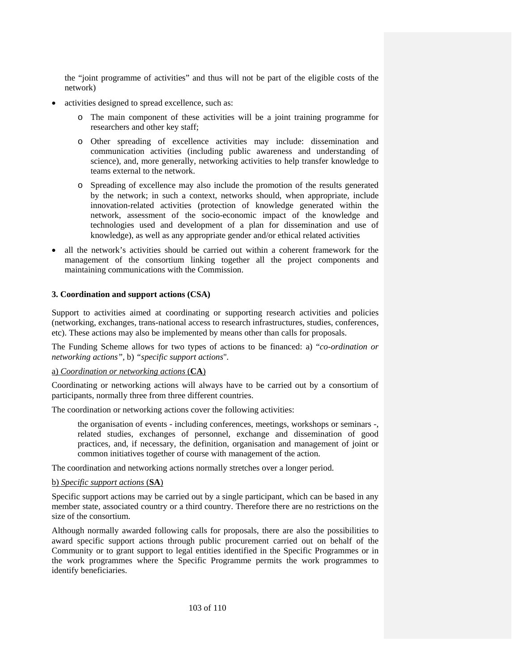the "joint programme of activities" and thus will not be part of the eligible costs of the network)

- activities designed to spread excellence, such as:
	- o The main component of these activities will be a joint training programme for researchers and other key staff;
	- o Other spreading of excellence activities may include: dissemination and communication activities (including public awareness and understanding of science), and, more generally, networking activities to help transfer knowledge to teams external to the network.
	- o Spreading of excellence may also include the promotion of the results generated by the network; in such a context, networks should, when appropriate, include innovation-related activities (protection of knowledge generated within the network, assessment of the socio-economic impact of the knowledge and technologies used and development of a plan for dissemination and use of knowledge), as well as any appropriate gender and/or ethical related activities
- all the network's activities should be carried out within a coherent framework for the management of the consortium linking together all the project components and maintaining communications with the Commission.

#### **3. Coordination and support actions (CSA)**

Support to activities aimed at coordinating or supporting research activities and policies (networking, exchanges, trans-national access to research infrastructures, studies, conferences, etc). These actions may also be implemented by means other than calls for proposals.

The Funding Scheme allows for two types of actions to be financed: a) "*co-ordination or networking actions",* b) *"specific support actions*"*.* 

#### a) *Coordination or networking actions* (**CA**)

Coordinating or networking actions will always have to be carried out by a consortium of participants, normally three from three different countries.

The coordination or networking actions cover the following activities:

the organisation of events - including conferences, meetings, workshops or seminars -, related studies, exchanges of personnel, exchange and dissemination of good practices, and, if necessary, the definition, organisation and management of joint or common initiatives together of course with management of the action.

The coordination and networking actions normally stretches over a longer period.

#### b) *Specific support actions* (**SA**)

Specific support actions may be carried out by a single participant, which can be based in any member state, associated country or a third country. Therefore there are no restrictions on the size of the consortium.

Although normally awarded following calls for proposals, there are also the possibilities to award specific support actions through public procurement carried out on behalf of the Community or to grant support to legal entities identified in the Specific Programmes or in the work programmes where the Specific Programme permits the work programmes to identify beneficiaries.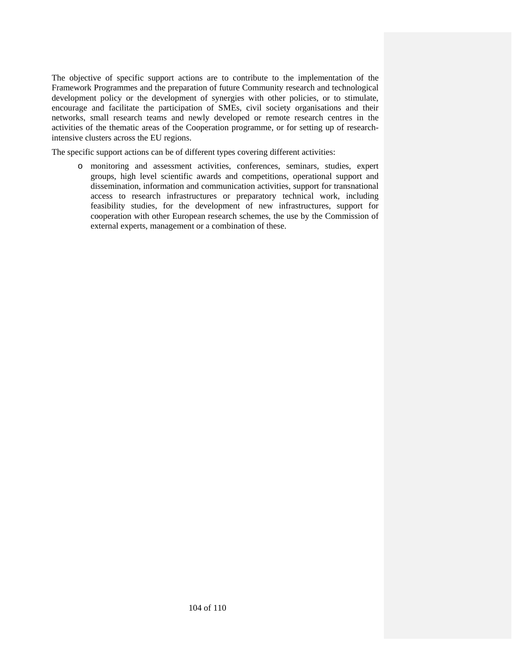The objective of specific support actions are to contribute to the implementation of the Framework Programmes and the preparation of future Community research and technological development policy or the development of synergies with other policies, or to stimulate, encourage and facilitate the participation of SMEs, civil society organisations and their networks, small research teams and newly developed or remote research centres in the activities of the thematic areas of the Cooperation programme, or for setting up of researchintensive clusters across the EU regions.

The specific support actions can be of different types covering different activities:

o monitoring and assessment activities, conferences, seminars, studies, expert groups, high level scientific awards and competitions, operational support and dissemination, information and communication activities, support for transnational access to research infrastructures or preparatory technical work, including feasibility studies, for the development of new infrastructures, support for cooperation with other European research schemes, the use by the Commission of external experts, management or a combination of these.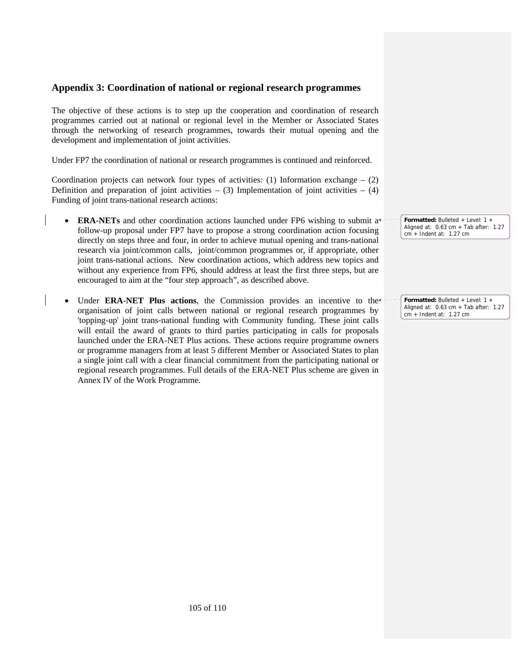# **Appendix 3: Coordination of national or regional research programmes**

The objective of these actions is to step up the cooperation and coordination of research programmes carried out at national or regional level in the Member or Associated States through the networking of research programmes, towards their mutual opening and the development and implementation of joint activities.

Under FP7 the coordination of national or research programmes is continued and reinforced.

Coordination projects can network four types of activities: (1) Information exchange  $-$  (2) Definition and preparation of joint activities –  $(3)$  Implementation of joint activities –  $(4)$ Funding of joint trans-national research actions:

- **ERA-NETs** and other coordination actions launched under FP6 wishing to submit a<sup>\*</sup> follow-up proposal under FP7 have to propose a strong coordination action focusing directly on steps three and four, in order to achieve mutual opening and trans-national research via joint/common calls, joint/common programmes or, if appropriate, other joint trans-national actions. New coordination actions, which address new topics and without any experience from FP6, should address at least the first three steps, but are encouraged to aim at the "four step approach", as described above.
- Under ERA-NET Plus actions, the Commission provides an incentive to the<sup>+</sup> organisation of joint calls between national or regional research programmes by 'topping-up' joint trans-national funding with Community funding. These joint calls will entail the award of grants to third parties participating in calls for proposals launched under the ERA-NET Plus actions. These actions require programme owners or programme managers from at least 5 different Member or Associated States to plan a single joint call with a clear financial commitment from the participating national or regional research programmes. Full details of the ERA-NET Plus scheme are given in Annex IV of the Work Programme.

**Formatted:** Bulleted + Level: 1 + Aligned at: 0.63 cm + Tab after: 1.27 cm + Indent at: 1.27 cm

**Formatted:** Bulleted + Level: 1 + Aligned at: 0.63 cm + Tab after: 1.27 cm + Indent at: 1.27 cm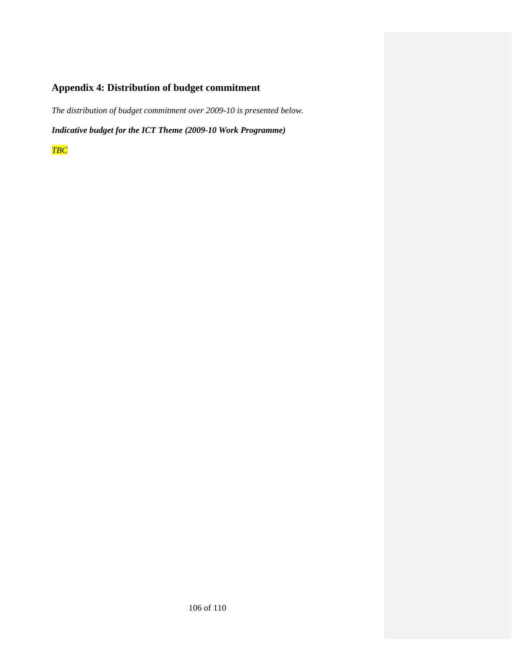# **Appendix 4: Distribution of budget commitment**

*The distribution of budget commitment over 2009-10 is presented below.* 

*Indicative budget for the ICT Theme (2009-10 Work Programme)* 

*TBC*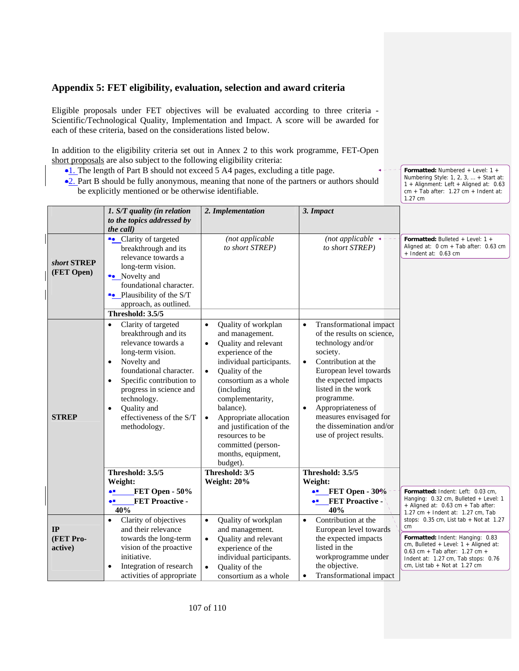# **Appendix 5: FET eligibility, evaluation, selection and award criteria**

Eligible proposals under FET objectives will be evaluated according to three criteria - Scientific/Technological Quality, Implementation and Impact. A score will be awarded for each of these criteria, based on the considerations listed below.

In addition to the eligibility criteria set out in Annex 2 to this work programme, FET-Open short proposals are also subject to the following eligibility criteria:

- •1. The length of Part B should not exceed 5 A4 pages, excluding a title page.
- •2. Part B should be fully anonymous, meaning that none of the partners or authors should be explicitly mentioned or be otherwise identifiable.

**Formatted:** Numbered + Level: 1 + Numbering Style: 1, 2, 3, … + Start at: 1 + Alignment: Left + Aligned at: 0.63 cm + Tab after: 1.27 cm + Indent at: 1.27 cm

|                           | 1. S/T quality (in relation<br>to the topics addressed by                                                                                                                                                                                                                                                              | 2. Implementation                                                                                                                                                                                                                                                                                                                                                                         | 3. Impact                                                                                                                                                                                                                                                                                                                                         |                                                                                                                                                                                           |
|---------------------------|------------------------------------------------------------------------------------------------------------------------------------------------------------------------------------------------------------------------------------------------------------------------------------------------------------------------|-------------------------------------------------------------------------------------------------------------------------------------------------------------------------------------------------------------------------------------------------------------------------------------------------------------------------------------------------------------------------------------------|---------------------------------------------------------------------------------------------------------------------------------------------------------------------------------------------------------------------------------------------------------------------------------------------------------------------------------------------------|-------------------------------------------------------------------------------------------------------------------------------------------------------------------------------------------|
|                           | the call)                                                                                                                                                                                                                                                                                                              |                                                                                                                                                                                                                                                                                                                                                                                           |                                                                                                                                                                                                                                                                                                                                                   |                                                                                                                                                                                           |
| short STREP<br>(FET Open) | • Clarity of targeted<br>breakthrough and its<br>relevance towards a<br>long-term vision.<br>•• Novelty and<br>foundational character.<br>•• Plausibility of the S/T<br>approach, as outlined.                                                                                                                         | (not applicable<br>to short STREP)                                                                                                                                                                                                                                                                                                                                                        | (not applicable $\triangleleft$<br>to short STREP)                                                                                                                                                                                                                                                                                                | <b>Formatted:</b> Bulleted + Level: $1 +$<br>Aligned at: $0 \text{ cm} + \text{ Tab after: } 0.63 \text{ cm}$<br>$+$ Indent at: 0.63 cm                                                   |
|                           | Threshold: 3.5/5                                                                                                                                                                                                                                                                                                       |                                                                                                                                                                                                                                                                                                                                                                                           |                                                                                                                                                                                                                                                                                                                                                   |                                                                                                                                                                                           |
| <b>STREP</b>              | Clarity of targeted<br>$\bullet$<br>breakthrough and its<br>relevance towards a<br>long-term vision.<br>Novelty and<br>$\bullet$<br>foundational character.<br>Specific contribution to<br>$\bullet$<br>progress in science and<br>technology.<br>Quality and<br>$\bullet$<br>effectiveness of the S/T<br>methodology. | Quality of workplan<br>and management.<br>Quality and relevant<br>$\bullet$<br>experience of the<br>individual participants.<br>Quality of the<br>$\bullet$<br>consortium as a whole<br><i>(including)</i><br>complementarity,<br>balance).<br>Appropriate allocation<br>$\bullet$<br>and justification of the<br>resources to be<br>committed (person-<br>months, equipment,<br>budget). | Transformational impact<br>$\bullet$<br>of the results on science,<br>technology and/or<br>society.<br>Contribution at the<br>$\bullet$<br>European level towards<br>the expected impacts<br>listed in the work<br>programme.<br>Appropriateness of<br>$\bullet$<br>measures envisaged for<br>the dissemination and/or<br>use of project results. |                                                                                                                                                                                           |
|                           | Threshold: 3.5/5                                                                                                                                                                                                                                                                                                       | Threshold: 3/5                                                                                                                                                                                                                                                                                                                                                                            | Threshold: 3.5/5                                                                                                                                                                                                                                                                                                                                  |                                                                                                                                                                                           |
|                           | Weight:<br>FET Open - 50%<br>$\bullet$<br><b>FET Proactive -</b><br>ê.<br>40%                                                                                                                                                                                                                                          | Weight: 20%                                                                                                                                                                                                                                                                                                                                                                               | Weight:<br>$\bullet$ FET Open - $30\%$<br><b>FET Proactive -</b><br>ĄЕ<br>40%                                                                                                                                                                                                                                                                     | Formatted: Indent: Left: 0.03 cm,<br>Hanging: $0.32$ cm, Bulleted + Level: 1<br>+ Aligned at: 0.63 cm + Tab after:<br>1.27 cm $+$ Indent at: 1.27 cm, Tab                                 |
| IP                        | Clarity of objectives<br>$\bullet$<br>and their relevance                                                                                                                                                                                                                                                              | Quality of workplan<br>and management.                                                                                                                                                                                                                                                                                                                                                    | Contribution at the<br>$\bullet$<br>European level towards                                                                                                                                                                                                                                                                                        | stops: $0.35$ cm, List tab + Not at 1.27<br>cm                                                                                                                                            |
| (FET Pro-<br>active)      | towards the long-term<br>vision of the proactive<br>initiative.<br>Integration of research<br>activities of appropriate                                                                                                                                                                                                | Quality and relevant<br>$\bullet$<br>experience of the<br>individual participants.<br>Quality of the<br>$\bullet$<br>consortium as a whole                                                                                                                                                                                                                                                | the expected impacts<br>listed in the<br>workprogramme under<br>the objective.<br><b>Transformational impact</b><br>$\bullet$                                                                                                                                                                                                                     | Formatted: Indent: Hanging: 0.83<br>cm, Bulleted + Level: $1 +$ Aligned at:<br>0.63 cm + Tab after: $1.27$ cm +<br>Indent at: 1.27 cm, Tab stops: 0.76<br>cm, List tab $+$ Not at 1.27 cm |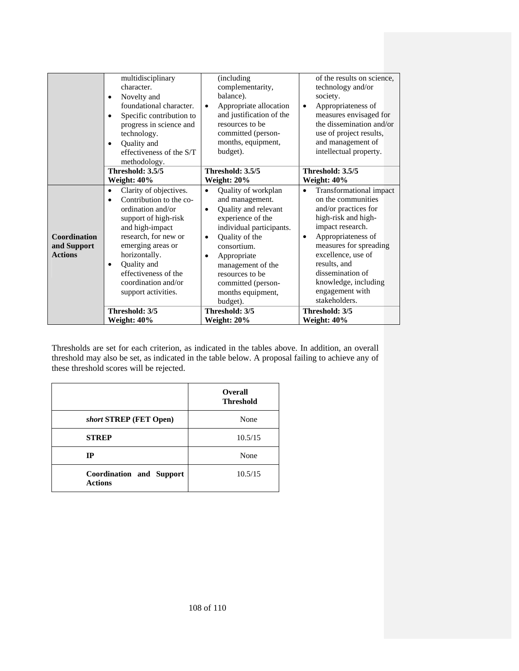|                     | multidisciplinary<br>character.<br>Novelty and<br>٠<br>foundational character.<br>Specific contribution to<br>٠<br>progress in science and<br>technology.<br>Quality and<br>٠<br>effectiveness of the S/T | (including<br>complementarity,<br>balance).<br>Appropriate allocation<br>$\bullet$<br>and justification of the<br>resources to be<br>committed (person-<br>months, equipment,<br>budget). | of the results on science,<br>technology and/or<br>society.<br>Appropriateness of<br>$\bullet$<br>measures envisaged for<br>the dissemination and/or<br>use of project results,<br>and management of<br>intellectual property. |
|---------------------|-----------------------------------------------------------------------------------------------------------------------------------------------------------------------------------------------------------|-------------------------------------------------------------------------------------------------------------------------------------------------------------------------------------------|--------------------------------------------------------------------------------------------------------------------------------------------------------------------------------------------------------------------------------|
|                     | methodology.                                                                                                                                                                                              |                                                                                                                                                                                           |                                                                                                                                                                                                                                |
|                     | Threshold: 3.5/5                                                                                                                                                                                          | Threshold: 3.5/5                                                                                                                                                                          | Threshold: 3.5/5                                                                                                                                                                                                               |
|                     | Weight: 40%                                                                                                                                                                                               | Weight: 20%                                                                                                                                                                               | Weight: 40%                                                                                                                                                                                                                    |
|                     | Clarity of objectives.<br>٠                                                                                                                                                                               | Quality of workplan<br>$\bullet$                                                                                                                                                          | Transformational impact<br>$\bullet$                                                                                                                                                                                           |
|                     | Contribution to the co-<br>٠                                                                                                                                                                              | and management.                                                                                                                                                                           | on the communities                                                                                                                                                                                                             |
|                     | ordination and/or                                                                                                                                                                                         | Quality and relevant<br>$\bullet$                                                                                                                                                         | and/or practices for                                                                                                                                                                                                           |
|                     | support of high-risk                                                                                                                                                                                      | experience of the                                                                                                                                                                         | high-risk and high-                                                                                                                                                                                                            |
|                     | and high-impact                                                                                                                                                                                           | individual participants.                                                                                                                                                                  | impact research.                                                                                                                                                                                                               |
| <b>Coordination</b> | research, for new or                                                                                                                                                                                      | Quality of the<br>٠                                                                                                                                                                       | Appropriateness of<br>$\bullet$                                                                                                                                                                                                |
| and Support         | emerging areas or                                                                                                                                                                                         | consortium.                                                                                                                                                                               | measures for spreading                                                                                                                                                                                                         |
| <b>Actions</b>      | horizontally.                                                                                                                                                                                             | Appropriate<br>٠                                                                                                                                                                          | excellence, use of                                                                                                                                                                                                             |
|                     | Quality and<br>$\bullet$                                                                                                                                                                                  | management of the                                                                                                                                                                         | results, and                                                                                                                                                                                                                   |
|                     | effectiveness of the                                                                                                                                                                                      | resources to be                                                                                                                                                                           | dissemination of                                                                                                                                                                                                               |
|                     | coordination and/or                                                                                                                                                                                       | committed (person-                                                                                                                                                                        | knowledge, including                                                                                                                                                                                                           |
|                     | support activities.                                                                                                                                                                                       | months equipment,                                                                                                                                                                         | engagement with                                                                                                                                                                                                                |
|                     |                                                                                                                                                                                                           | budget).                                                                                                                                                                                  | stakeholders.                                                                                                                                                                                                                  |
|                     | Threshold: 3/5                                                                                                                                                                                            | Threshold: 3/5                                                                                                                                                                            | Threshold: 3/5                                                                                                                                                                                                                 |
|                     | Weight: 40%                                                                                                                                                                                               | <b>Weight: 20%</b>                                                                                                                                                                        | Weight: 40%                                                                                                                                                                                                                    |

Thresholds are set for each criterion, as indicated in the tables above. In addition, an overall threshold may also be set, as indicated in the table below. A proposal failing to achieve any of these threshold scores will be rejected.

|                                            | <b>Overall</b><br><b>Threshold</b> |
|--------------------------------------------|------------------------------------|
| short STREP (FET Open)                     | None                               |
| <b>STREP</b>                               | 10.5/15                            |
| IР                                         | None                               |
| Coordination and Support<br><b>Actions</b> | 10.5/15                            |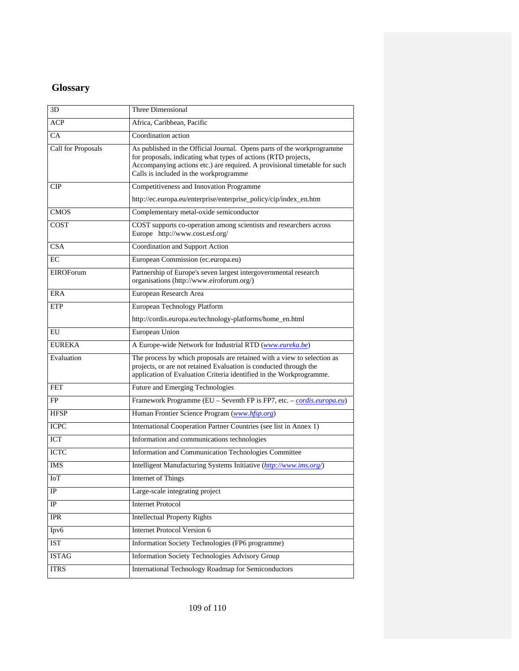## **Glossary**

| 3D                 | Three Dimensional                                                                                                                                                                                                                                               |
|--------------------|-----------------------------------------------------------------------------------------------------------------------------------------------------------------------------------------------------------------------------------------------------------------|
| <b>ACP</b>         | Africa, Caribbean, Pacific                                                                                                                                                                                                                                      |
| CA                 | Coordination action                                                                                                                                                                                                                                             |
| Call for Proposals | As published in the Official Journal. Opens parts of the workprogramme<br>for proposals, indicating what types of actions (RTD projects,<br>Accompanying actions etc.) are required. A provisional timetable for such<br>Calls is included in the workprogramme |
| CIP                | Competitiveness and Innovation Programme                                                                                                                                                                                                                        |
|                    | http://ec.europa.eu/enterprise/enterprise_policy/cip/index_en.htm                                                                                                                                                                                               |
| <b>CMOS</b>        | Complementary metal-oxide semiconductor                                                                                                                                                                                                                         |
| <b>COST</b>        | COST supports co-operation among scientists and researchers across<br>Europe http://www.cost.esf.org/                                                                                                                                                           |
| <b>CSA</b>         | Coordination and Support Action                                                                                                                                                                                                                                 |
| EC                 | European Commission (ec.europa.eu)                                                                                                                                                                                                                              |
| <b>EIROF</b> orum  | Partnership of Europe's seven largest intergovernmental research<br>organisations (http://www.eiroforum.org/)                                                                                                                                                   |
| ERA                | European Research Area                                                                                                                                                                                                                                          |
| <b>ETP</b>         | European Technology Platform                                                                                                                                                                                                                                    |
|                    | http://cordis.europa.eu/technology-platforms/home_en.html                                                                                                                                                                                                       |
| EU                 | European Union                                                                                                                                                                                                                                                  |
| <b>EUREKA</b>      | A Europe-wide Network for Industrial RTD (www.eureka.be)                                                                                                                                                                                                        |
| Evaluation         | The process by which proposals are retained with a view to selection as<br>projects, or are not retained Evaluation is conducted through the<br>application of Evaluation Criteria identified in the Workprogramme.                                             |
| <b>FET</b>         | Future and Emerging Technologies                                                                                                                                                                                                                                |
| FP                 | Framework Programme (EU - Seventh FP is FP7, etc. - cordis.europa.eu)                                                                                                                                                                                           |
| <b>HFSP</b>        | Human Frontier Science Program (www.hfsp.org)                                                                                                                                                                                                                   |
| <b>ICPC</b>        | International Cooperation Partner Countries (see list in Annex 1)                                                                                                                                                                                               |
| <b>ICT</b>         | Information and communications technologies                                                                                                                                                                                                                     |
| <b>ICTC</b>        | Information and Communication Technologies Committee                                                                                                                                                                                                            |
| IMS                | Intelligent Manufacturing Systems Initiative (http://www.ims.org/)                                                                                                                                                                                              |
| IoT                | Internet of Things                                                                                                                                                                                                                                              |
| IP                 | Large-scale integrating project                                                                                                                                                                                                                                 |
| IP                 | <b>Internet Protocol</b>                                                                                                                                                                                                                                        |
| <b>IPR</b>         | <b>Intellectual Property Rights</b>                                                                                                                                                                                                                             |
| Ipv6               | <b>Internet Protocol Version 6</b>                                                                                                                                                                                                                              |
| <b>IST</b>         | Information Society Technologies (FP6 programme)                                                                                                                                                                                                                |
|                    |                                                                                                                                                                                                                                                                 |
| <b>ISTAG</b>       | Information Society Technologies Advisory Group                                                                                                                                                                                                                 |